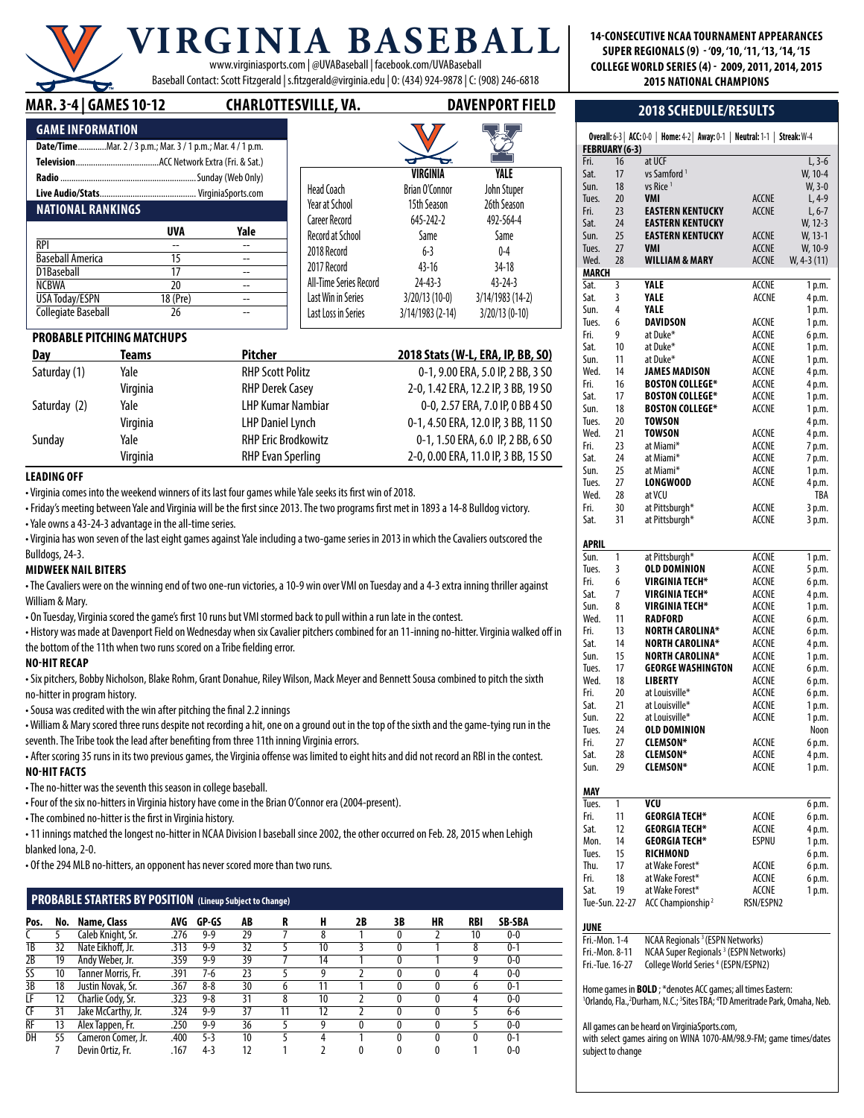## **RGINIA BASEB** www.virginiasports.com | @UVABaseball | facebook.com/UVABaseball

Baseball Contact: Scott Fitzgerald | s.fitzgerald@virginia.edu | O: (434) 924-9878 | C: (908) 246-6818

#### **MAR. 3-4 | GameS 10-12 charlottesville, va. davenport field**

| <b>GAME INFORMATION</b>                                    |            |      |  |
|------------------------------------------------------------|------------|------|--|
| Date/TimeMar. 2 / 3 p.m.; Mar. 3 / 1 p.m.; Mar. 4 / 1 p.m. |            |      |  |
|                                                            |            |      |  |
|                                                            |            |      |  |
|                                                            |            |      |  |
| <b>NATIONAL RANKINGS</b>                                   |            |      |  |
|                                                            | <b>UVA</b> | Yale |  |
|                                                            |            |      |  |
| RPI                                                        |            |      |  |
| <b>Baseball America</b>                                    | 15         |      |  |
| D1Baseball                                                 | 17         |      |  |
| NCBWA                                                      | 20         |      |  |
| <b>USA Today/ESPN</b>                                      | 18 (Pre)   |      |  |

|                         | VIRGINIA         | YALE             |  |
|-------------------------|------------------|------------------|--|
| Head Coach              | Brian O'Connor   | John Stuper      |  |
| Year at School          | 15th Season      | 26th Season      |  |
| <b>Career Record</b>    | 645-242-2        | 492-564-4        |  |
| <b>Record at School</b> | Same             | Same             |  |
| 2018 Record             | $6 - 3$          | $0 - 4$          |  |
| 2017 Record             | $43 - 16$        | 34-18            |  |
| All-Time Series Record  | $24 - 43 - 3$    | $43 - 24 - 3$    |  |
| Last Win in Series      | $3/20/13(10-0)$  | 3/14/1983 (14-2) |  |
| Last Loss in Series     | 3/14/1983 (2-14) | 3/20/13 (0-10)   |  |
|                         |                  |                  |  |

 $\overline{\mathbf{X}}$   $\overline{\mathbf{Z}}$ 

 $\Box$   $\Box$ 

#### **PROBABLE PITCHING MATCHUPS**

| Day          | Teams    | <b>Pitcher</b>             | 2018 Stats (W-L, ERA, IP, BB, SO)   |
|--------------|----------|----------------------------|-------------------------------------|
| Saturday (1) | Yale     | <b>RHP Scott Politz</b>    | 0-1, 9.00 ERA, 5.0 IP, 2 BB, 3 SO   |
|              | Virginia | <b>RHP Derek Casey</b>     | 2-0, 1.42 ERA, 12.2 IP, 3 BB, 19 SO |
| Saturday (2) | Yale     | <b>LHP Kumar Nambiar</b>   | 0-0, 2.57 ERA, 7.0 IP, 0 BB 4 SO    |
|              | Virginia | <b>LHP Daniel Lynch</b>    | 0-1, 4.50 ERA, 12.0 IP, 3 BB, 11 SO |
| Sunday       | Yale     | <b>RHP Eric Brodkowitz</b> | 0-1, 1.50 ERA, 6.0 IP, 2 BB, 6 SO   |
|              | Virginia | <b>RHP Evan Sperling</b>   | 2-0, 0.00 ERA, 11.0 IP, 3 BB, 15 SO |

#### **Leading Off**

• Virginia comes into the weekend winners of its last four games while Yale seeks its first win of 2018.

• Friday's meeting between Yale and Virginia will be the first since 2013. The two programs first met in 1893 a 14-8 Bulldog victory. • Yale owns a 43-24-3 advantage in the all-time series.

• Virginia has won seven of the last eight games against Yale including a two-game series in 2013 in which the Cavaliers outscored the Bulldogs, 24-3.

#### **Midweek Nail Biters**

• The Cavaliers were on the winning end of two one-run victories, a 10-9 win over VMI on Tuesday and a 4-3 extra inning thriller against William & Mary.

• On Tuesday, Virginia scored the game's first 10 runs but VMI stormed back to pull within a run late in the contest.

• History was made at Davenport Field on Wednesday when six Cavalier pitchers combined for an 11-inning no-hitter. Virginia walked off in the bottom of the 11th when two runs scored on a Tribe fielding error.

#### **No-Hit Recap**

• Six pitchers, Bobby Nicholson, Blake Rohm, Grant Donahue, Riley Wilson, Mack Meyer and Bennett Sousa combined to pitch the sixth no-hitter in program history.

• Sousa was credited with the win after pitching the final 2.2 innings

• William & Mary scored three runs despite not recording a hit, one on a ground out in the top of the sixth and the game-tying run in the seventh. The Tribe took the lead after benefiting from three 11th inning Virginia errors.

• After scoring 35 runs in its two previous games, the Virginia offense was limited to eight hits and did not record an RBI in the contest. **No-Hit Facts**

• The no-hitter was the seventh this season in college baseball.

• Four of the six no-hitters in Virginia history have come in the Brian O'Connor era (2004-present).

• The combined no-hitter is the first in Virginia history.

• 11 innings matched the longest no-hitter in NCAA Division I baseball since 2002, the other occurred on Feb. 28, 2015 when Lehigh blanked Iona, 2-0.

• Of the 294 MLB no-hitters, an opponent has never scored more than two runs.

#### **PROBABLESTARTERS BY POSITION (Lineup Subject to Change)**

| Pos. | No. | Name, Class        |      | AVG GP-GS | AB | R | H  | 2B | 3B | HR | RBI | <b>SB-SBA</b> |
|------|-----|--------------------|------|-----------|----|---|----|----|----|----|-----|---------------|
|      |     | Caleb Knight, Sr.  | .276 | $9-9$     | 29 |   |    |    |    |    | 10  | $0 - 0$       |
| 1B   | 32  | Nate Eikhoff, Jr.  | .313 | $9-9$     | 32 |   | 10 |    |    |    | 8   | $0 - 1$       |
| 2B   | 19  | Andy Weber, Jr.    | .359 | $9-9$     | 39 |   | 14 |    |    |    |     | $0 - 0$       |
| SS   | 10  | Tanner Morris, Fr. | .391 | 7-6       | 23 |   |    |    |    |    | 4   | $0 - 0$       |
| 3B   | 18  | Justin Novak, Sr.  | .367 | $8 - 8$   | 30 |   |    |    |    |    | b   | $0 - 1$       |
| LF   | 12  | Charlie Cody, Sr.  | .323 | $9 - 8$   | 31 | 8 | 10 |    |    |    | 4   | $0-0$         |
| Œ    | 31  | Jake McCarthy, Jr. | .324 | $9-9$     | 37 |   | 12 |    |    |    |     | 6-6           |
| RF   | 13  | Alex Tappen, Fr.   | .250 | $9-9$     | 36 |   | a  |    |    |    |     | $0-0$         |
| DH   | 55  | Cameron Comer, Jr. | .400 | $5-3$     | 10 |   |    |    |    |    |     | $0 - 1$       |
|      |     | Devin Ortiz, Fr.   | .167 | $4-3$     | 12 |   |    |    |    |    |     | $0-0$         |

#### **14-consecutive ncaa Tournament Appearances super regionals (9) - '09, '10, '11, '13, '14, '15 College world Series (4) - 2009, 2011, 2014, 2015 2015 National champions**

#### **2018 Schedule/Results**

| Fri.<br>Sat.    | 16<br>17       | at UCF<br>vs Samford <sup>1</sup>                                                                                                                                                                 |              | $L, 3-6$<br>W, 10-4 |
|-----------------|----------------|---------------------------------------------------------------------------------------------------------------------------------------------------------------------------------------------------|--------------|---------------------|
| Sun.            | 18             | vs Rice <sup>1</sup>                                                                                                                                                                              |              | $W, 3-0$            |
|                 |                | <b>VMI</b>                                                                                                                                                                                        | <b>ACCNE</b> |                     |
| Tues.           | 20             |                                                                                                                                                                                                   |              | $L, 4-9$            |
| Fri.            | 23             | <b>EASTERN KENTUCKY</b>                                                                                                                                                                           | <b>ACCNE</b> | $L, 6-7$            |
| Sat.            | 24             | EASTERN KENTUCKY                                                                                                                                                                                  |              | W, 12-3             |
| Sun.            | 25             | <b>EASTERN KENTUCKY</b>                                                                                                                                                                           | ACCNE        | W, 13-1             |
| Tues.           | 27             | VMI                                                                                                                                                                                               | ACCNE        | W, 10-9             |
| Wed.            | 28             | WILLIAM & MARY                                                                                                                                                                                    | ACCNE        | W, 4-3 (11)         |
| MARCH           |                |                                                                                                                                                                                                   |              |                     |
| Sat.            | 3              | YALE                                                                                                                                                                                              | ACCNE        | 1 p.m.              |
| Sat.            | 3              | YALE                                                                                                                                                                                              | ACCNE        | 4 p.m.              |
| Sun.            | 4              | YALE                                                                                                                                                                                              |              | 1 p.m.              |
| Tues.           | 6              | <b>DAVIDSON</b>                                                                                                                                                                                   | ACCNE        | 1 p.m.              |
| Fri.            | 9              | at Duke*                                                                                                                                                                                          | ACCNE        | 6 p.m.              |
| Sat.            | 10             | at Duke*                                                                                                                                                                                          | ACCNE        | 1 p.m.              |
| Sun.            | 11             | at Duke*                                                                                                                                                                                          | ACCNE        | 1 p.m.              |
| Wed.            | 14             | JAMES MADISON                                                                                                                                                                                     | ACCNE        | 4 p.m.              |
| Fri.            | 16             | <b>BOSTON COLLEGE*</b>                                                                                                                                                                            | ACCNE        | 4 p.m.              |
| Sat.            | 17             | <b>BOSTON COLLEGE*</b>                                                                                                                                                                            | ACCNE        | 1 p.m.              |
| Sun.            | 18             | <b>BOSTON COLLEGE*</b>                                                                                                                                                                            | ACCNE        | 1 p.m.              |
| Tues.           | 20             | <b>TOWSON</b>                                                                                                                                                                                     |              | 4 p.m.              |
| Wed.            | 21             | TOWSON                                                                                                                                                                                            | ACCNE        | 4 p.m.              |
| Fri.            | 23             | at Miami*                                                                                                                                                                                         | ACCNE        | 7 p.m.              |
| Sat.            | 24             | at Miami*                                                                                                                                                                                         | ACCNE        | 7 p.m.              |
| Sun.            | 25             | at Miami*                                                                                                                                                                                         | ACCNE        | 1 p.m.              |
| Tues.           | 27             | <b>LONGWOOD</b>                                                                                                                                                                                   | ACCNE        | 4 p.m.              |
| Wed.            | 28             | at VCU                                                                                                                                                                                            |              | TBA                 |
| Fri.            | 30             | at Pittsburgh*                                                                                                                                                                                    | ACCNE        | 3 p.m.              |
| Sat.            | 31             | at Pittsburgh*                                                                                                                                                                                    | ACCNE        | 3 p.m.              |
|                 |                |                                                                                                                                                                                                   |              |                     |
| APRIL           |                |                                                                                                                                                                                                   |              |                     |
| Sun.            | 1              | at Pittsburgh*                                                                                                                                                                                    | ACCNE        | 1 p.m.              |
| Tues.           | 3              | OLD DOMINION                                                                                                                                                                                      | ACCNE        | 5 p.m.              |
| Fri.            | 6              | VIRGINIA TECH*                                                                                                                                                                                    | ACCNE        | 6 p.m.              |
| Sat.            | 7              | VIRGINIA TECH*                                                                                                                                                                                    | ACCNE        |                     |
|                 |                | VIRGINIA TECH*                                                                                                                                                                                    |              | 4 p.m.              |
| Sun.            | 8              |                                                                                                                                                                                                   | ACCNE        | 1 p.m.              |
| Wed.            | 11             | <b>RADFORD</b>                                                                                                                                                                                    | ACCNE        | 6 p.m.              |
| Fri.            | 13             | <b>NORTH CAROLINA*</b>                                                                                                                                                                            | ACCNE        | 6 p.m.              |
| Sat.            | 14             | <b>NORTH CAROLINA*</b>                                                                                                                                                                            | ACCNE        | 4 p.m.              |
| Sun.            | 15             | <b>NORTH CAROLINA*</b>                                                                                                                                                                            | ACCNE        | 1 p.m.              |
| Tues.           | 17             | <b>GEORGE WASHINGTON</b>                                                                                                                                                                          | ACCNE        | 6 p.m.              |
| Wed.            | 18             | LIBERTY                                                                                                                                                                                           | ACCNE        | 6 p.m.              |
| Fri.            | 20             | at Louisville*                                                                                                                                                                                    | ACCNE        | 6 p.m.              |
| Sat.            | 21             | at Louisville*                                                                                                                                                                                    | ACCNE        | 1 p.m.              |
| Sun.            | 22             | at Louisville*                                                                                                                                                                                    | ACCNE        | 1 p.m.              |
| Tues.           | 24             | <b>OLD DOMINION</b>                                                                                                                                                                               |              | Noon                |
| Fri.            | 27             | CLEMSON*                                                                                                                                                                                          | ACCNE        | 6 p.m.              |
| Sat.            | 28             | <b>CLEMSON*</b>                                                                                                                                                                                   | ACCNE        | 4 p.m.              |
| Sun.            | 29             | <b>CLEMSON*</b>                                                                                                                                                                                   | ACCNE        | 1 p.m.              |
|                 |                |                                                                                                                                                                                                   |              |                     |
| MAY             |                |                                                                                                                                                                                                   |              |                     |
| Tues.           | 1              | VCU                                                                                                                                                                                               |              | 6 p.m.              |
| Fri.            | 11             | <b>GEORGIA TECH*</b>                                                                                                                                                                              | ACCNE        | 6 p.m.              |
| Sat.            | 12             | GEORGIA TECH*                                                                                                                                                                                     | ACCNE        | 4 p.m.              |
| Mon.            | 14             | <b>GEORGIA TECH*</b>                                                                                                                                                                              | ESPNU        | 1 p.m.              |
| Tues.           | 15             | <b>RICHMOND</b>                                                                                                                                                                                   |              | 6 p.m.              |
| Thu.            | 17             | at Wake Forest*                                                                                                                                                                                   | ACCNE        | 6 p.m.              |
| Fri.            | 18             | at Wake Forest*                                                                                                                                                                                   | ACCNE        | 6 p.m.              |
| Sat.            | 19             | at Wake Forest*                                                                                                                                                                                   | ACCNE        | 1 p.m.              |
|                 | Tue-Sun. 22-27 | ACC Championship <sup>2</sup>                                                                                                                                                                     | RSN/ESPN2    |                     |
|                 |                |                                                                                                                                                                                                   |              |                     |
| JUNE            |                |                                                                                                                                                                                                   |              |                     |
| Fri.-Mon. 1-4   |                | NCAA Regionals <sup>3</sup> (ESPN Networks)                                                                                                                                                       |              |                     |
| Fri.-Mon. 8-11  |                | NCAA Super Regionals <sup>3</sup> (ESPN Networks)                                                                                                                                                 |              |                     |
| Fri.-Tue. 16-27 |                | College World Series <sup>4</sup> (ESPN/ESPN2)                                                                                                                                                    |              |                     |
|                 |                |                                                                                                                                                                                                   |              |                     |
|                 |                | Home games in <b>BOLD</b> ; *denotes ACC games; all times Eastern:<br><sup>1</sup> Orlando, Fla., <sup>2</sup> Durham, N.C.; <sup>3</sup> Sites TBA; <sup>4</sup> TD Ameritrade Park, Omaha, Neb. |              |                     |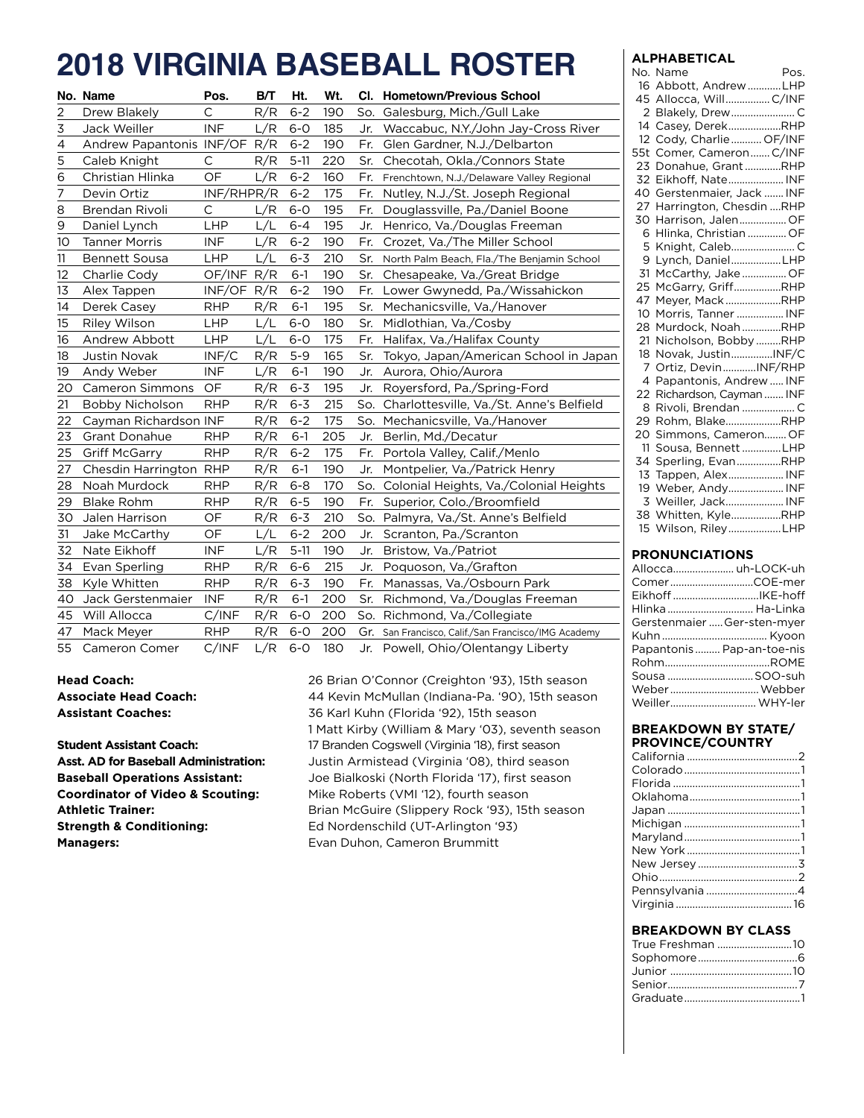## **2018 Virginia Baseball Roster**

|    | No. Name                 | Pos.         | B/T | Ht.      | Wt. |     | Cl. Hometown/Previous School                        |
|----|--------------------------|--------------|-----|----------|-----|-----|-----------------------------------------------------|
| 2  | Drew Blakely             | С            | R/R | $6 - 2$  | 190 | So. | Galesburg, Mich./Gull Lake                          |
| 3  | Jack Weiller             | <b>INF</b>   | L/R | $6-0$    | 185 | Jr. | Waccabuc, N.Y./John Jay-Cross River                 |
| 4  | Andrew Papantonis INF/OF |              | R/R | $6 - 2$  | 190 | Fr. | Glen Gardner, N.J./Delbarton                        |
| 5  | Caleb Knight             | $\mathsf{C}$ | R/R | $5-11$   | 220 | Sr. | Checotah, Okla./Connors State                       |
| 6  | Christian Hlinka         | OF           | L/R | $6 - 2$  | 160 |     | Fr. Frenchtown, N.J./Delaware Valley Regional       |
| 7  | Devin Ortiz              | INF/RHPR/R   |     | $6 - 2$  | 175 | Fr. | Nutley, N.J./St. Joseph Regional                    |
| 8  | <b>Brendan Rivoli</b>    | C            | L/R | $6-0$    | 195 | Fr. | Douglassville, Pa./Daniel Boone                     |
| 9  | Daniel Lynch             | LHP          | L/L | $6 - 4$  | 195 | Jr. | Henrico, Va./Douglas Freeman                        |
| 10 | <b>Tanner Morris</b>     | <b>INF</b>   | L/R | $6 - 2$  | 190 | Fr. | Crozet, Va./The Miller School                       |
| 11 | <b>Bennett Sousa</b>     | <b>LHP</b>   | L/L | $6 - 3$  | 210 | Sr. | North Palm Beach, Fla./The Benjamin School          |
| 12 | Charlie Cody             | OF/INF R/R   |     | $6-1$    | 190 | Sr. | Chesapeake, Va./Great Bridge                        |
| 13 | Alex Tappen              | INF/OF       | R/R | $6 - 2$  | 190 | Fr. | Lower Gwynedd, Pa./Wissahickon                      |
| 14 | Derek Casey              | <b>RHP</b>   | R/R | $6-1$    | 195 | Sr. | Mechanicsville, Va./Hanover                         |
| 15 | <b>Riley Wilson</b>      | LHP          | L/L | $6-0$    | 180 | Sr. | Midlothian, Va./Cosby                               |
| 16 | Andrew Abbott            | LHP          | L/L | $6-0$    | 175 | Fr. | Halifax, Va./Halifax County                         |
| 18 | Justin Novak             | INF/C        | R/R | $5 - 9$  | 165 | Sr. | Tokyo, Japan/American School in Japan               |
| 19 | Andy Weber               | <b>INF</b>   | L/R | $6-1$    | 190 | Jr. | Aurora, Ohio/Aurora                                 |
| 20 | <b>Cameron Simmons</b>   | OF           | R/R | $6 - 3$  | 195 | Jr. | Royersford, Pa./Spring-Ford                         |
| 21 | Bobby Nicholson          | <b>RHP</b>   | R/R | $6 - 3$  | 215 |     | So. Charlottesville, Va./St. Anne's Belfield        |
| 22 | Cayman Richardson INF    |              | R/R | $6 - 2$  | 175 |     | So. Mechanicsville, Va./Hanover                     |
| 23 | <b>Grant Donahue</b>     | <b>RHP</b>   | R/R | $6-1$    | 205 | Jr. | Berlin, Md./Decatur                                 |
| 25 | <b>Griff McGarry</b>     | <b>RHP</b>   | R/R | $6 - 2$  | 175 |     | Fr. Portola Valley, Calif./Menlo                    |
| 27 | Chesdin Harrington       | <b>RHP</b>   | R/R | $6-1$    | 190 | Jr. | Montpelier, Va./Patrick Henry                       |
| 28 | Noah Murdock             | <b>RHP</b>   | R/R | $6 - 8$  | 170 | So. | Colonial Heights, Va./Colonial Heights              |
| 29 | <b>Blake Rohm</b>        | <b>RHP</b>   | R/R | $6 - 5$  | 190 | Fr. | Superior, Colo./Broomfield                          |
| 30 | Jalen Harrison           | OF           | R/R | $6 - 3$  | 210 |     | So. Palmyra, Va./St. Anne's Belfield                |
| 31 | Jake McCarthy            | OF           | L/L | $6 - 2$  | 200 | Jr. | Scranton, Pa./Scranton                              |
| 32 | Nate Eikhoff             | <b>INF</b>   | L/R | $5 - 11$ | 190 | Jr. | Bristow, Va./Patriot                                |
| 34 | Evan Sperling            | <b>RHP</b>   | R/R | $6-6$    | 215 | Jr. | Poquoson, Va./Grafton                               |
| 38 | Kyle Whitten             | <b>RHP</b>   | R/R | $6 - 3$  | 190 | Fr. | Manassas, Va./Osbourn Park                          |
| 40 | Jack Gerstenmaier        | <b>INF</b>   | R/R | $6-1$    | 200 | Sr. | Richmond, Va./Douglas Freeman                       |
| 45 | Will Allocca             | C/INF        | R/R | $6-0$    | 200 |     | So. Richmond, Va./Collegiate                        |
| 47 | Mack Meyer               | <b>RHP</b>   | R/R | $6 - 0$  | 200 |     | Gr. San Francisco, Calif./San Francisco/IMG Academy |
| 55 | Cameron Comer            | C/INF        | L/R | $6-0$    | 180 |     | Jr. Powell, Ohio/Olentangy Liberty                  |

**Managers: Managers:** Evan Duhon, Cameron Brummitt

**Head Coach:** 26 Brian O'Connor (Creighton '93), 15th season **Associate Head Coach:** 44 Kevin McMullan (Indiana-Pa. '90), 15th season **Assistant Coaches:** 36 Karl Kuhn (Florida '92), 15th season 1 Matt Kirby (William & Mary '03), seventh season **Student Assistant Coach:** 17 Branden Cogswell (Virginia '18), first season **Asst. AD for Baseball Administration:** Justin Armistead (Virginia '08), third season **Baseball Operations Assistant:** Joe Bialkoski (North Florida '17), first season **Coordinator of Video & Scouting:** Mike Roberts (VMI '12), fourth season **Athletic Trainer:** Brian McGuire (Slippery Rock '93), 15th season **Strength & Conditioning:** Ed Nordenschild (UT-Arlington '93)

#### **Alphabetical**

| No. | Name                    | Pos. |  |
|-----|-------------------------|------|--|
| 16  | Abbott, Andrew LHP      |      |  |
| 45  | Allocca, WillC/INF      |      |  |
| 2   |                         |      |  |
| 14  | Casey, DerekRHP         |      |  |
| 12  | Cody, CharlieOF/INF     |      |  |
| 55t | Comer, CameronC/INF     |      |  |
| 23  | Donahue, GrantRHP       |      |  |
| 32  | Eikhoff, Nate INF       |      |  |
| 40  | Gerstenmaier, Jack  INF |      |  |
| 27  | Harrington, Chesdin RHP |      |  |
| 30  | Harrison, JalenOF       |      |  |
| 6   | Hlinka, Christian OF    |      |  |
| 5   |                         |      |  |
| 9   | Lynch, DanielLHP        |      |  |
| 31  | McCarthy, Jake  OF      |      |  |
| 25  | McGarry, GriffRHP       |      |  |
| 47  | Meyer, MackRHP          |      |  |
| 10  | Morris, Tanner  INF     |      |  |
| 28  | Murdock, Noah RHP       |      |  |
| 21  | Nicholson, Bobby RHP    |      |  |
| 18  | Novak, JustinINF/C      |      |  |
| 7   | Ortiz, DevinINF/RHP     |      |  |
| 4   | Papantonis, Andrew  INF |      |  |
| 22  | Richardson, Cayman  INF |      |  |
| 8   | Rivoli, Brendan  C      |      |  |
| 29  | Rohm, BlakeRHP          |      |  |
| 20  | Simmons, CameronOF      |      |  |
| 11  | Sousa, Bennett LHP      |      |  |
| 34  | Sperling, EvanRHP       |      |  |
| 13  | Tappen, Alex INF        |      |  |
| 19  | Weber, Andy INF         |      |  |
| 3   | Weiller, Jack INF       |      |  |
| 38  | Whitten, KyleRHP        |      |  |
| 15  | Wilson, RileyLHP        |      |  |
|     |                         |      |  |

#### **Pronunciations**

|  | Allocca uh-LOCK-uh          |
|--|-----------------------------|
|  | ComerCOE-mer                |
|  |                             |
|  | Hlinka  Ha-Linka            |
|  | Gerstenmaier  Ger-sten-myer |
|  |                             |
|  | Papantonis Pap-an-toe-nis   |
|  |                             |
|  | Sousa SOO-suh               |
|  | Weber  Webber               |
|  | Weiller WHY-ler             |
|  |                             |

#### **Breakdown by State/ province/country**

#### **Breakdown by Class**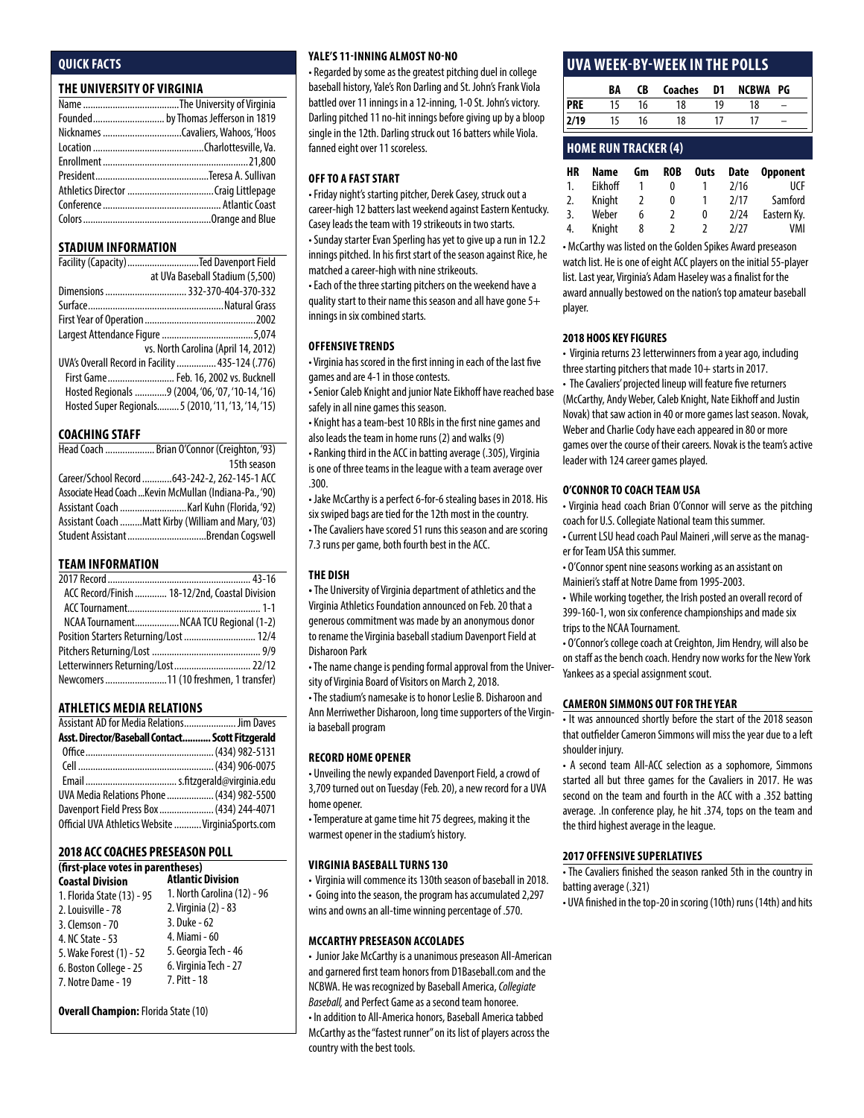#### **Quick Facts**

#### **THE UNIVERSITY OF VIRGINIA**

| Founded by Thomas Jefferson in 1819 |
|-------------------------------------|
|                                     |
|                                     |
|                                     |
|                                     |
|                                     |
|                                     |
|                                     |

#### **STADIUM INFORMATION**

| Facility (Capacity)Ted Davenport Field              |
|-----------------------------------------------------|
| at UVa Baseball Stadium (5,500)                     |
| Dimensions  332-370-404-370-332                     |
|                                                     |
|                                                     |
|                                                     |
| vs. North Carolina (April 14, 2012)                 |
| UVA's Overall Record in Facility  435-124 (.776)    |
| First Game Feb. 16, 2002 vs. Bucknell               |
| Hosted Regionals 9 (2004, '06, '07, '10-14, '16)    |
| Hosted Super Regionals 5 (2010, '11, '13, '14, '15) |

#### **COACHING STAFF**

| Head Coach  Brian O'Connor (Creighton, '93)             |
|---------------------------------------------------------|
| 15th season                                             |
| Career/School Record  643-242-2, 262-145-1 ACC          |
| Associate Head Coach  Kevin McMullan (Indiana-Pa., '90) |
|                                                         |
| Assistant Coach Matt Kirby (William and Mary, '03)      |
|                                                         |

#### **TEAM INFORMATION**

|                                        | ACC Record/Finish  18-12/2nd, Coastal Division |
|----------------------------------------|------------------------------------------------|
|                                        |                                                |
|                                        | NCAA TournamentNCAA TCU Regional (1-2)         |
|                                        |                                                |
|                                        |                                                |
| Letterwinners Returning/Lost 22/12     |                                                |
| Newcomers 11 (10 freshmen, 1 transfer) |                                                |

#### **Athletics MEDIA RELATIONS**

| Assistant AD for Media Relations Jim Daves         |  |
|----------------------------------------------------|--|
| Asst. Director/Baseball Contact Scott Fitzgerald   |  |
|                                                    |  |
|                                                    |  |
|                                                    |  |
| UVA Media Relations Phone  (434) 982-5500          |  |
| Davenport Field Press Box  (434) 244-4071          |  |
| Official UVA Athletics Website  VirginiaSports.com |  |

#### **2018 ACCCoaches Preseason Poll**

#### **(first-place votes in parentheses) Atlantic Division**

| <b>Coastal Division</b>    | Atlantic Division           |
|----------------------------|-----------------------------|
| 1. Florida State (13) - 95 | 1. North Carolina (12) - 96 |
| 2. Louisville - 78         | 2. Virginia (2) - 83        |
| 3. Clemson - 70            | 3. Duke - 62                |
| 4. NC State - 53           | 4. Miami - 60               |
| 5. Wake Forest (1) - 52    | 5. Georgia Tech - 46        |
| 6. Boston College - 25     | 6. Virginia Tech - 27       |
| 7. Notre Dame - 19         | 7. Pitt - 18                |
|                            |                             |

**Overall Champion:** Florida State (10)

#### **Yale's 11-inning Almost No-No**

• Regarded by some as the greatest pitching duel in college baseball history, Yale's Ron Darling and St. John's Frank Viola battled over 11 innings in a 12-inning, 1-0 St. John's victory. Darling pitched 11 no-hit innings before giving up by a bloop single in the 12th. Darling struck out 16 batters while Viola. fanned eight over 11 scoreless.

#### **Off to a fast Start**

• Friday night's starting pitcher, Derek Casey, struck out a career-high 12 batters last weekend against Eastern Kentucky. Casey leads the team with 19 strikeouts in two starts.

• Sunday starter Evan Sperling has yet to give up a run in 12.2 innings pitched. In his first start of the season against Rice, he matched a career-high with nine strikeouts.

• Each of the three starting pitchers on the weekend have a quality start to their name this season and all have gone 5+ innings in six combined starts.

#### **Offensive Trends**

• Virginia has scored in the first inning in each of the last five games and are 4-1 in those contests.

• Senior Caleb Knight and junior Nate Eikhoff have reached base safely in all nine games this season.

• Knight has a team-best 10 RBIs in the first nine games and also leads the team in home runs (2) and walks (9)

• Ranking third in the ACC in batting average (.305), Virginia is one of three teams in the league with a team average over .300.

• Jake McCarthy is a perfect 6-for-6 stealing bases in 2018. His six swiped bags are tied for the 12th most in the country. • The Cavaliers have scored 51 runs this season and are scoring 7.3 runs per game, both fourth best in the ACC.

#### **THE DISH**

**•** The University of Virginia department of athletics and the Virginia Athletics Foundation announced on Feb. 20 that a generous commitment was made by an anonymous donor to rename the Virginia baseball stadium Davenport Field at Disharoon Park

• The name change is pending formal approval from the University of Virginia Board of Visitors on March 2, 2018.

• The stadium's namesake is to honor Leslie B. Disharoon and Ann Merriwether Disharoon, long time supporters of the Virginia baseball program

#### **record home opener**

• Unveiling the newly expanded Davenport Field, a crowd of 3,709 turned out on Tuesday (Feb. 20), a new record for a UVA home opener.

• Temperature at game time hit 75 degrees, making it the warmest opener in the stadium's history.

#### **Virginia baseball turns 130**

• Virginia will commence its 130th season of baseball in 2018.

• Going into the season, the program has accumulated 2,297

wins and owns an all-time winning percentage of .570.

#### **McCarthy Preseason Accolades**

• Junior Jake McCarthy is a unanimous preseason All-American and garnered first team honors from D1Baseball.com and the NCBWA. He was recognized by Baseball America, *Collegiate Baseball,* and Perfect Game as a second team honoree. • In addition to All-America honors, Baseball America tabbed McCarthy as the "fastest runner" on its list of players across the country with the best tools.

#### **uva week-by-week in the polls**

|            | BA | CB | Coaches | D1 | NCBWA PG |  |
|------------|----|----|---------|----|----------|--|
| <b>PRE</b> |    | 16 | 18      | 10 | 18       |  |
| 2/19       | 15 | 16 | 18      |    |          |  |
|            |    |    |         |    |          |  |

#### **home run tracker (4)**

| НR | Name    | Gm | <b>ROB</b> | <b>Outs</b> | <b>Date</b> | <b>Opponent</b> |
|----|---------|----|------------|-------------|-------------|-----------------|
| 1. | Eikhoff |    | 0          |             | 2/16        | UCF             |
| 2. | Knight  | 2  | 0          |             | 2/17        | Samford         |
| 3. | Weber   | 6  |            | 0           | 2/24        | Eastern Ky.     |
| 4. | Knight  | 8  | 2          |             | 7/77        | VMI             |

• McCarthy was listed on the Golden Spikes Award preseason watch list. He is one of eight ACC players on the initial 55-player list. Last year, Virginia's Adam Haseley was a finalist for the award annually bestowed on the nation's top amateur baseball player.

#### **2018 HOOS KEY FIGURES**

• Virginia returns 23 letterwinners from a year ago, including three starting pitchers that made 10+ starts in 2017.

• The Cavaliers' projected lineup will feature five returners (McCarthy, Andy Weber, Caleb Knight, Nate Eikhoff and Justin Novak) that saw action in 40 or more games last season. Novak, Weber and Charlie Cody have each appeared in 80 or more games over the course of their careers. Novak is the team's active leader with 124 career games played.

#### **o'connor to coach team usa**

• Virginia head coach Brian O'Connor will serve as the pitching coach for U.S. Collegiate National team this summer.

• Current LSU head coach Paul Maineri ,will serve as the manager for Team USA this summer.

• O'Connor spent nine seasons working as an assistant on Mainieri's staff at Notre Dame from 1995-2003.

• While working together, the Irish posted an overall record of 399-160-1, won six conference championships and made six trips to the NCAA Tournament.

• O'Connor's college coach at Creighton, Jim Hendry, will also be on staff as the bench coach. Hendry now works for the New York Yankees as a special assignment scout.

#### **Cameron simmons out for the year**

• It was announced shortly before the start of the 2018 season that outfielder Cameron Simmons will miss the year due to a left shoulder injury.

• A second team All-ACC selection as a sophomore, Simmons started all but three games for the Cavaliers in 2017. He was second on the team and fourth in the ACC with a .352 batting average. .In conference play, he hit .374, tops on the team and the third highest average in the league.

#### **2017 offensive superlatives**

• The Cavaliers finished the season ranked 5th in the country in batting average (.321)

• UVA finished in the top-20 in scoring (10th) runs (14th) and hits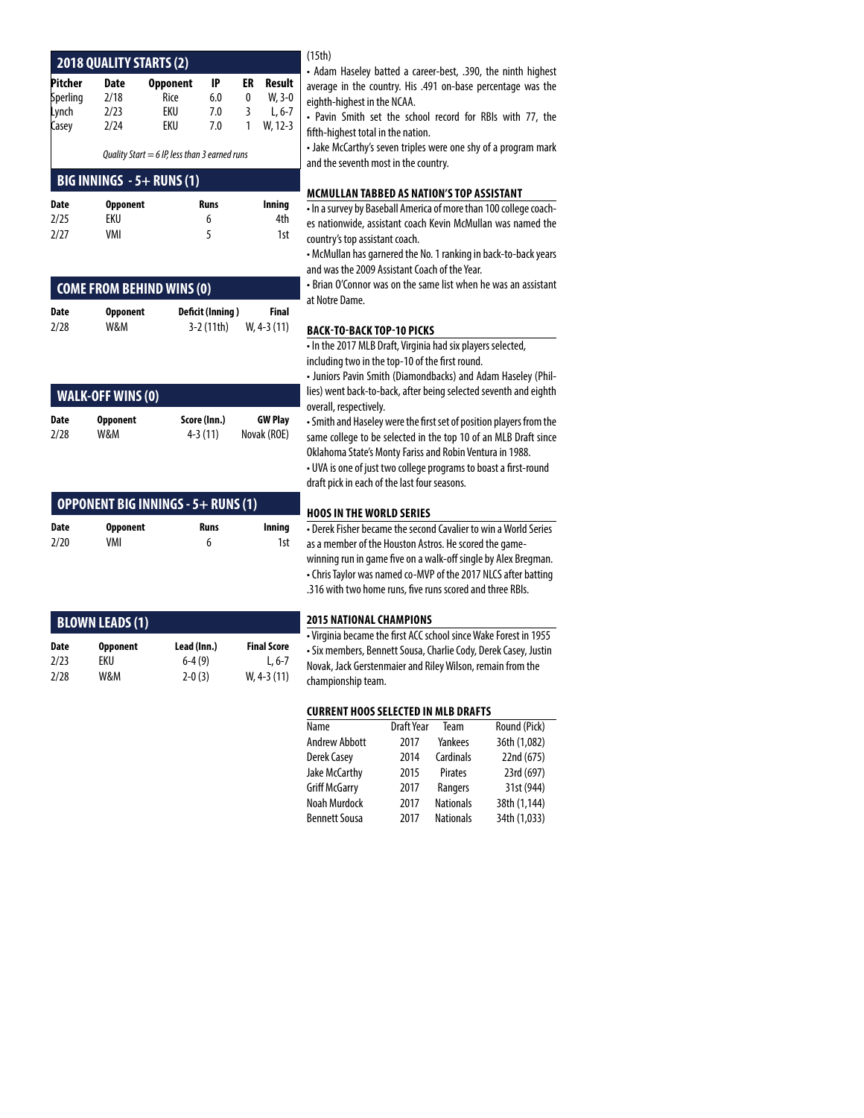|                                                 |                 | <b>2018 QUALITY STARTS (2)</b> |             |    |           |  |
|-------------------------------------------------|-----------------|--------------------------------|-------------|----|-----------|--|
| Pitcher                                         | Date            | <b>Opponent</b>                | IP          | ER | Result    |  |
| Sperling                                        | 2/18            | Rice                           | 6.0         | 0  | $W, 3-0$  |  |
| Lynch                                           | 2/23            | EKU                            | 7.0         | 3  | $L.6 - 7$ |  |
| Casey                                           | 2/24            | EKU                            | 7.0         | 1  | W. 12-3   |  |
| Quality Start = $6$ IP, less than 3 earned runs |                 |                                |             |    |           |  |
|                                                 |                 | BIG INNINGS $-5+$ RUNS (1)     |             |    |           |  |
| Date                                            | <b>Opponent</b> |                                | <b>Runs</b> |    | Inning    |  |
| 2/25                                            | FKIJ            |                                | 6           |    | 4th       |  |

|      | COME FROM BEHIND WINS (0) |                  |       |
|------|---------------------------|------------------|-------|
| Date | <b>Opponent</b>           | Deficit (Inning) | Final |
|      |                           |                  |       |

2/27 VMI 5 1st

| 2/28 | W&M | $3-2(11th)$ | W, 4-3 (11) |
|------|-----|-------------|-------------|
|      |     |             |             |
|      |     |             |             |

| <b>WALK-OFF WINS (0)</b> |                 |              |                |  |  |
|--------------------------|-----------------|--------------|----------------|--|--|
| Date                     | <b>Opponent</b> | Score (Inn.) | <b>GW Play</b> |  |  |
| 2/28                     | W&M             | $4 - 3(11)$  | Novak (ROE)    |  |  |
|                          |                 |              |                |  |  |

| OPPONENT BIG INNINGS - 5+ RUNS (1) |                 |      |        |  |  |
|------------------------------------|-----------------|------|--------|--|--|
| Date                               | <b>Opponent</b> | Runs | Inning |  |  |
| 2/20                               | VMI             | 6    | 1st    |  |  |

|             | <b>BLOWN LEADS (1)</b> |             |                    |
|-------------|------------------------|-------------|--------------------|
| <b>Date</b> | <b>Opponent</b>        | Lead (Inn.) | <b>Final Score</b> |
| 2/23        | FKIJ                   | $6-4(9)$    | L, $6-7$           |
| 2/28        | W&M                    | $2 - 0(3)$  | $W. 4-3(11)$       |

#### (15th)

- Adam Haseley batted a career-best, .390, the ninth highest average in the country. His .491 on-base percentage was the eighth-highest in the NCAA.
- Pavin Smith set the school record for RBIs with 77, the fifth-highest total in the nation.

• Jake McCarthy's seven triples were one shy of a program mark and the seventh most in the country.

#### **mcmullan tabbed as nation's top assistant**

• In a survey by Baseball America of more than 100 college coaches nationwide, assistant coach Kevin McMullan was named the country's top assistant coach.

• McMullan has garnered the No. 1 ranking in back-to-back years and was the 2009 Assistant Coach of the Year.

• Brian O'Connor was on the same list when he was an assistant at Notre Dame.

#### **back-to-back top-10 picks**

• In the 2017 MLB Draft, Virginia had six players selected, including two in the top-10 of the first round.

• Juniors Pavin Smith (Diamondbacks) and Adam Haseley (Phillies) went back-to-back, after being selected seventh and eighth overall, respectively.

• Smith and Haseley were the first set of position players from the same college to be selected in the top 10 of an MLB Draft since Oklahoma State's Monty Fariss and Robin Ventura in 1988. • UVA is one of just two college programs to boast a first-round draft pick in each of the last four seasons.

#### **hoos in the world series**

• Derek Fisher became the second Cavalier to win a World Series as a member of the Houston Astros. He scored the gamewinning run in game five on a walk-off single by Alex Bregman. • Chris Taylor was named co-MVP of the 2017 NLCS after batting .316 with two home runs, five runs scored and three RBIs.

#### **2015 National champions**

• Virginia became the first ACC school since Wake Forest in 1955 • Six members, Bennett Sousa, Charlie Cody, Derek Casey, Justin Novak, Jack Gerstenmaier and Riley Wilson, remain from the championship team.

#### **Current hoos selected in mlb drafts**

| Name          | <b>Draft Year</b> | Team             | Round (Pick) |
|---------------|-------------------|------------------|--------------|
| Andrew Abbott | 2017              | Yankees          | 36th (1,082) |
| Derek Casey   | 2014              | Cardinals        | 22nd (675)   |
| Jake McCarthy | 2015              | Pirates          | 23rd (697)   |
| Griff McGarry | 2017              | Rangers          | 31st (944)   |
| Noah Murdock  | 2017              | <b>Nationals</b> | 38th (1,144) |
| Bennett Sousa | 2017              | <b>Nationals</b> | 34th (1,033) |
|               |                   |                  |              |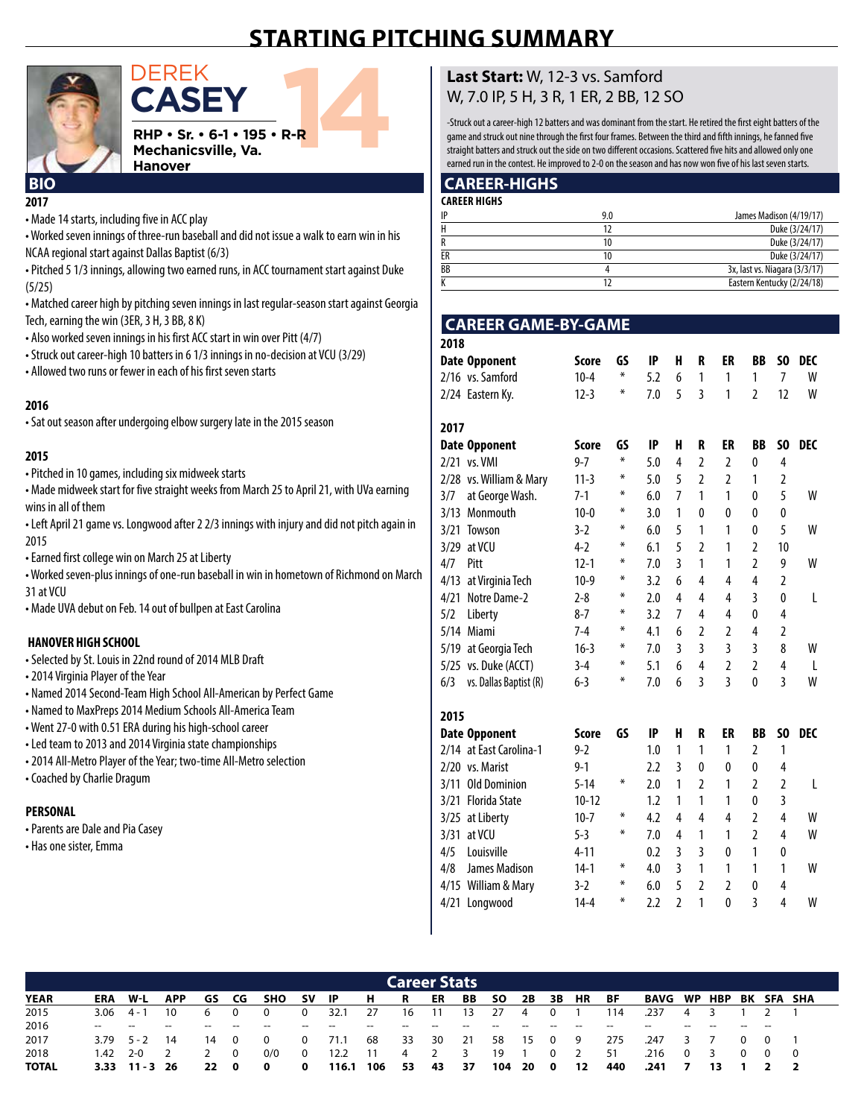## **starting pitching summary**



**casey**

**CASEY**<br>RHP · Sr. · 6-1 · 195 · R-R<br>Mechanicsville, Va.<br>Hanover **RHP • Sr. • 6-1 • 195 • R-R Mechanicsville, Va. Hanover**

## **2017**

• Made 14 starts, including five in ACC play

• Worked seven innings of three-run baseball and did not issue a walk to earn win in his NCAA regional start against Dallas Baptist (6/3)

• Pitched 5 1/3 innings, allowing two earned runs, in ACC tournament start against Duke (5/25)

• Matched career high by pitching seven innings in last regular-season start against Georgia Tech, earning the win (3ER, 3 H, 3 BB, 8 K)

- Also worked seven innings in his first ACC start in win over Pitt (4/7)
- Struck out career-high 10 batters in 6 1/3 innings in no-decision at VCU (3/29)
- Allowed two runs or fewer in each of his first seven starts

#### **2016**

• Sat out season after undergoing elbow surgery late in the 2015 season

#### **2015**

• Pitched in 10 games, including six midweek starts

• Made midweek start for five straight weeks from March 25 to April 21, with UVa earning wins in all of them

• Left April 21 game vs. Longwood after 2 2/3 innings with injury and did not pitch again in 2015

• Earned first college win on March 25 at Liberty

• Worked seven-plus innings of one-run baseball in win in hometown of Richmond on March 31 at VCU

• Made UVA debut on Feb. 14 out of bullpen at East Carolina

#### **hanover high school**

- Selected by St. Louis in 22nd round of 2014 MLB Draft
- 2014 Virginia Player of the Year
- Named 2014 Second-Team High School All-American by Perfect Game
- Named to MaxPreps 2014 Medium Schools All-America Team
- Went 27-0 with 0.51 ERA during his high-school career
- Led team to 2013 and 2014 Virginia state championships
- 2014 All-Metro Player of the Year; two-time All-Metro selection
- Coached by Charlie Dragum

#### **Personal**

- Parents are Dale and Pia Casey
- Has one sister, Emma

#### **Last Start:** W, 12-3 vs. Samford W, 7.0 IP, 5 H, 3 R, 1 ER, 2 BB, 12 SO

-Struck out a career-high 12 batters and was dominant from the start. He retired the first eight batters of the game and struck out nine through the first four frames. Between the third and fifth innings, he fanned five straight batters and struck out the side on two different occasions. Scattered five hits and allowed only one earned run in the contest. He improved to 2-0 on the season and has now won five of his last seven starts.

#### **BIO CAREER-HIGHS**

| <b>CAREER HIGHS</b> |     |                               |
|---------------------|-----|-------------------------------|
| IP                  | 9.0 | James Madison (4/19/17)       |
| Н                   |     | Duke (3/24/17)                |
|                     | 10  | Duke (3/24/17)                |
| ER                  | 10  | Duke (3/24/17)                |
| BB                  |     | 3x, last vs. Niagara (3/3/17) |
|                     |     | Eastern Kentucky (2/24/18)    |

#### **CAREER GAME-BY-GAME**

| 2018 |                         |              |    |     |                |                |                |                |                |            |
|------|-------------------------|--------------|----|-----|----------------|----------------|----------------|----------------|----------------|------------|
|      | <b>Date Opponent</b>    | <b>Score</b> | GS | IP  | Н              | R              | ER             | BB             | SO             | DEC        |
|      | 2/16 vs. Samford        | $10 - 4$     | ₩  | 5.2 | 6              | 1              | 1              | 1              | 7              | W          |
|      | 2/24 Eastern Ky.        | $12 - 3$     | ⋇  | 7.0 | 5              | 3              | 1              | $\overline{2}$ | 12             | W          |
| 2017 |                         |              |    |     |                |                |                |                |                |            |
|      | <b>Date Opponent</b>    | <b>Score</b> | GS | IP  | Н              | R              | ER             | BB             | SO             | <b>DEC</b> |
|      | 2/21 vs. VMI            | $9 - 7$      | ₩  | 5.0 | 4              | $\overline{2}$ | $\overline{2}$ | 0              | 4              |            |
|      | 2/28 vs. William & Mary | $11-3$       | ⋇  | 5.0 | 5              | $\overline{2}$ | 2              | 1              | 2              |            |
| 3/7  | at George Wash.         | $7-1$        | ⋇  | 6.0 | 7              | 1              | 1              | 0              | 5              | W          |
| 3/13 | Monmouth                | $10 - 0$     | ⋇  | 3.0 | 1              | 0              | 0              | 0              | 0              |            |
| 3/21 | Towson                  | $3 - 2$      | ⋇  | 6.0 | 5              | 1              | 1              | $\mathbf{0}$   | 5              | W          |
| 3/29 | at VCU                  | $4-2$        | ₩  | 6.1 | 5              | $\overline{2}$ | 1              | $\overline{2}$ | 10             |            |
| 4/7  | Pitt                    | $12 - 1$     | ⋇  | 7.0 | 3              | 1              | 1              | $\overline{2}$ | 9              | W          |
| 4/13 | at Virginia Tech        | $10-9$       | ⋇  | 3.2 | 6              | 4              | 4              | 4              | $\overline{2}$ |            |
| 4/21 | Notre Dame-2            | $2 - 8$      | ₩  | 2.0 | 4              | 4              | 4              | 3              | 0              | L          |
| 5/2  | Liberty                 | $8 - 7$      | ₩  | 3.2 | 7              | 4              | 4              | $\mathbf{0}$   | 4              |            |
| 5/14 | Miami                   | $7 - 4$      | ⋇  | 4.1 | 6              | $\overline{2}$ | $\overline{2}$ | 4              | 2              |            |
| 5/19 | at Georgia Tech         | $16-3$       | ⋇  | 7.0 | 3              | 3              | 3              | 3              | 8              | W          |
|      | 5/25 vs. Duke (ACCT)    | $3 - 4$      | ⋇  | 5.1 | 6              | $\overline{4}$ | $\overline{2}$ | $\overline{2}$ | $\overline{4}$ | L          |
| 6/3  | vs. Dallas Baptist (R)  | $6 - 3$      | ₩  | 7.0 | 6              | $\overline{3}$ | 3              | $\mathbf{0}$   | 3              | W          |
| 2015 |                         |              |    |     |                |                |                |                |                |            |
|      | <b>Date Opponent</b>    | <b>Score</b> | GS | IP  | Н              | R              | ER             | BB             | SO             | DEC        |
|      | 2/14 at East Carolina-1 | $9 - 2$      |    | 1.0 | 1              | 1              | 1              | $\overline{2}$ | $\mathbf{1}$   |            |
|      | 2/20 vs. Marist         | $9 - 1$      |    | 2.2 | 3              | 0              | 0              | 0              | 4              |            |
| 3/11 | <b>Old Dominion</b>     | $5 - 14$     | ⋇  | 2.0 | 1              | $\overline{2}$ | 1              | $\overline{2}$ | 2              | L          |
| 3/21 | <b>Florida State</b>    | $10 - 12$    |    | 1.2 | 1              | 1              | 1              | 0              | 3              |            |
| 3/25 | at Liberty              | $10 - 7$     | ⋇  | 4.2 | 4              | 4              | 4              | 2              | 4              | W          |
| 3/31 | at VCU                  | $5 - 3$      | ⋇  | 7.0 | 4              | 1              | 1              | $\overline{2}$ | 4              | W          |
| 4/5  | Louisville              | $4 - 11$     |    | 0.2 | 3              | 3              | 0              | 1              | 0              |            |
| 4/8  | James Madison           | $14-1$       | ⋇  | 4.0 | 3              | 1              | 1              | 1              | 1              | W          |
| 4/15 | William & Mary          | $3 - 2$      | ₩  | 6.0 | 5              | $\overline{2}$ | $\overline{2}$ | 0              | 4              |            |
|      | 4/21 Longwood           | $14 - 4$     | ⋇  | 2.2 | $\overline{2}$ | 1              | 0              | 3              | 4              | W          |
|      |                         |              |    |     |                |                |                |                |                |            |

|             |                  |                   |                |             |          |                         |             |           |       |      | <b>Career Stats</b> |      |        |                |                |                |     |                    |                |    |            |                          |                   |
|-------------|------------------|-------------------|----------------|-------------|----------|-------------------------|-------------|-----------|-------|------|---------------------|------|--------|----------------|----------------|----------------|-----|--------------------|----------------|----|------------|--------------------------|-------------------|
| <b>YEAR</b> | <b>ERA</b>       | W-L               | <b>APP</b>     |             | GS CG    | SHO                     | SV IP       |           | н.    | R    | ER                  | BB   | -SO    | 2B             |                | 3B HR          | BF  | <b>BAVG WP HBP</b> |                |    |            |                          | <b>BK SFA SHA</b> |
| 2015        |                  | $3.06$ 4 - 1      | 10             | 6           | - 0      | - 0                     | 0           | 32.1      | - 27  | 16   | 11 13 27            |      |        | $\overline{4}$ | $\overline{0}$ |                | 114 | .237               | 4 3            |    |            |                          |                   |
| 2016        | $- -$            | $-$               | $-$            | $\sim$      |          | $\hspace{0.05cm}$       |             |           | $- -$ |      | $- -$               |      |        |                |                |                |     |                    |                |    |            | $\overline{\phantom{a}}$ |                   |
| 2017        |                  | $3.79$ $5 - 2$ 14 |                | 14 0        |          | $\overline{\mathbf{0}}$ | $\Omega$    | 71.1      | 68 33 |      | - 30                | 21   | - 58   |                | 15 0 9         |                | 275 | .247               | 3 7            |    | $0\quad 0$ |                          |                   |
| 2018        | $1.42 \quad 2-0$ |                   | $\overline{2}$ |             | $\Omega$ | 0/0                     | 0           | 12.2      | - 11  |      | 4 2 3               |      | 19     | $\overline{1}$ | $\Omega$       | $\overline{2}$ | -51 | .216               | $0 \quad 3$    |    | $0\quad 0$ |                          | $\overline{0}$    |
| TOTAL       |                  | $3.33$ 11 - 3 26  |                | <b>22</b> 0 |          | $\mathbf{0}$            | $\mathbf 0$ | 116.1 106 |       | - 53 | - 43                | - 37 | 104 20 |                | 0              | - 12           | 440 | .241               | $\overline{7}$ | 13 |            |                          |                   |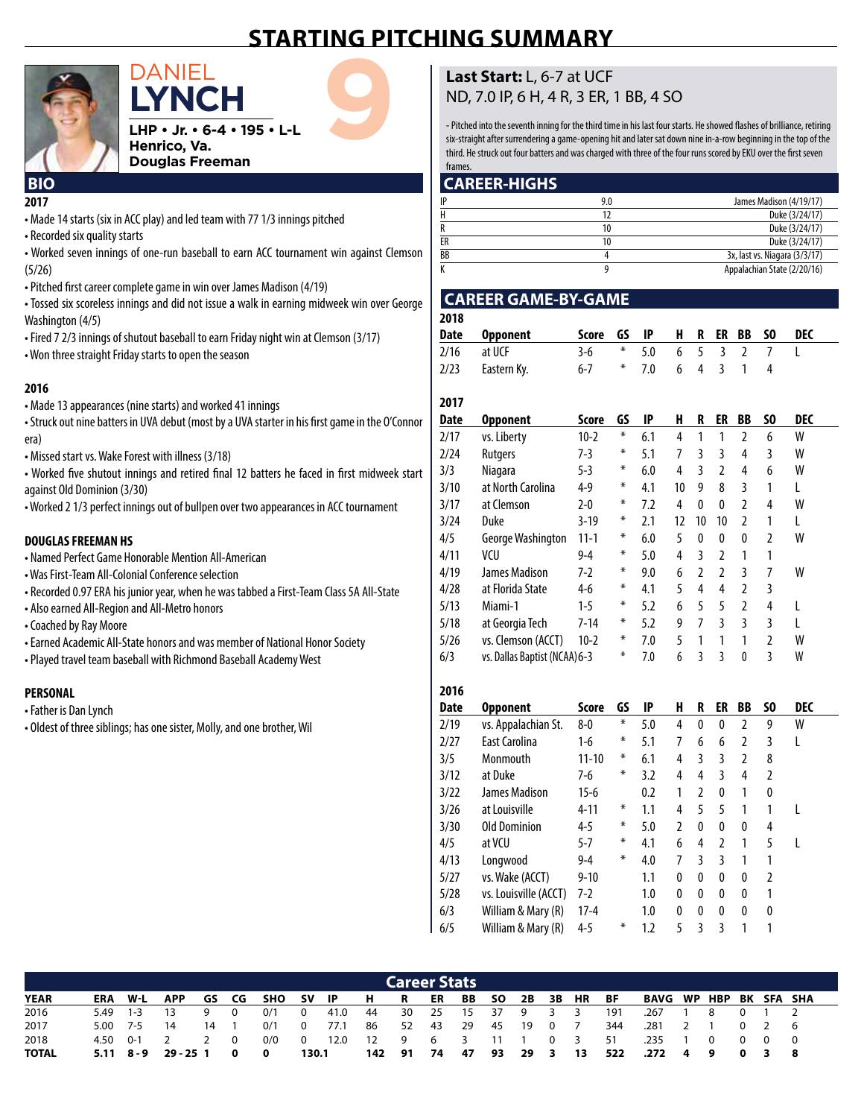## **starting pitching summary**



DANIEL<br>LHP • Jr. • 6-4 • 195 • L-L<br>Henrico, Va.<br>Douglas Freeman **lynch LHP • Jr. • 6-4 • 195 • L-L Henrico, Va. Douglas Freeman**

#### **2017 BIO**

- Made 14 starts (six in ACC play) and led team with 77 1/3 innings pitched
- Recorded six quality starts
- Worked seven innings of one-run baseball to earn ACC tournament win against Clemson (5/26)
- Pitched first career complete game in win over James Madison (4/19)
- Tossed six scoreless innings and did not issue a walk in earning midweek win over George Washington (4/5)
- Fired 7 2/3 innings of shutout baseball to earn Friday night win at Clemson (3/17)
- Won three straight Friday starts to open the season

#### **2016**

- Made 13 appearances (nine starts) and worked 41 innings
- Struck out nine batters in UVA debut (most by a UVA starter in his first game in the O'Connor era)
- Missed start vs. Wake Forest with illness (3/18)
- Worked five shutout innings and retired final 12 batters he faced in first midweek start against Old Dominion (3/30)
- Worked 2 1/3 perfect innings out of bullpen over two appearances in ACC tournament

#### **DOUGLASFREEMAN HS**

- Named Perfect Game Honorable Mention All-American
- Was First-Team All-Colonial Conference selection
- Recorded 0.97 ERA his junior year, when he was tabbed a First-Team Class 5A All-State
- Also earned All-Region and All-Metro honors
- Coached by Ray Moore
- Earned Academic All-State honors and was member of National Honor Society
- Played travel team baseball with Richmond Baseball Academy West

#### **PERSONAL**

- Father is Dan Lynch
- Oldest of three siblings; has one sister, Molly, and one brother, Wil

#### **Last Start:** L, 6-7 at UCF ND, 7.0 IP, 6 H, 4 R, 3 ER, 1 BB, 4 SO

- Pitched into the seventh inning for the third time in his last four starts. He showed flashes of brilliance, retiring six-straight after surrendering a game-opening hit and later sat down nine in-a-row beginning in the top of the third. He struck out four batters and was charged with three of the four runs scored by EKU over the first seven frames

#### **CAREER-HIGHS**

| IP | 9.0 | James Madison (4/19/17)       |
|----|-----|-------------------------------|
|    |     | Duke (3/24/17)                |
|    |     | Duke (3/24/17)                |
| ER |     | Duke (3/24/17)                |
| BB |     | 3x, last vs. Niagara (3/3/17) |
|    |     | Appalachian State (2/20/16)   |

#### **CAREER GAME-BY-GAME**

| 2018<br><b>Date</b> |                               | <b>Score</b> | GS     | IP  | н              | R              | ER             | BB             | SO             | <b>DEC</b> |  |
|---------------------|-------------------------------|--------------|--------|-----|----------------|----------------|----------------|----------------|----------------|------------|--|
|                     | <b>Opponent</b>               |              | ⋇      |     |                |                |                |                |                |            |  |
| 2/16                | at UCF                        | $3 - 6$      |        | 5.0 | 6              | 5              | 3              | $\overline{2}$ | 7              | I          |  |
| 2/23                | Eastern Ky.                   | $6 - 7$      | ⋇      | 7.0 | 6              | 4              | 3              | 1              | 4              |            |  |
| 2017                |                               |              |        |     |                |                |                |                |                |            |  |
| <b>Date</b>         | <b>Opponent</b>               | Score        | GS     | IP  | H              | R              | ER             | BB             | SO             | <b>DEC</b> |  |
| 2/17                | vs. Liberty                   | $10-2$       | $\ast$ | 6.1 | 4              | 1              | 1              | $\overline{2}$ | 6              | W          |  |
| 2/24                | Rutgers                       | $7-3$        | ⋇      | 5.1 | $\overline{7}$ | 3              | 3              | 4              | 3              | W          |  |
| 3/3                 | Niagara                       | $5 - 3$      | ⋇      | 6.0 | 4              | 3              | $\overline{2}$ | 4              | 6              | W          |  |
| 3/10                | at North Carolina             | $4 - 9$      | ⋇      | 4.1 | 10             | 9              | 8              | 3              | 1              | L          |  |
| 3/17                | at Clemson                    | $2 - 0$      | ₩      | 7.2 | $\overline{4}$ | $\mathbf{0}$   | $\mathbf{0}$   | $\overline{2}$ | 4              | W          |  |
| 3/24                | <b>Duke</b>                   | $3 - 19$     | ⋇      | 2.1 | 12             | 10             | 10             | $\mathfrak{p}$ | 1              | L          |  |
| 4/5                 | George Washington             | $11 - 1$     | ⋇      | 6.0 | 5              | $\mathbf{0}$   | 0              | $\mathbf{0}$   | 2              | W          |  |
| 4/11                | VCU                           | $9 - 4$      | ⋇      | 5.0 | 4              | 3              | $\overline{2}$ | 1              | 1              |            |  |
| 4/19                | <b>James Madison</b>          | $7-2$        | ₩      | 9.0 | 6              | $\mathfrak{p}$ | $\overline{2}$ | 3              | 7              | W          |  |
| 4/28                | at Florida State              | $4 - 6$      | ⋇      | 4.1 | 5              | $\overline{4}$ | 4              | $\overline{2}$ | 3              |            |  |
| 5/13                | Miami-1                       | $1 - 5$      | ⋇      | 5.2 | 6              | 5              | 5              | $\overline{2}$ | 4              | L          |  |
| 5/18                | at Georgia Tech               | $7 - 14$     | ∗      | 5.2 | 9              | $\overline{7}$ | 3              | 3              | 3              | L          |  |
| 5/26                | vs. Clemson (ACCT)            | $10-2$       | ₩      | 7.0 | 5              | 1              | 1              | 1              | $\overline{2}$ | W          |  |
| 6/3                 | vs. Dallas Baptist (NCAA) 6-3 |              | ₩      | 7.0 | 6              | 3              | 3              | 0              | 3              | W          |  |
|                     |                               |              |        |     |                |                |                |                |                |            |  |
| 2016                |                               |              |        |     |                |                |                |                |                |            |  |
| Date                | <b>Opponent</b>               | Score        | GS     | IP  | H              | R              | ER             | BB             | S <sub>0</sub> | <b>DEC</b> |  |
| 2/19                | vs. Appalachian St.           | $8 - 0$      | ⋇      | 5.0 | $\overline{4}$ | $\mathbf{0}$   | $\mathbf{0}$   | $\overline{2}$ | 9              | W          |  |
| 2/27                | East Carolina                 | $1 - 6$      | ⋇      | 5.1 | $\overline{7}$ | 6              | 6              | $\overline{2}$ | 3              | L          |  |
| 3/5                 | Monmouth                      | $11 - 10$    | ⋇      | 6.1 | 4              | 3              | 3              | 2              | 8              |            |  |
| 3/12                | at Duke                       | $7 - 6$      | ∗      | 3.2 | 4              | 4              | 3              | 4              | $\overline{2}$ |            |  |
| 3/22                | <b>James Madison</b>          | $15 - 6$     |        | 0.2 | 1              | $\overline{2}$ | 0              | 1              | 0              |            |  |
| 3/26                | at Louisville                 | $4 - 11$     | ₩      | 1.1 | 4              | 5              | 5              | 1              | 1              | L          |  |

3/30 Old Dominion 4-5 \* 5.0 2 0 0 0 4 4/5 at VCU 5-7 \* 4.1 6 4 2 1 5 L

|             |            |         |            |     |    |            |             |      |    |                     | 4/13 |    | Longwood              |    |    | $9 - 4$  | ⋇   | 4.0         |           |                      |   |     |                   |  |
|-------------|------------|---------|------------|-----|----|------------|-------------|------|----|---------------------|------|----|-----------------------|----|----|----------|-----|-------------|-----------|----------------------|---|-----|-------------------|--|
|             |            |         |            |     |    |            |             |      |    |                     | 5/27 |    | vs. Wake (ACCT)       |    |    | $9 - 10$ |     | 1.1         | 0         | $\bf{0}$<br>$\bf{0}$ | 0 |     |                   |  |
|             |            |         |            |     |    |            |             |      |    |                     | 5/28 |    | vs. Louisville (ACCT) |    |    | 7-2      |     | 1.0         | 0         | $\bf{0}$<br>$\bf{0}$ | 0 |     |                   |  |
|             |            |         |            |     |    |            |             |      |    |                     | 6/3  |    | William & Mary (R)    |    |    | $17 - 4$ |     | 1.0         | 0         | $\bf{0}$<br>0        | 0 | - 0 |                   |  |
|             |            |         |            |     |    |            |             |      |    |                     | 6/5  |    | William & Mary (R)    |    |    | 4-5      | ⋇   |             |           |                      |   |     |                   |  |
|             |            |         |            |     |    |            |             |      |    |                     |      |    |                       |    |    |          |     |             |           |                      |   |     |                   |  |
|             |            |         |            |     |    |            |             |      |    |                     |      |    |                       |    |    |          |     |             |           |                      |   |     |                   |  |
|             |            |         |            |     |    |            |             |      |    | <b>Career Stats</b> |      |    |                       |    |    |          |     |             |           |                      |   |     |                   |  |
| <b>YEAR</b> | <b>ERA</b> | $W-L$   | <b>APP</b> | GS. | CG | <b>SHO</b> | sv          | -IP  | н  | R                   | ER   | BB | <b>SO</b>             | 2B | 3В | HR       | BF  | <b>BAVG</b> | <b>WP</b> | <b>HBP</b>           |   |     | <b>BK SFA SHA</b> |  |
| 2016        | 5.49       | $1 - 3$ | 13         | 9   | 0  | 0/1        | $\mathbf 0$ | 41.0 | 44 | 30                  | 25   | 15 | 37                    | 9  |    |          | 191 | .267        |           | 8                    |   |     |                   |  |

2017 5.00 7-5 14 14 1 0/1 0 77.1 86 52 43 29 45 19 0 7 344 .281 2 1 0 2 6 2018 4.50 0-1 2 2 0 0/0 0 12.0 12 9 6 3 11 1 0 3 51 .235 1 0 0 0 0 TOTAL 5.11 8-9 29- 25 1 0 0 130.1 142 91 74 47 93 29 3 13 522 .272 4 9 0 3 8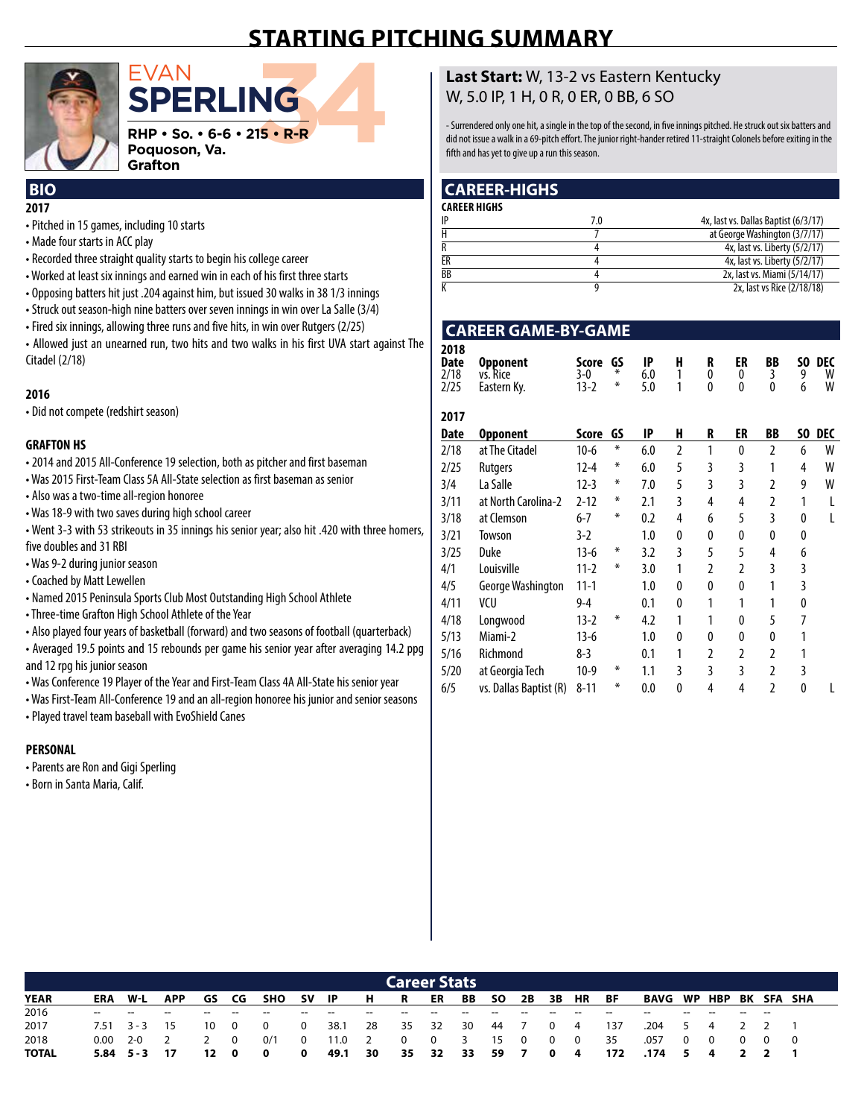## **starting pitching summary**



## $\begin{array}{l} \textsf{EVAN} \ \textsf{SPERLING} \ \textsf{RHP} \cdot \textsf{so} \cdot \textsf{6-6} \cdot \textsf{215} \cdot \textsf{R-R} \ \textsf{Poguoson, Va.} \ \textsf{Gradient} \end{array}$ **sperling RHP • So. • 6-6 • 215 • R-R Poquoson, Va.**

## **2017**

- Pitched in 15 games, including 10 starts
- Made four starts in ACC play
- Recorded three straight quality starts to begin his college career

**Grafton** 

- Worked at least six innings and earned win in each of his first three starts
- Opposing batters hit just .204 against him, but issued 30 walks in 38 1/3 innings
- Struck out season-high nine batters over seven innings in win over La Salle (3/4)
- Fired six innings, allowing three runs and five hits, in win over Rutgers (2/25)

• Allowed just an unearned run, two hits and two walks in his first UVA start against The Citadel (2/18)

#### **2016**

• Did not compete (redshirt season)

#### **GRAFTON HS**

• 2014 and 2015 All-Conference 19 selection, both as pitcher and first baseman

- Was 2015 First-Team Class 5A All-State selection as first baseman as senior
- Also was a two-time all-region honoree
- Was 18-9 with two saves during high school career

• Went 3-3 with 53 strikeouts in 35 innings his senior year; also hit .420 with three homers, five doubles and 31 RBI

- Was 9-2 during junior season
- Coached by Matt Lewellen
- Named 2015 Peninsula Sports Club Most Outstanding High School Athlete
- Three-time Grafton High School Athlete of the Year
- Also played four years of basketball (forward) and two seasons of football (quarterback)

• Averaged 19.5 points and 15 rebounds per game his senior year after averaging 14.2 ppg and 12 rpg his junior season

- Was Conference 19 Player of the Year and First-Team Class 4A All-State his senior year
- Was First-Team All-Conference 19 and an all-region honoree his junior and senior seasons
- Played travel team baseball with EvoShield Canes

#### **PERSONAL**

- Parents are Ron and Gigi Sperling
- Born in Santa Maria, Calif.

#### **Last Start:** W, 13-2 vs Eastern Kentucky W, 5.0 IP, 1 H, 0 R, 0 ER, 0 BB, 6 SO

- Surrendered only one hit, a single in the top of the second, in five innings pitched. He struck out six batters and did not issue a walk in a 69-pitch effort. The junior right-hander retired 11-straight Colonels before exiting in the fifth and has yet to give up a run this season.

#### **BIO CAREER-HIGHS**

| <b>CAREER HIGHS</b> |     |                                      |
|---------------------|-----|--------------------------------------|
| IP                  | 7.0 | 4x, last vs. Dallas Baptist (6/3/17) |
|                     |     | at George Washington (3/7/17)        |
|                     |     | 4x, last vs. Liberty (5/2/17)        |
| ER                  |     | 4x, last vs. Liberty (5/2/17)        |
| BB                  |     | 2x, last vs. Miami (5/14/17)         |
|                     |     | 2x, last vs Rice (2/18/18)           |

#### **CAREER GAME-BY-GAME**

| 2018 | Date Opponent                       | Score GS IP H R ER BB SO DEC |                                             |  |                    |  |
|------|-------------------------------------|------------------------------|---------------------------------------------|--|--------------------|--|
|      | $2/18$ vs. Rice<br>2/25 Eastern Ky. |                              | 3-0 * 6.0 1 0 0 3 9 W<br>$13-2$ * 5.0 1 0 0 |  | $0\qquad 6\quad W$ |  |

| 2017        |                        |          |    |     |              |   |    |                |          |     |
|-------------|------------------------|----------|----|-----|--------------|---|----|----------------|----------|-----|
| <b>Date</b> | <b>Opponent</b>        | Score    | GS | IP  | H            | R | ER | BB             | SO.      | DEC |
| 2/18        | at The Citadel         | $10-6$   | ∗  | 6.0 | 2            | 1 | 0  | $\overline{2}$ | 6        | W   |
| 2/25        | Rutgers                | $12 - 4$ | ∗  | 6.0 | 5            | 3 | 3  |                | 4        | W   |
| 3/4         | La Salle               | $12-3$   | ∗  | 7.0 | 5            | 3 | 3  | 2              | 9        | W   |
| 3/11        | at North Carolina-2    | $2 - 12$ | ∗  | 2.1 | 3            | 4 | 4  | 2              | 1        |     |
| 3/18        | at Clemson             | $6 - 7$  | ∗  | 0.2 | 4            | 6 | 5  | 3              | 0        |     |
| 3/21        | Towson                 | 3-2      |    | 1.0 | 0            | 0 | 0  | 0              | 0        |     |
| 3/25        | Duke                   | 13-6     | ∗  | 3.2 | 3            | 5 | 5  | 4              | 6        |     |
| 4/1         | Louisville             | 11-2     | ∗  | 3.0 | 1            | 2 | 2  | 3              | 3        |     |
| 4/5         | George Washington      | $11 - 1$ |    | 1.0 | 0            | 0 | 0  | 1              | 3        |     |
| 4/11        | VCU                    | $9 - 4$  |    | 0.1 | 0            | 1 | 1  |                | 0        |     |
| 4/18        | Longwood               | 13-2     | ∗  | 4.2 | 1            |   | 0  | 5              | 7        |     |
| 5/13        | Miami-2                | 13-6     |    | 1.0 | 0            | 0 | 0  | 0              |          |     |
| 5/16        | Richmond               | 8-3      |    | 0.1 | 1            | 2 | 2  | 2              |          |     |
| 5/20        | at Georgia Tech        | $10-9$   | ∗  | 1.1 | 3            | 3 | 3  | $\overline{2}$ | 3        |     |
| 6/5         | vs. Dallas Baptist (R) | $8 - 11$ | ∗  | 0.0 | $\mathbf{0}$ | 4 | 4  | $\overline{2}$ | $\theta$ |     |

|             |                               |                    |     |                          |       |                                                                    |        |                            |                      |       | <b>Career Stats</b> |       |     |       |                   |       |                        |       |       |  |
|-------------|-------------------------------|--------------------|-----|--------------------------|-------|--------------------------------------------------------------------|--------|----------------------------|----------------------|-------|---------------------|-------|-----|-------|-------------------|-------|------------------------|-------|-------|--|
| <b>YEAR</b> | ERA                           | W-L                | APP |                          |       | GS CG SHO SV IP                                                    |        |                            | HR ER                |       |                     |       |     |       | BB SO 2B 3B HR BF |       | BAVG WP HBP BK SFA SHA |       |       |  |
| 2016        | the company of the company of |                    | $-$ | $\overline{\phantom{a}}$ | $- -$ | $\sim$ $-$                                                         | $\sim$ | and the contract of        | $-$                  | $- -$ | $\sim$              | $- -$ | $-$ | $- -$ |                   | $- -$ | $-$                    | $- -$ | $- -$ |  |
| 2017        |                               |                    |     |                          |       | 7.51  3-3  15  10  0  0  0  38.1  28  35  32  30  44  7  0  4  137 |        |                            |                      |       |                     |       |     |       |                   |       | .204 5 4 2 2 1         |       |       |  |
| 2018        |                               | $0.00 \t 2-0 \t 2$ |     | 2 0                      |       | 0/1                                                                |        | 0 11.0 2 0 0 3 15 0 0 0 35 |                      |       |                     |       |     |       |                   |       | .057 0 0 0 0 0         |       |       |  |
| TOTAL       |                               | $5.84$ $5-3$ 17    |     |                          |       | 12 0 0                                                             | - 0    | 49.1                       | 30 35 32 33 59 7 0 4 |       |                     |       |     |       |                   | 172   | .174 5 4 2 2 1         |       |       |  |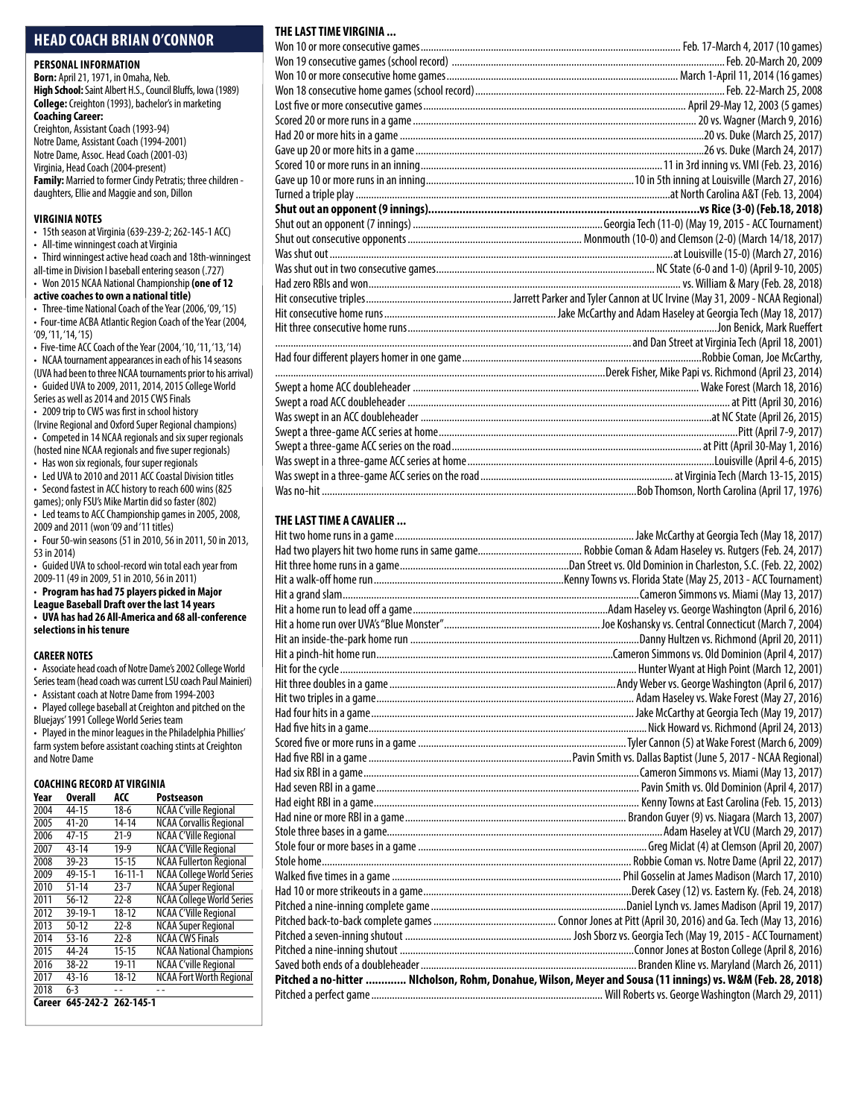#### **head coach brian o'connor**

#### **Personal Information**

**Born:** April 21, 1971, in Omaha, Neb. **High School:** Saint Albert H.S., Council Bluffs, Iowa (1989) **College:** Creighton (1993), bachelor's in marketing **Coaching Career:**  Creighton, Assistant Coach (1993-94)

Notre Dame, Assistant Coach (1994-2001) Notre Dame, Assoc. Head Coach (2001-03) Virginia, Head Coach (2004-present) **Family:** Married to former Cindy Petratis; three children daughters, Ellie and Maggie and son, Dillon

#### **virginia Notes**

• 15th season at Virginia (639-239-2; 262-145-1 ACC) • All-time winningest coach at Virginia

- Third winningest active head coach and 18th-winningest
- all-time in Division I baseball entering season (.727)

#### • Won 2015 NCAA National Championship **(one of 12**

#### **active coaches to own a national title)**

- Three-time National Coach of the Year (2006, '09, '15) • Four-time ACBA Atlantic Region Coach of the Year (2004, '09, '11, '14, '15)
- Five-time ACC Coach of the Year (2004, '10, '11, '13, '14) • NCAA tournament appearances in each of his 14 seasons
- (UVA had been to three NCAA tournaments prior to his arrival) • Guided UVA to 2009, 2011, 2014, 2015 College World
- Series as well as 2014 and 2015 CWS Finals
- 2009 trip to CWS was first in school history
- (Irvine Regional and Oxford Super Regional champions) • Competed in 14 NCAA regionals and six super regionals
- (hosted nine NCAA regionals and five super regionals) • Has won six regionals, four super regionals
- Led UVA to 2010 and 2011 ACC Coastal Division titles • Second fastest in ACC history to reach 600 wins (825
- games); only FSU's Mike Martin did so faster (802) • Led teams to ACC Championship games in 2005, 2008,
- 2009 and 2011 (won '09 and '11 titles) • Four 50-win seasons (51 in 2010, 56 in 2011, 50 in 2013,
- 53 in 2014)
- Guided UVA to school-record win total each year from 2009-11 (49 in 2009, 51 in 2010, 56 in 2011)
- **Program has had 75 players picked in Major**
- **League Baseball Draft over the last 14 years**
- **• UVA has had 26 All-America and 68 all-conference selections in his tenure**

#### **CAREER NOTES**

• Associate head coach of Notre Dame's 2002 College World Series team (head coach was current LSU coach Paul Mainieri)

• Assistant coach at Notre Dame from 1994-2003 • Played college baseball at Creighton and pitched on the Bluejays' 1991 College World Series team

• Played in the minor leagues in the Philadelphia Phillies' farm system before assistant coaching stints at Creighton and Notre Dame

#### **Coaching Record at virginia**

| Year   | <b>Overall</b>      | ACC           | Postseason                       |
|--------|---------------------|---------------|----------------------------------|
| 2004   | 44-15               | 18-6          | <b>NCAA C'ville Regional</b>     |
| 2005   | $41 - 20$           | $14 - 14$     | <b>NCAA Corvallis Regional</b>   |
| 2006   | $47 - 15$           | $21-9$        | <b>NCAA C'Ville Regional</b>     |
| 2007   | $43 - 14$           | $19-9$        | <b>NCAA C'Ville Regional</b>     |
| 2008   | $39 - 23$           | $15 - 15$     | <b>NCAA Fullerton Regional</b>   |
| 2009   | $49 - 15 - 1$       | $16 - 11 - 1$ | <b>NCAA College World Series</b> |
| 2010   | $51 - 14$           | $23 - 7$      | <b>NCAA Super Regional</b>       |
| 2011   | $56 - 12$           | $22 - 8$      | <b>NCAA College World Series</b> |
| 2012   | 39-19-1             | $18 - 12$     | <b>NCAA C'Ville Regional</b>     |
| 2013   | $50 - 12$           | $22 - 8$      | <b>NCAA Super Regional</b>       |
| 2014   | $53 - 16$           | $22 - 8$      | <b>NCAA CWS Finals</b>           |
| 2015   | 44-24               | $15 - 15$     | <b>NCAA National Champions</b>   |
| 2016   | $38 - 22$           | 19-11         | <b>NCAA C'ville Regional</b>     |
| 2017   | $43 - 16$           | $18 - 12$     | <b>NCAA Fort Worth Regional</b>  |
| 2018   | $6 - 3$             |               |                                  |
| Career | 645-242-2 262-145-1 |               |                                  |

#### **THELASTTIME VIRGINIA ...**

#### **THELASTTIME A CAVALIER ...**

| Pitched a no-hitter  NIcholson, Rohm, Donahue, Wilson, Meyer and Sousa (11 innings) vs. W&M (Feb. 28, 2018) |  |
|-------------------------------------------------------------------------------------------------------------|--|
|                                                                                                             |  |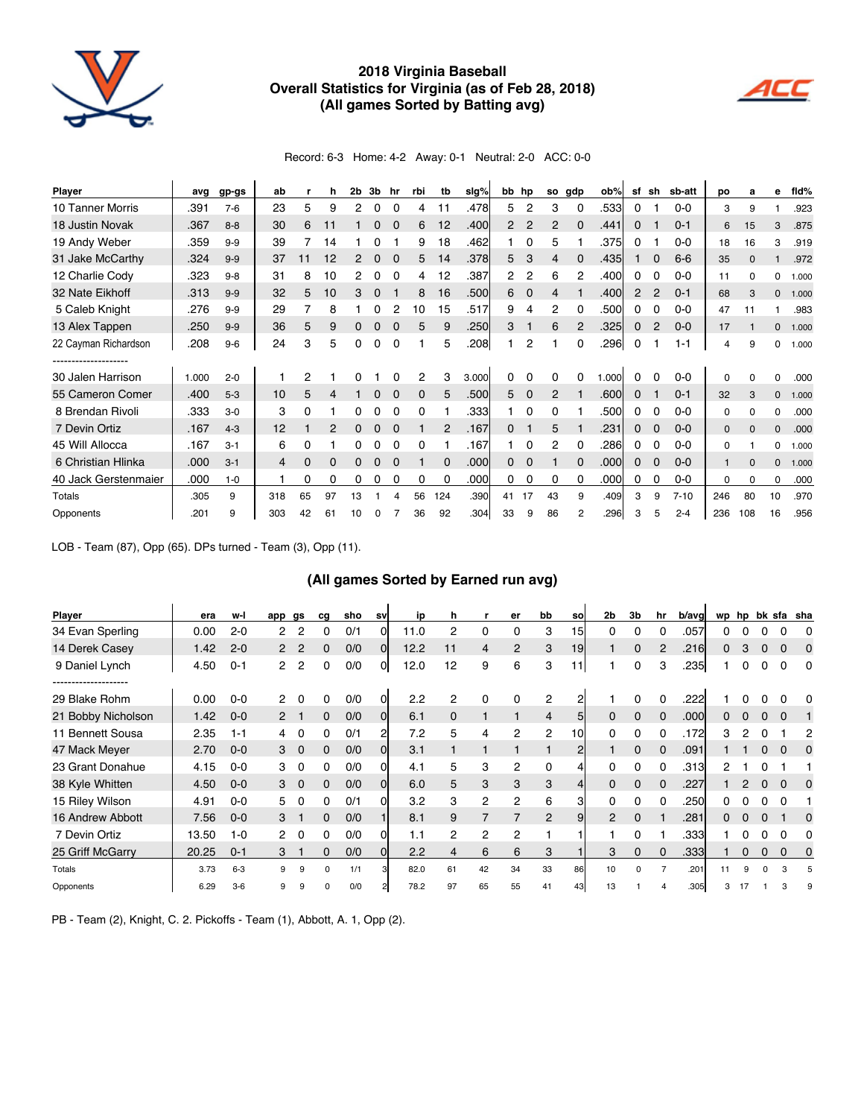

#### **2018 Virginia Baseball overall statistics for Virginia (as of Feb 28, 2018) (all games sorted by Batting avg)**



Record: 6-3 Home: 4-2 Away: 0-1 Neutral: 2-0 ACC: 0-0

| Player               | avg   | $gp-gs$ | ab  |          | h  | 2b | 3b | hr       | rbi      | tb       | sig%  | bb hp          |             | so | qdp | ob%   | sf | sh           | sb-att   | po           | a        | е            | fid%  |
|----------------------|-------|---------|-----|----------|----|----|----|----------|----------|----------|-------|----------------|-------------|----|-----|-------|----|--------------|----------|--------------|----------|--------------|-------|
| 10 Tanner Morris     | .391  | $7-6$   | 23  | 5        | 9  | 2  | 0  | 0        | 4        | 11       | .478  | 5              | 2           | 3  | 0   | .533  | 0  |              | $0 - 0$  | 3            | 9        |              | .923  |
| 18 Justin Novak      | .367  | $8 - 8$ | 30  | 6        | 11 |    | 0  |          | 6        | 12       | .400  | $\overline{2}$ | 2           | 2  | 0   | .441  | 0  |              | $0 - 1$  | 6            | 15       | 3            | .875  |
| 19 Andy Weber        | .359  | $9-9$   | 39  |          | 14 |    | o  |          | 9        | 18       | .462  |                | 0           | 5  |     | .375  | 0  |              | $0 - 0$  | 18           | 16       | 3            | .919  |
| 31 Jake McCarthy     | .324  | $9 - 9$ | 37  |          | 12 | 2  | 0  |          | 5.       | 14       | .378  | 5              | 3           | 4  |     | .435  |    |              | $6-6$    | 35           | n        |              | .972  |
| 12 Charlie Cody      | .323  | $9 - 8$ | 31  | 8        | 10 | 2  | 0  | 0        | 4        | 12       | .387  | 2              | 2           | 6  | 2   | .400  | 0  | 0            | $0 - 0$  | 11           | $\Omega$ | 0            | 1.000 |
| 32 Nate Eikhoff      | .313  | $9 - 9$ | 32  | 5        | 10 | 3  | 0  |          | 8        | 16       | .500  | 6              | 0           | 4  |     | .400l | 2  | 2            | $0 - 1$  | 68           | 3        | $\mathbf{0}$ | 1.000 |
| 5 Caleb Knight       | .276  | $9 - 9$ | 29  |          | 8  |    | o  |          | 10       | 15       | .517  | 9              | 4           | 2  |     | .500  | 0  | $\Omega$     | $0 - 0$  | 47           | 11       |              | .983  |
| 13 Alex Tappen       | .250  | $9-9$   | 36  | 5        | 9  | 0  | 0  | 0        | 5        | 9        | .250  | 3              |             | 6  | 2   | .325  | 0  | 2            | $0 - 0$  | 17           |          | $\mathbf{0}$ | 1.000 |
| 22 Cayman Richardson | 208   | $9-6$   | 24  | 3        | 5  | 0  | 0  | 0        |          | 5        | 208۱. | 1              | 2           |    | 0   | .296  | 0  |              | $1 - 1$  | 4            | 9        | 0            | 1.000 |
|                      |       |         |     |          |    |    |    |          |          |          |       |                |             |    |     |       |    |              |          |              |          |              |       |
| 30 Jalen Harrison    | 1.000 | $2 - 0$ |     | 2        |    |    |    |          | 2        | 3        | 3.000 | 0              |             | 0  |     | 1.000 | 0  |              | $0 - 0$  | 0            | O        | 0            | .000  |
| 55 Cameron Comer     | .400  | $5-3$   | 10  | 5        | 4  |    | 0  | 0        | $\Omega$ | 5        | .500  | 5              | $\mathbf 0$ | 2  |     | .600  | 0  |              | $0 - 1$  | 32           | 3        | $\Omega$     | 1.000 |
| 8 Brendan Rivoli     | .333  | $3-0$   | 3   | 0        |    |    | o  |          | 0        |          | .333  |                | 0           | 0  |     | .500  | 0  |              | $0 - 0$  | 0            | $\Omega$ | $\Omega$     | .000  |
| 7 Devin Ortiz        | .167  | $4 - 3$ | 12  |          |    |    | 0  |          |          | 2        | .167  | 0              |             | 5  |     | .231  | 0  |              | $0 - 0$  | $\mathbf{0}$ | $\Omega$ | $\Omega$     | .000  |
| 45 Will Allocca      | .167  | $3 - 1$ | 6   | 0        |    |    | n  |          | 0        |          | .167  |                | 0           | 2  |     | .286  | 0  | ∩            | $0 - 0$  | 0            |          | 0            | 1.000 |
| 6 Christian Hlinka   | .000  | $3 - 1$ | 4   | $\Omega$ | 0  | 0  | 0  | 0        |          | $\Omega$ | .000  | 0              | $\Omega$    |    | 0   | .000l | 0  | $\mathbf{0}$ | $0 - 0$  | $\mathbf{1}$ | $\Omega$ | $\mathbf{0}$ | 1.000 |
| 40 Jack Gerstenmaier | .000  | $1 - 0$ |     | 0        | 0  | 0  | 0  | $\Omega$ | 0        | $\Omega$ | .000  | 0              | 0           | 0  | 0   | .000  | 0  | 0            | $0 - 0$  | 0            | 0        | 0            | .000  |
| Totals               | .305  | 9       | 318 | 65       | 97 | 13 |    | 4        | 56       | 124      | .390  | 41             | 17          | 43 | 9   | .409  | 3  | 9            | $7 - 10$ | 246          | 80       | 10           | .970  |
| Opponents            | .201  | 9       | 303 | 42       | 61 | 10 |    |          | 36       | 92       | .3041 | 33             | 9           | 86 | 2   | .296  | 3  |              | $2 - 4$  | 236          | 108      | 16           | .956  |

LOB - Team (87), Opp (65). DPs turned - Team (3), Opp (11).

#### **(All games Sorted by Earned run avg)**

| Player             | era   | w-l     | app                  | gs       | cq       | sho | sv | ip   | h              |    | er             | bb             | so | 2b             | 3b       | hr             | b/avgl            | wp       | hp |    |          | bk sfa sha |
|--------------------|-------|---------|----------------------|----------|----------|-----|----|------|----------------|----|----------------|----------------|----|----------------|----------|----------------|-------------------|----------|----|----|----------|------------|
| 34 Evan Sperling   | 0.00  | $2 - 0$ | 2                    | 2        | 0        | 0/1 | 01 | 11.0 | $\overline{2}$ | 0  | 0              | 3              | 15 | 0              | 0        |                | .057              |          |    |    |          |            |
| 14 Derek Casey     | 1.42  | $2 - 0$ | $\mathbf{2}^{\circ}$ | 2        | 0        | 0/0 | 01 | 12.2 | 11             | 4  | $\overline{2}$ | 3              | 19 |                | 0        | $\overline{c}$ | .216              | 0        | 3  | 0  | $\Omega$ |            |
| 9 Daniel Lynch     | 4.50  | $0 - 1$ | $\overline{2}$       | 2        | 0        | 0/0 | 01 | 12.0 | 12             | 9  | 6              | 3              | 11 |                | 0        | 3              | .235              |          | 0  | 0  |          | 0          |
| ---------------    |       |         |                      |          |          |     |    |      |                |    |                |                |    |                |          |                |                   |          |    |    |          |            |
| 29 Blake Rohm      | 0.00  | $0 - 0$ | $\overline{2}$       | 0        | 0        | 0/0 | Οl | 2.2  | $\overline{2}$ | 0  | 0              | 2              |    |                | 0        | 0              | .222              |          |    |    |          |            |
| 21 Bobby Nicholson | 1.42  | $0 - 0$ | 2                    |          | 0        | 0/0 | Οl | 6.1  | 0              |    |                | 4              | 5  | $\Omega$       | $\Omega$ | $\Omega$       | .000 <sub>l</sub> | $\Omega$ |    | 0  |          |            |
| 11 Bennett Sousa   | 2.35  | $1 - 1$ | 4                    | 0        | 0        | 0/1 | 21 | 7.2  | 5              | 4  | 2              | 2              | 10 | 0              | 0        |                | .172              | з        |    |    |          |            |
| 47 Mack Meyer      | 2.70  | $0 - 0$ | 3                    | $\Omega$ | 0        | 0/0 | 0l | 3.1  |                |    |                |                | 2  |                | $\Omega$ | 0              | .091              |          |    | 0  | $\Omega$ | $\Omega$   |
| 23 Grant Donahue   | 4.15  | $0 - 0$ | 3                    | 0        | 0        | 0/0 | Οl | 4.1  | 5              | 3  | 2              | 0              |    | 0              | 0        |                | .313              | 2        |    |    |          |            |
| 38 Kyle Whitten    | 4.50  | $0 - 0$ | 3                    | $\Omega$ | 0        | 0/0 | Οl | 6.0  | 5              | 3  | 3              | 3              | 4  | $\Omega$       | $\Omega$ | $\Omega$       | .227              |          | 2  | 0  |          |            |
| 15 Riley Wilson    | 4.91  | $0 - 0$ | 5                    | 0        | 0        | 0/1 |    | 3.2  | 3              | 2  | 2              | 6              | 3  | 0              | $\Omega$ |                | .250              | 0        |    |    |          |            |
| 16 Andrew Abbott   | 7.56  | $0 - 0$ | 3                    |          | 0        | 0/0 |    | 8.1  | 9              | 7  |                | $\overline{2}$ | 9  | $\overline{2}$ | $\Omega$ |                | .281              | 0        |    |    |          |            |
| 7 Devin Ortiz      | 13.50 | $1 - 0$ | $\overline{2}$       | 0        | 0        | 0/0 | Οl | 1.1  | 2              | 2  | 2              |                |    |                | 0        |                | .333              |          | 0  | n. |          | 0          |
| 25 Griff McGarry   | 20.25 | $0 - 1$ | 3                    |          | 0        | 0/0 | 0l | 2.2  | $\overline{4}$ | 6  | 6              | 3              |    | 3              | $\Omega$ | 0              | .3331             |          | 0  | 0  | $\Omega$ |            |
| Totals             | 3.73  | $6 - 3$ | g                    | g        | $\Omega$ | 1/1 |    | 82.0 | 61             | 42 | 34             | 33             | 86 | 10             | $\Omega$ |                | .201              |          | q  |    |          |            |
| Opponents          | 6.29  | $3-6$   |                      |          | O        | 0/0 |    | 78.2 | 97             | 65 | 55             | 41             | 43 | 13             |          |                | .305              |          |    |    |          |            |

PB - Team (2), Knight, C. 2. Pickoffs - Team (1), Abbott, A. 1, Opp (2).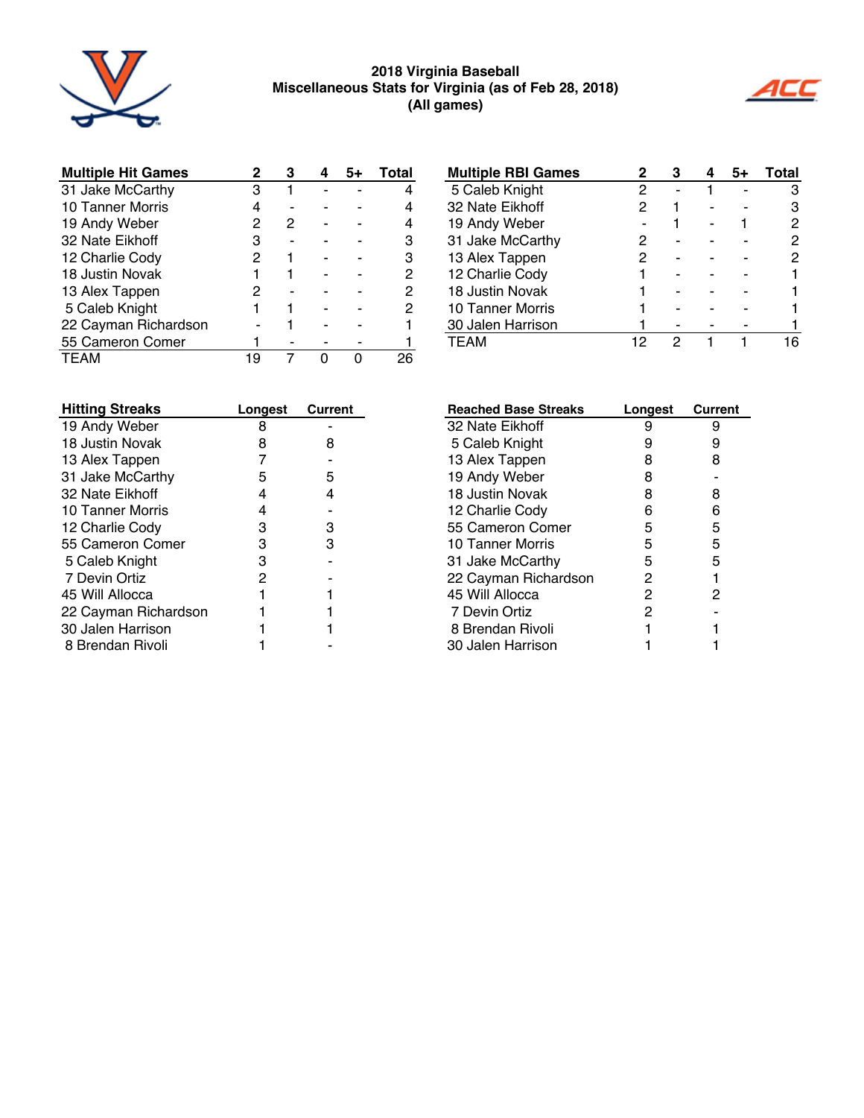

#### **2018 Virginia Baseball Miscellaneous stats for Virginia (as of Feb 28, 2018) (all games)**



| <b>Multiple Hit Games</b> | 2 | З |  | Total         |
|---------------------------|---|---|--|---------------|
| 31 Jake McCarthy          | з |   |  |               |
| <b>10 Tanner Morris</b>   | 4 |   |  |               |
| 19 Andy Weber             | 2 | 2 |  |               |
| 32 Nate Eikhoff           | З |   |  | з             |
| 12 Charlie Cody           | 2 |   |  | 3             |
| 18 Justin Novak           |   |   |  | $\mathcal{P}$ |
| 13 Alex Tappen            | 2 |   |  | $\mathcal{P}$ |
| 5 Caleb Knight            |   |   |  | 2             |
| 22 Cayman Richardson      |   |   |  |               |
| 55 Cameron Comer          |   |   |  |               |
| <b>TFAM</b>               | 9 |   |  |               |

| <b>Hitting Streaks</b> | Longest | <b>Current</b> |
|------------------------|---------|----------------|
| 19 Andy Weber          | 8       |                |
| 18 Justin Novak        | 8       | 8              |
| 13 Alex Tappen         | 7       |                |
| 31 Jake McCarthy       | 5       | 5              |
| 32 Nate Eikhoff        | 4       | 4              |
| 10 Tanner Morris       | 4       |                |
| 12 Charlie Cody        | 3       | 3              |
| 55 Cameron Comer       | 3       | з              |
| 5 Caleb Knight         | 3       |                |
| 7 Devin Ortiz          | 2       |                |
| 45 Will Allocca        |         |                |
| 22 Cayman Richardson   |         |                |
| 30 Jalen Harrison      |         |                |
| 8 Brendan Rivoli       |         |                |

| <b>Multiple RBI Games</b> | 2  | З |  | Total |
|---------------------------|----|---|--|-------|
| 5 Caleb Knight            | 2  |   |  | з     |
| 32 Nate Eikhoff           | 2  |   |  |       |
| 19 Andy Weber             |    |   |  | 2     |
| 31 Jake McCarthy          | 2  |   |  |       |
| 13 Alex Tappen            | 2  |   |  |       |
| 12 Charlie Cody           |    |   |  |       |
| 18 Justin Novak           |    |   |  |       |
| 10 Tanner Morris          |    |   |  |       |
| 30 Jalen Harrison         |    |   |  |       |
| TEAM                      | 12 | 2 |  |       |

| <b>Reached Base Streaks</b> | Longest | <b>Current</b> |
|-----------------------------|---------|----------------|
| 32 Nate Eikhoff             | 9       | 9              |
| 5 Caleb Knight              | 9       | 9              |
| 13 Alex Tappen              | 8       | 8              |
| 19 Andy Weber               | 8       |                |
| 18 Justin Novak             | 8       | 8              |
| 12 Charlie Cody             | 6       | 6              |
| 55 Cameron Comer            | 5       | 5              |
| 10 Tanner Morris            | 5       | 5              |
| 31 Jake McCarthy            | 5       | 5              |
| 22 Cayman Richardson        | 2       | 1              |
| 45 Will Allocca             | 2       | 2              |
| 7 Devin Ortiz               | 2       |                |
| 8 Brendan Rivoli            |         |                |
| 30 Jalen Harrison           |         |                |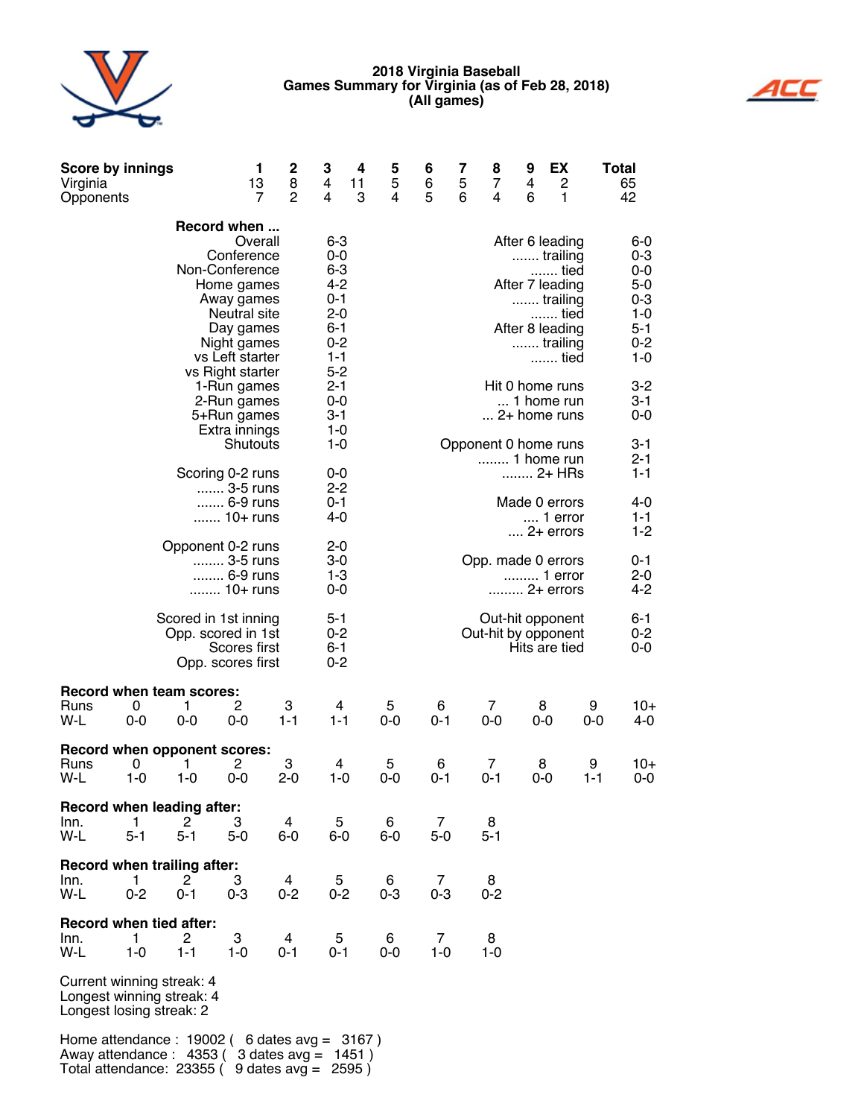#### **2018 Virginia Baseball games summary for Virginia (as of Feb 28, 2018) (all games)**



| <b>Score by innings</b><br>Virginia<br>Opponents                                   |              |                                                                 | 1<br>13<br>$\overline{7}$                                                                                                            | 2<br>8<br>$\overline{2}$ | З<br>4<br>4                                                                            | 4<br>11<br>3 | 5<br>5<br>4  | 6<br>6<br>5  | 7<br>5<br>6 | 8<br>$\overline{7}$<br>4                | 9<br>4<br>6 | EХ<br>$\overline{c}$<br>1                                                                                         |              | Total<br>65<br>42                                                                     |
|------------------------------------------------------------------------------------|--------------|-----------------------------------------------------------------|--------------------------------------------------------------------------------------------------------------------------------------|--------------------------|----------------------------------------------------------------------------------------|--------------|--------------|--------------|-------------|-----------------------------------------|-------------|-------------------------------------------------------------------------------------------------------------------|--------------|---------------------------------------------------------------------------------------|
|                                                                                    |              | Record when<br>Non-Conference                                   | Overall<br>Conference<br>Home games<br>Away games<br>Neutral site<br>Day games<br>Night games<br>vs Left starter<br>vs Right starter |                          | 6-3<br>0-0<br>$6 - 3$<br>4-2<br>0-1<br>$2 - 0$<br>6-1<br>$0 - 2$<br>$1 - 1$<br>$5 - 2$ |              |              |              |             |                                         |             | After 6 leading<br>trailing<br>tied<br>After 7 leading<br>trailing<br>tied<br>After 8 leading<br>trailing<br>tied |              | 6-0<br>$0 - 3$<br>0-0<br>$5-0$<br>$0 - 3$<br>$1 - 0$<br>$5 - 1$<br>$0 - 2$<br>$1 - 0$ |
|                                                                                    |              |                                                                 | 1-Run games<br>2-Run games<br>5+Run games<br>Extra innings                                                                           |                          | $2 - 1$<br>0-0<br>$3 - 1$<br>1-0                                                       |              |              |              |             |                                         |             | Hit 0 home runs<br>1 home run<br>2+ home runs                                                                     |              | $3 - 2$<br>3-1<br>0-0                                                                 |
|                                                                                    |              | Scoring 0-2 runs                                                | Shutouts<br>3-5 runs<br>6-9 runs                                                                                                     |                          | $1 - 0$<br>0-0<br>$2 - 2$<br>0-1                                                       |              |              |              |             | Opponent 0 home runs<br>1 home run      |             | 2+ HRs<br>Made 0 errors                                                                                           |              | 3-1<br>$2 - 1$<br>$1 - 1$<br>4-0                                                      |
|                                                                                    |              |                                                                 | 10+ runs                                                                                                                             |                          | 4-0                                                                                    |              |              |              |             |                                         |             | $\dots$ 1 error<br>$\dots$ 2+ errors                                                                              |              | 1-1<br>$1-2$                                                                          |
|                                                                                    |              | Opponent 0-2 runs                                               | 3-5 runs<br>6-9 runs<br>10+ runs                                                                                                     |                          | $2 - 0$<br>3-0<br>$1 - 3$<br>$0-0$                                                     |              |              |              |             | Opp. made 0 errors                      |             | 1 error<br>2+ errors                                                                                              |              | 0-1<br>2-0<br>4-2                                                                     |
|                                                                                    |              | Scored in 1st inning<br>Opp. scored in 1st<br>Opp. scores first | Scores first                                                                                                                         |                          | $5 - 1$<br>0-2<br>$6 - 1$<br>$0 - 2$                                                   |              |              |              |             | Out-hit opponent<br>Out-hit by opponent |             | Hits are tied                                                                                                     |              | 6-1<br>$0 - 2$<br>$0-0$                                                               |
| <b>Record when team scores:</b><br>Runs<br>W-L                                     | 0<br>$0-0$   | 1<br>$0-0$                                                      | 2<br>$0-0$                                                                                                                           | 3<br>$1 - 1$             |                                                                                        | 4<br>$1 - 1$ | 5<br>$0-0$   | 6<br>$0 - 1$ |             | 7<br>$0-0$                              |             | 8<br>$0-0$                                                                                                        | 9<br>$0-0$   | $10+$<br>$4 - 0$                                                                      |
| Record when opponent scores:<br>Runs<br>W-L                                        | 0<br>$1 - 0$ | 1<br>1-0                                                        | 2<br>$0-0$                                                                                                                           | 3<br>$2 - 0$             |                                                                                        | 4<br>$1 - 0$ | 5<br>$0-0$   | 6<br>$0 - 1$ |             | 7<br>$0 - 1$                            |             | 8<br>0-0                                                                                                          | 9<br>$1 - 1$ | 10+<br>$0-0$                                                                          |
| <b>Record when leading after:</b><br>lnn.<br>W-L                                   | 1<br>$5 - 1$ | 2<br>$5 - 1$                                                    | 3<br>$5-0$                                                                                                                           | 4<br>6-0                 |                                                                                        | 5<br>6-0     | 6<br>6-0     | 7<br>$5-0$   |             | 8<br>$5 - 1$                            |             |                                                                                                                   |              |                                                                                       |
| Record when trailing after:<br>Inn.<br>W-L                                         | 1<br>$0 - 2$ | 2<br>$0 - 1$                                                    | 3<br>$0 - 3$                                                                                                                         | 4<br>$0 - 2$             |                                                                                        | 5<br>$0 - 2$ | 6<br>$0 - 3$ | 7<br>$0 - 3$ |             | 8<br>$0 - 2$                            |             |                                                                                                                   |              |                                                                                       |
| <b>Record when tied after:</b><br>Inn.<br>W-L                                      | 1<br>$1 - 0$ | 2<br>$1 - 1$                                                    | 3<br>1-0                                                                                                                             | 4<br>0-1                 |                                                                                        | 5<br>0-1     | 6<br>0-0     | 7<br>$1 - 0$ |             | 8<br>1-0                                |             |                                                                                                                   |              |                                                                                       |
| Current winning streak: 4<br>Longest winning streak: 4<br>Longest losing streak: 2 |              |                                                                 |                                                                                                                                      |                          |                                                                                        |              |              |              |             |                                         |             |                                                                                                                   |              |                                                                                       |
|                                                                                    |              |                                                                 |                                                                                                                                      |                          |                                                                                        |              |              |              |             |                                         |             |                                                                                                                   |              |                                                                                       |

Home attendance : 19002 ( 6 dates avg = 3167 ) Away attendance : 4353 ( 3 dates avg = 1451 ) Total attendance: 23355 ( 9 dates avg = 2595 )

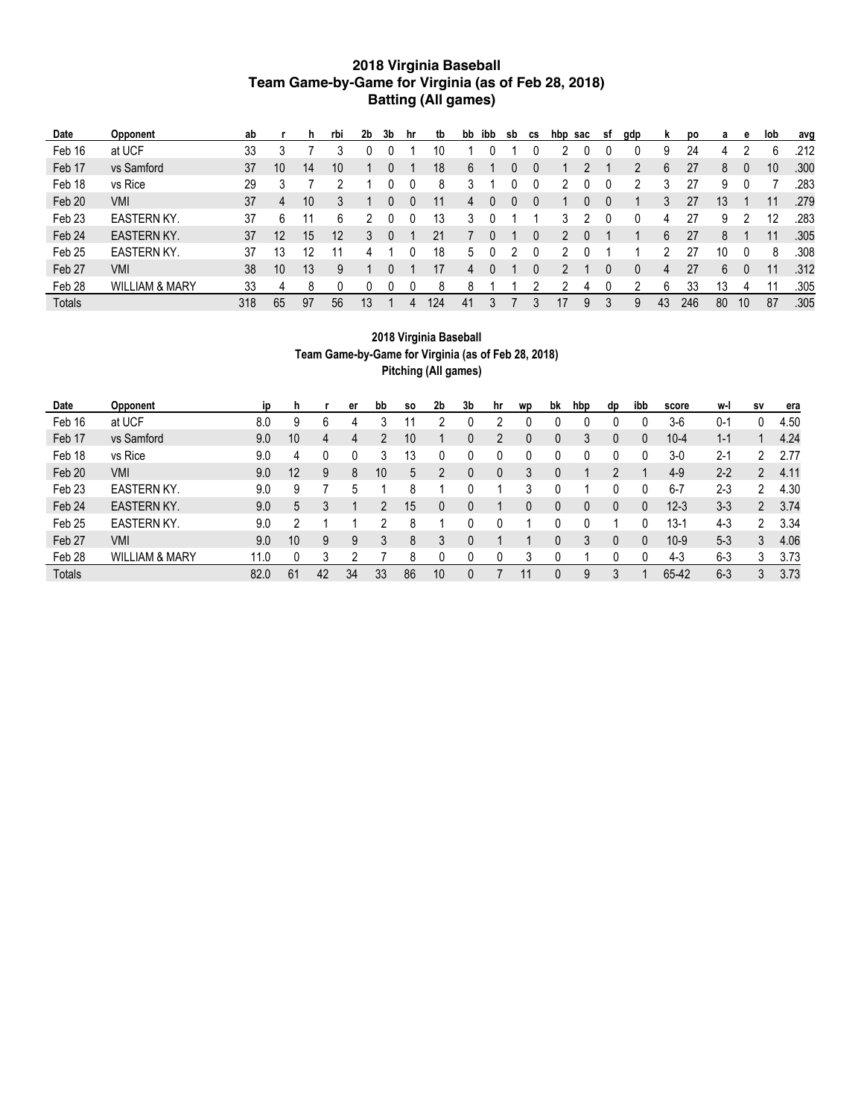#### **2018 Virginia Baseball team game-by-game for Virginia (as of Feb 28, 2018) Batting (all games)**

| <b>Date</b>       | <b>Opponent</b>           | ab  |    | h  | rbi | 2b | 3b | hr | tb  | bb | ibb | sb | <b>CS</b> | hbp | sac | -st | gdp | ĸ  | DO. | a  | е  | lob | avg  |
|-------------------|---------------------------|-----|----|----|-----|----|----|----|-----|----|-----|----|-----------|-----|-----|-----|-----|----|-----|----|----|-----|------|
| Feb 16            | at UCF                    | 33  |    |    |     |    |    |    | 10  |    |     |    |           |     |     |     |     | 9  | 24  | 4  |    | 6   | .212 |
| Feb 17            | vs Samford                | 37  | 10 | 14 | 10  |    |    |    | 18  | 6  |     |    |           |     |     |     |     | 6  | 27  | 8  |    | 10  | .300 |
| Feb 18            | vs Rice                   | 29  |    |    |     |    |    |    | 8   | 3  |     |    |           |     |     |     |     | 3  | 27  | 9  |    |     | .283 |
| Feb 20            | VMI                       | 37  | 4  | 10 | 3   |    |    |    |     | 4  |     |    |           |     |     | 0   |     | 3  | 27  | 13 |    | 11  | .279 |
| Feb <sub>23</sub> | <b>EASTERN KY.</b>        | 37  | 6  |    | 6   |    |    |    | 13  | 3  |     |    |           |     |     |     |     | 4  | 27  | 9  |    | 12  | .283 |
| Feb 24            | <b>EASTERN KY.</b>        | 37  | 12 | 15 | 12  |    |    |    | 21  |    |     |    |           |     |     |     |     | 6  | 27  | 8  |    | 11  | .305 |
| Feb <sub>25</sub> | <b>EASTERN KY.</b>        | 37  | 13 | 12 |     |    |    |    | 18  | 5  |     |    |           |     |     |     |     | ∩  | 27  | 10 |    | 8   | .308 |
| Feb 27            | VMI                       | 38  | 10 | 13 | 9   |    |    |    | 17  | 4  |     |    |           |     |     | 0   |     | 4  | 27  | 6  |    | 11  | .312 |
| Feb 28            | <b>WILLIAM &amp; MARY</b> | 33  | 4  | 8  |     |    |    |    | 8   | 8  |     |    |           |     |     |     |     | 6  | 33  | 13 |    |     | .305 |
| <b>Totals</b>     |                           | 318 | 65 | 97 | 56  | 13 |    | 4  | 124 | 41 |     |    |           | 17  | 9   | 3   | 9   | 43 | 246 | 80 | 10 | 87  | .305 |

#### **2018 Virginia Baseball Team Game-by-Game for Virginia (as of Feb 28, 2018) Pitching (All games)**

| Date              | Opponent                  | <b>ip</b> | n. |    | er | bb | S0 | 2 <sub>b</sub> | 3b | hr | <b>WD</b> | bk | hbp | dp | ibb | score    | w-l     | <b>SV</b>      | era  |
|-------------------|---------------------------|-----------|----|----|----|----|----|----------------|----|----|-----------|----|-----|----|-----|----------|---------|----------------|------|
| Feb 16            | at UCF                    | 8.0       | 9  | 6  | 4  |    |    | റ              |    |    |           |    |     |    |     | $3-6$    | $0 - 1$ |                | 4.50 |
| Feb 17            | vs Samford                | 9.0       | 10 | 4  | 4  |    | 10 |                | 0  |    | $\theta$  | 0  | 3   |    | 0   | $10 - 4$ | $1 - 1$ |                | 4.24 |
| Feb 18            | vs Rice                   | 9.0       | 4  |    |    |    | 13 |                |    |    |           |    |     |    |     | $3-0$    | $2 - 1$ | 2              | 2.77 |
| Feb 20            | VMI                       | 9.0       | 12 | 9  | 8  | 10 | 5  |                |    |    |           |    |     |    |     | $4-9$    | $2 - 2$ | 2              | 4.11 |
| Feb <sub>23</sub> | <b>EASTERN KY.</b>        | 9.0       | 9  |    | 5  |    | 8  |                |    |    |           |    |     |    |     | $6 - 7$  | $2 - 3$ | 2              | 4.30 |
| Feb 24            | <b>EASTERN KY.</b>        | 9.0       | 5  | 3  |    |    | 15 |                | 0  |    | 0         | 0  | 0   |    | 0   | $12 - 3$ | $3 - 3$ | $\overline{2}$ | 3.74 |
| Feb <sub>25</sub> | <b>EASTERN KY.</b>        | 9.0       |    |    |    |    | 8  |                |    |    |           |    |     |    | 0   | 13-′     | $4 - 3$ | っ              | 3.34 |
| Feb 27            | VMI                       | 9.0       | 10 | 9  | 9  | 3  | 8  | 3              | 0  |    |           | 0  | 3   |    | 0   | $10-9$   | $5-3$   | 3              | 4.06 |
| Feb <sub>28</sub> | <b>WILLIAM &amp; MARY</b> | 11.0      |    | 3  | ∩  |    | 8  |                |    |    |           |    |     |    |     | $4-3$    | $6-3$   | 3              | 3.73 |
| <b>Totals</b>     |                           | 82.0      | 61 | 42 | 34 | 33 | 86 | 10             | 0  |    |           |    | 9   |    |     | 65-42    | $6 - 3$ | 3              | 3.73 |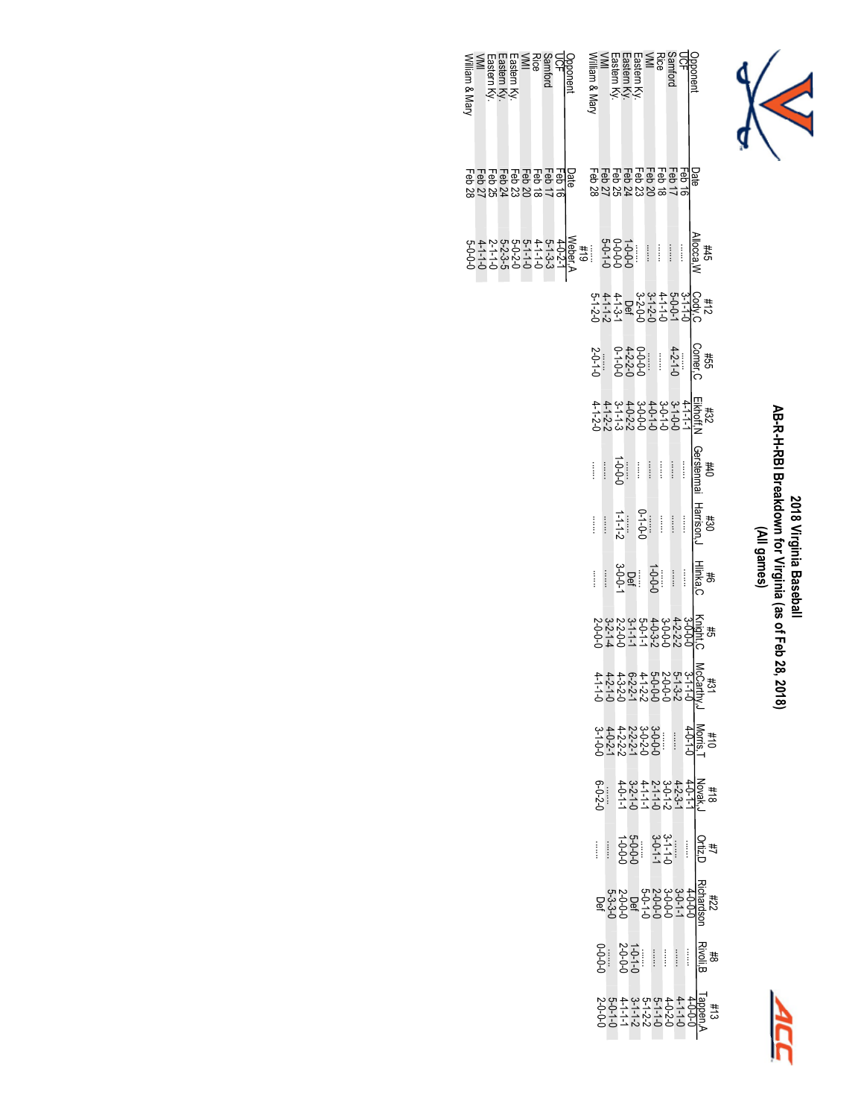

# **2018 Virginia Baseball AB-R-H-RBI Breakdown for Virginia (as of Feb 28, 2018)** 2018 Virginia Baseball<br>AB-R-H-RBI Breakdown for Virginia (as of Feb 28, 2018)<br>(All games)



| Wiliam & Mar | -astern | sastern K\ | Eastern | Samford<br>Rice |  | Opponent                                    | Viliam & Mary                    |                                                                                           | :astern Ky    | astern Ky       | <i>i</i> stem |                                                                                                                                                                                                                                                                                                          | Samford<br>Rice<br>VMI |                       |                                                           | pponen |                               |                                                            |
|--------------|---------|------------|---------|-----------------|--|---------------------------------------------|----------------------------------|-------------------------------------------------------------------------------------------|---------------|-----------------|---------------|----------------------------------------------------------------------------------------------------------------------------------------------------------------------------------------------------------------------------------------------------------------------------------------------------------|------------------------|-----------------------|-----------------------------------------------------------|--------|-------------------------------|------------------------------------------------------------|
|              |         |            |         |                 |  | 8285888부<br><u>1988888888</u><br>1988888888 | 82222222222<br>음융용용용용용음<br>고급대학원 |                                                                                           |               |                 |               |                                                                                                                                                                                                                                                                                                          |                        |                       |                                                           |        |                               |                                                            |
|              |         |            |         |                 |  |                                             |                                  |                                                                                           |               |                 |               |                                                                                                                                                                                                                                                                                                          |                        |                       |                                                           |        | $\frac{\#45}{\text{Nlocca},}$ |                                                            |
|              |         |            |         |                 |  |                                             |                                  |                                                                                           |               |                 |               |                                                                                                                                                                                                                                                                                                          |                        |                       |                                                           |        |                               |                                                            |
|              |         |            |         |                 |  |                                             |                                  |                                                                                           |               |                 |               |                                                                                                                                                                                                                                                                                                          |                        |                       |                                                           |        |                               |                                                            |
|              |         |            |         |                 |  |                                             |                                  |                                                                                           |               |                 |               |                                                                                                                                                                                                                                                                                                          |                        |                       |                                                           |        |                               |                                                            |
|              |         |            |         |                 |  |                                             | İ                                |                                                                                           | $\frac{1}{2}$ |                 |               |                                                                                                                                                                                                                                                                                                          |                        |                       | $\begin{array}{c} \vdots \\ \vdots \\ \vdots \end{array}$ |        | #40<br>Gerstenmai             |                                                            |
|              |         |            |         |                 |  |                                             | ĺ                                | $\begin{array}{c}\n\vdots \\ \vdots \\ \vdots\n\end{array}$                               |               | $1 - 1 - 1 - 2$ |               | $0 - 1 - 0$                                                                                                                                                                                                                                                                                              |                        | $\ddot{\ddot{\cdot}}$ | $\begin{pmatrix} 1 \\ 1 \end{pmatrix}$                    |        | H30<br>Harrison。              |                                                            |
|              |         |            |         |                 |  |                                             | ĺ                                | $\begin{array}{c} \begin{array}{c} \bullet \\ \bullet \\ \bullet \end{array} \end{array}$ |               |                 |               | $\frac{1}{3}$<br>$\frac{1}{3}$<br>$\frac{1}{3}$<br>$\frac{1}{3}$<br>$\frac{1}{3}$                                                                                                                                                                                                                        |                        |                       | $\begin{array}{c} \vdots \\ \vdots \\ \vdots \end{array}$ |        | Hilista<br>Sast<br>C          |                                                            |
|              |         |            |         |                 |  |                                             |                                  |                                                                                           |               |                 |               |                                                                                                                                                                                                                                                                                                          |                        |                       |                                                           |        |                               |                                                            |
|              |         |            |         |                 |  |                                             |                                  |                                                                                           |               |                 |               |                                                                                                                                                                                                                                                                                                          |                        |                       |                                                           |        |                               |                                                            |
|              |         |            |         |                 |  |                                             |                                  |                                                                                           |               |                 |               |                                                                                                                                                                                                                                                                                                          |                        |                       |                                                           |        |                               |                                                            |
|              |         |            |         |                 |  |                                             |                                  | $6 - 2 - 2$                                                                               |               |                 |               |                                                                                                                                                                                                                                                                                                          |                        |                       |                                                           |        |                               |                                                            |
|              |         |            |         |                 |  |                                             | ĺ                                |                                                                                           |               |                 |               | $-5$<br>$-5$<br>$-5$<br>$-5$<br>$-5$<br>$-5$<br>$-5$<br>$-5$<br>$-5$<br>$-5$<br>$-5$<br>$-5$<br>$-5$<br>$-5$<br>$-5$<br>$-5$<br>$-5$<br>$-5$<br>$-5$<br>$-5$<br>$-5$<br>$-5$<br>$-5$<br>$-5$<br>$-5$<br>$-5$<br>$-5$<br>$-5$<br>$-5$<br>$-5$<br>$-5$<br>$-5$<br>$-5$<br>$-5$<br>$-5$<br>$-5$<br>$-5$<br> |                        |                       |                                                           |        |                               | サポD<br>Ortiz,D                                             |
|              |         |            |         |                 |  |                                             |                                  |                                                                                           |               |                 |               |                                                                                                                                                                                                                                                                                                          |                        |                       |                                                           |        |                               |                                                            |
|              |         |            |         |                 |  |                                             |                                  |                                                                                           | $\frac{1}{2}$ |                 |               |                                                                                                                                                                                                                                                                                                          |                        |                       |                                                           |        |                               | 공행<br>이용<br>모르                                             |
|              |         |            |         |                 |  |                                             |                                  |                                                                                           |               |                 |               |                                                                                                                                                                                                                                                                                                          |                        |                       |                                                           |        |                               | 9970099997<br>9989797979987<br>9977777779987<br>9977097797 |

William & Mary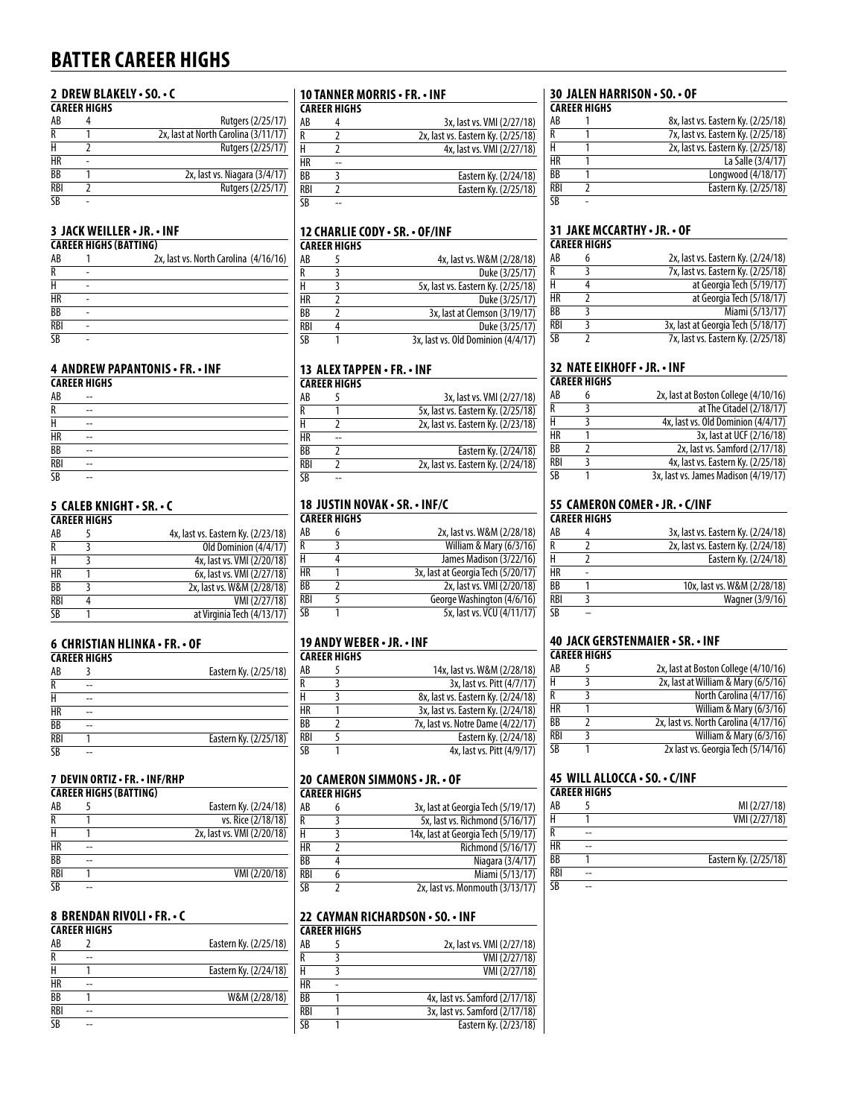## **batter Career highs**

#### **2 drew blakely • so. • c**

|            | <b>CAREER HIGHS</b> |                                      |
|------------|---------------------|--------------------------------------|
| AB         |                     | Rutgers (2/25/17)                    |
| R          |                     | 2x, last at North Carolina (3/11/17) |
| н          |                     | Rutgers (2/25/17)                    |
| HR         |                     |                                      |
| BB         |                     | 2x, last vs. Niagara (3/4/17)        |
| <b>RBI</b> |                     | Rutgers (2/25/17)                    |
| SΒ         |                     |                                      |

#### **3 Jack weiller • jr. • inf**

|                 | <b>CAREER HIGHS (BATTING)</b> |                                       |
|-----------------|-------------------------------|---------------------------------------|
| AB              |                               | 2x, last vs. North Carolina (4/16/16) |
| $\overline{R}$  |                               |                                       |
| H               |                               |                                       |
| <b>HR</b>       |                               |                                       |
| $\overline{BB}$ |                               |                                       |
| <b>RBI</b>      |                               |                                       |
| <b>SB</b>       |                               |                                       |

#### **4 andrew papantonis • fR. • iNf**

|                                                             | <b>CAREER HIGHS</b> |  |  |  |  |
|-------------------------------------------------------------|---------------------|--|--|--|--|
| AB                                                          | --                  |  |  |  |  |
| R                                                           | --                  |  |  |  |  |
| Н                                                           | --                  |  |  |  |  |
|                                                             | --                  |  |  |  |  |
|                                                             | --                  |  |  |  |  |
| $\frac{\text{HR}}{\text{BB}}$ $\frac{\text{RB}}{\text{SB}}$ | --                  |  |  |  |  |
|                                                             | --                  |  |  |  |  |

#### **5 caleb knight • sr. • C**

|            | <b>CAREER HIGHS</b> |                                    |
|------------|---------------------|------------------------------------|
| AB         |                     | 4x, last vs. Eastern Ky. (2/23/18) |
| R          |                     | Old Dominion (4/4/17)              |
| H          |                     | 4x, last vs. VMI (2/20/18)         |
| HR         |                     | 6x, last vs. VMI (2/27/18)         |
| BB         |                     | 2x, last vs. W&M (2/28/18)         |
| <b>RBI</b> |                     | VMI (2/27/18)                      |
| SB         |                     | at Virginia Tech (4/13/17)         |

| 6 CHRISTIAN HLINKA•FR.•OF     |  |  |
|-------------------------------|--|--|
| <i>C</i> ADEED UI <i>C</i> UC |  |  |

|           | <b>CAREER HIGHS</b> |                       |
|-----------|---------------------|-----------------------|
| AB        |                     | Eastern Ky. (2/25/18) |
| R         |                     |                       |
| Н         | --                  |                       |
| <b>HR</b> | --                  |                       |
| <b>BB</b> | --                  |                       |
| RBI       |                     | Eastern Ky. (2/25/18) |
| <b>SB</b> |                     |                       |

#### **7 devin ortiz • fr. • inf/rhp**

|            | <b>CAREER HIGHS (BATTING)</b> |                            |
|------------|-------------------------------|----------------------------|
| AB         |                               | Eastern Ky. (2/24/18)      |
| R          |                               | vs. Rice (2/18/18)         |
| H          |                               | 2x, last vs. VMI (2/20/18) |
| <b>HR</b>  | --                            |                            |
| BB         | --                            |                            |
| <b>RBI</b> |                               | VMI (2/20/18)              |
| <b>SB</b>  |                               |                            |

#### **8 brendan rivoli • fr. • c**

|            | <b>CAREER HIGHS</b> |                       |
|------------|---------------------|-----------------------|
| AB         |                     | Eastern Ky. (2/25/18) |
| R          | --                  |                       |
| Н          |                     | Eastern Ky. (2/24/18) |
| HR         | --                  |                       |
| <b>BB</b>  |                     | W&M (2/28/18)         |
| <b>RBI</b> | --                  |                       |
| SΒ         | --                  |                       |
|            |                     |                       |

## **10 tanner morris • fR. • inf**

|  | AREER HIGHS |  |
|--|-------------|--|
|  |             |  |

| AB  | 3x, last vs. VMI (2/27/18)         |
|-----|------------------------------------|
| R   | 2x, last vs. Eastern Ky. (2/25/18) |
| H   | 4x, last vs. VMI (2/27/18)         |
| НR  |                                    |
| ВB  | Eastern Ky. (2/24/18)              |
| RBI | Eastern Ky. (2/25/18)              |
| SB  |                                    |

#### **12 Charlie cody • sr. • of/inf CAREER HIGHS**

|     | LANLEN NIVNJ |                                    |
|-----|--------------|------------------------------------|
| AB  |              | 4x, last vs. W&M (2/28/18)         |
| R   |              | Duke (3/25/17)                     |
| н   |              | 5x, last vs. Eastern Ky. (2/25/18) |
| НR  |              | Duke (3/25/17)                     |
| ВB  |              | 3x, last at Clemson (3/19/17)      |
| RBI |              | Duke (3/25/17)                     |
| SB  |              | 3x, last vs. Old Dominion (4/4/17) |

#### **13 alex tappen • fr. • inf**

|     | <b>CAREER HIGHS</b> |                                    |
|-----|---------------------|------------------------------------|
| AB  |                     | 3x, last vs. VMI (2/27/18)         |
| R   |                     | 5x, last vs. Eastern Ky. (2/25/18) |
| H   |                     | 2x, last vs. Eastern Ky. (2/23/18) |
| НR  |                     |                                    |
| ВB  |                     | Eastern Ky. (2/24/18)              |
| RBI |                     | 2x, last vs. Eastern Ky. (2/24/18) |
| SB  |                     |                                    |

#### **18 Justin novak • sr. • inf/c career Highs**

| AB  | 2x, last vs. W&M (2/28/18)         |
|-----|------------------------------------|
| R   | William & Mary (6/3/16)            |
| Н   | James Madison (3/22/16)            |
| НR  | 3x, last at Georgia Tech (5/20/17) |
| ВB  | 2x, last vs. VMI (2/20/18)         |
| RBI | George Washington (4/6/16)         |
| SB  | 5x, last vs. VCU (4/11/17)         |

#### **19 andy weber • jr. • iNf**

|     | <b>CAREER HIGHS</b> |                                    |
|-----|---------------------|------------------------------------|
| AB  |                     | 14x, last vs. W&M (2/28/18)        |
| R   |                     | 3x, last vs. Pitt (4/7/17)         |
| н   |                     | 8x, last vs. Eastern Ky. (2/24/18) |
| НR  |                     | 3x, last vs. Eastern Ky. (2/24/18) |
| ВB  |                     | 7x, last vs. Notre Dame (4/22/17)  |
| RBI |                     | Eastern Ky. (2/24/18)              |
| SB  |                     | 4x, last vs. Pitt (4/9/17)         |
|     |                     |                                    |

#### **20 cameron simmons • jr. • of career highs**

|     | LAKEEK HIGHS |                                     |
|-----|--------------|-------------------------------------|
| AB  |              | 3x, last at Georgia Tech (5/19/17)  |
| R   |              | 5x, last vs. Richmond (5/16/17)     |
| Н   |              | 14x, last at Georgia Tech (5/19/17) |
| НR  |              | Richmond (5/16/17)                  |
| ВB  |              | Niagara (3/4/17)                    |
| RBI |              | Miami (5/13/17)                     |
| SΒ  |              | 2x, last vs. Monmouth (3/13/17)     |
|     |              |                                     |

#### **22 cayman richardson • so. • inF**

|     | <b>CAREER HIGHS</b> |                                |
|-----|---------------------|--------------------------------|
| AB  |                     | 2x, last vs. VMI (2/27/18)     |
| R   |                     | VMI (2/27/18)                  |
| н   |                     | VMI (2/27/18)                  |
| НR  |                     |                                |
| ВB  |                     | 4x, last vs. Samford (2/17/18) |
| RBI |                     | 3x, last vs. Samford (2/17/18) |
| SB  |                     | Eastern Ky. (2/23/18)          |

#### **30 jalen harrison • so. • OF**

|     | <b>CAREER HIGHS</b> |                                    |
|-----|---------------------|------------------------------------|
| AB  |                     | 8x, last vs. Eastern Ky. (2/25/18) |
| R   |                     | 7x, last vs. Eastern Ky. (2/25/18) |
| н   |                     | 2x, last vs. Eastern Ky. (2/25/18) |
| НR  |                     | La Salle (3/4/17)                  |
| ВB  |                     | Longwood (4/18/17)                 |
| RBI |                     | Eastern Ky. (2/25/18)              |
|     |                     |                                    |

#### **31 jake mccarthy • jr. • OF career Highs**

| AB         | 2x, last vs. Eastern Ky. (2/24/18) |
|------------|------------------------------------|
| R          | 7x, last vs. Eastern Ky. (2/25/18) |
| н          | at Georgia Tech (5/19/17)          |
| HR         | at Georgia Tech (5/18/17)          |
| BB         | Miami (5/13/17)                    |
| <b>RBI</b> | 3x, last at Georgia Tech (5/18/17) |
| SB         | 7x, last vs. Eastern Ky. (2/25/18) |
|            |                                    |

#### **32 nate eikhoff • jr. • iNf**

| <b>CAREER HIGHS</b> |                                      |
|---------------------|--------------------------------------|
|                     | 2x, last at Boston College (4/10/16) |
|                     | at The Citadel (2/18/17)             |
|                     | 4x, last vs. Old Dominion (4/4/17)   |
|                     | 3x, last at UCF (2/16/18)            |
|                     | 2x, last vs. Samford (2/17/18)       |
|                     | 4x, last vs. Eastern Ky. (2/25/18)   |
|                     | 3x, last vs. James Madison (4/19/17) |
|                     |                                      |

#### **55 cameron comer • jr. • C/inf**

|            | <b>CAREER HIGHS</b> |                                    |
|------------|---------------------|------------------------------------|
| AB         |                     | 3x, last vs. Eastern Ky. (2/24/18) |
| R          |                     | 2x, last vs. Eastern Ky. (2/24/18) |
| н          |                     | Eastern Ky. (2/24/18)              |
| HR         |                     |                                    |
| BB         |                     | 10x, last vs. W&M (2/28/18)        |
| <b>RBI</b> |                     | Wagner (3/9/16)                    |
| ςB         |                     |                                    |

#### **40 jack gerstenmaier • sr. • inf career highs**

| AB         | 2x, last at Boston College (4/10/16)  |
|------------|---------------------------------------|
| H          | 2x, last at William & Mary (6/5/16)   |
| R          | North Carolina (4/17/16)              |
| НR         | William & Mary (6/3/16)               |
| ВB         | 2x, last vs. North Carolina (4/17/16) |
| <b>RBI</b> | William & Mary (6/3/16)               |
| SB         | 2x last vs. Georgia Tech (5/14/16)    |
|            |                                       |

#### **45 will allocca • so. • c/inf**

|     | <b>CAREER HIGHS</b> |                       |
|-----|---------------------|-----------------------|
| AB  |                     | MI (2/27/18)          |
| Н   |                     | VMI (2/27/18)         |
| R   | --                  |                       |
| НR  | --                  |                       |
| ВB  |                     | Eastern Ky. (2/25/18) |
| RBI | --                  |                       |
| CD  |                     |                       |

SB --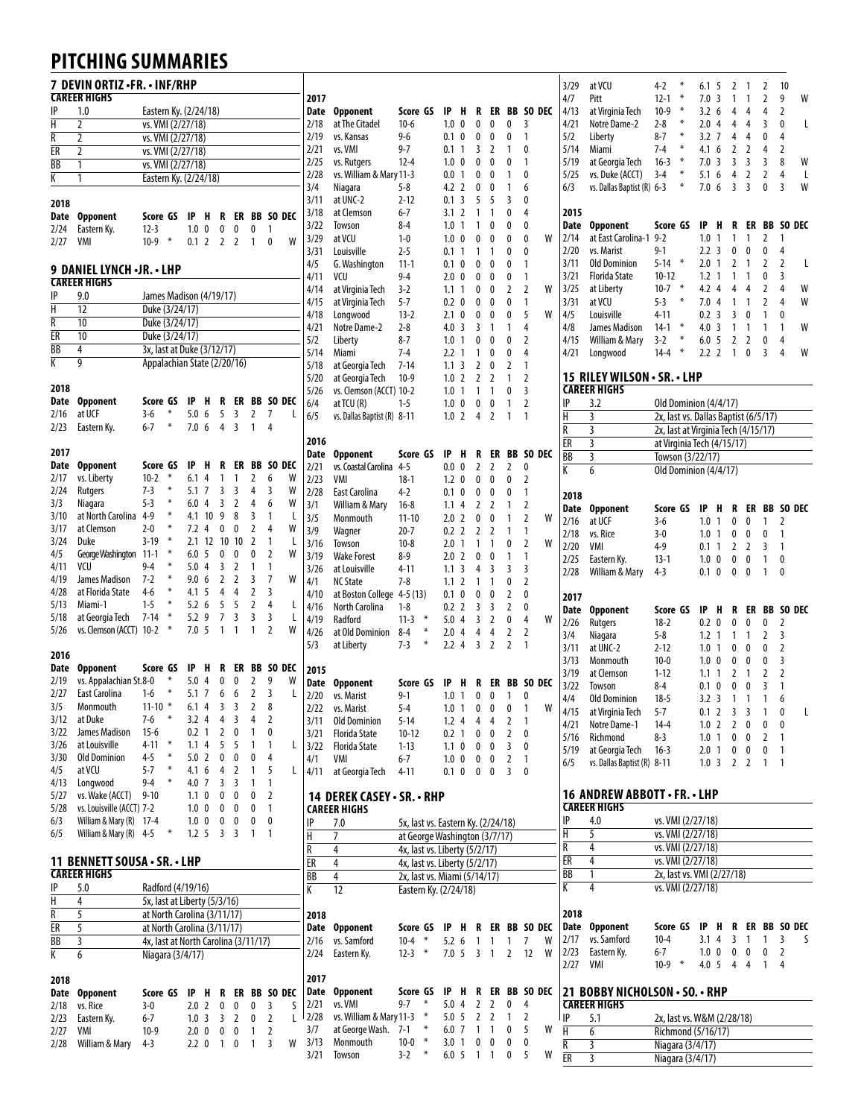## **PITCHING SUMMARIES**

|      | 7 DEVIN ORTIZ •FR. • INF/RHP<br><b>CAREER HIGHS</b> |                                      |        |                  |                |                |                |                |   | 2017             |
|------|-----------------------------------------------------|--------------------------------------|--------|------------------|----------------|----------------|----------------|----------------|---|------------------|
| IP   | 1.0                                                 | Eastern Ky. (2/24/18)                |        |                  |                |                |                |                |   | <b>Date</b>      |
| H    | 2                                                   | vs. VMI (2/27/18)                    |        |                  |                |                |                |                |   | 2/18             |
| R    | 2                                                   | vs. VMI (2/27/18)                    |        |                  |                |                |                |                |   | 2/19             |
| ER   | 2                                                   | vs. VMI (2/27/18)                    |        |                  |                |                |                |                |   | 2/21             |
| ВB   | 1                                                   | vs. VMI (2/27/18)                    |        |                  |                |                |                |                |   | 2/25             |
| К    | 1                                                   | Eastern Ky. (2/24/18)                |        |                  |                |                |                |                |   | 2/28             |
|      |                                                     |                                      |        |                  |                |                |                |                |   | 3/4              |
| 2018 |                                                     |                                      |        |                  |                |                |                |                |   | 3/11             |
| Date | <b>Opponent</b>                                     | Score GS                             |        | IP               | H              | R              | ER             | <b>BB</b>      |   | 3/18<br>SO DEC   |
| 2/24 | Eastern Ky.                                         | $12-3$                               |        | 1.0              | 0              | 0              | 0              | 0              | 1 | 3/22             |
| 2/27 | VMI                                                 | $10-9$                               | ∗      | 0.1              | $\overline{2}$ | $\overline{2}$ | $\overline{2}$ | 1              | 0 | 3/29<br>W        |
|      |                                                     |                                      |        |                  |                |                |                |                |   | 3/31             |
|      | <b>9 DANIEL LYNCH -JR. - LHP</b>                    |                                      |        |                  |                |                |                |                |   | 4/5              |
|      | <b>CAREER HIGHS</b>                                 |                                      |        |                  |                |                |                |                |   | 4/11             |
| IP   | 9.0                                                 | James Madison (4/19/17)              |        |                  |                |                |                |                |   | 4/14             |
| Н    | 12                                                  | Duke (3/24/17)                       |        |                  |                |                |                |                |   | 4/15             |
| R    | 10                                                  | Duke (3/24/17)                       |        |                  |                |                |                |                |   | 4/18             |
| ER   | 10                                                  | Duke (3/24/17)                       |        |                  |                |                |                |                |   | 4/21<br>5/2      |
| BB   | 4                                                   | 3x, last at Duke (3/12/17)           |        |                  |                |                |                |                |   | 5/14             |
| K    | 9                                                   | Appalachian State (2/20/16)          |        |                  |                |                |                |                |   | 5/18             |
|      |                                                     |                                      |        |                  |                |                |                |                |   | 5/20             |
| 2018 |                                                     |                                      |        |                  |                |                |                |                |   | 5/26             |
| Date | <b>Opponent</b>                                     | Score GS                             |        | IP               | H              | R              | ER             | <b>BB</b>      |   | SO DEC<br>6/4    |
| 2/16 | at UCF                                              | $3-6$                                | ∗      | 5.0              | 6              | 5              | 3              | 2              | 7 | L<br>6/5         |
| 2/23 | Eastern Ky.                                         | $6 - 7$                              | ₩      | 7.0              | 6              | 4              | $\overline{3}$ | 1              | 4 |                  |
|      |                                                     |                                      |        |                  |                |                |                |                |   | 2016             |
| 2017 |                                                     |                                      |        |                  |                |                |                |                |   | Date             |
| Date | <b>Opponent</b>                                     | Score GS                             |        | IP               | н              | R              | ER             | BB             |   | SO DEC<br>2/21   |
| 2/17 | vs. Liberty                                         | $10 - 2$                             | X      | 6.1              | 4              | 1              | 1              | 2              | 6 | W<br>2/23        |
| 2/24 | Rutgers                                             | $7-3$                                | ₩      | 5.1              | 7              | 3              | 3              | 4              | 3 | W<br>2/28        |
| 3/3  | Niagara                                             | $5 - 3$                              | ∗      | 6.0              | 4              | 3              | 2              | 4              | 6 | W<br>3/1         |
| 3/10 | at North Carolina                                   | $4 - 9$                              | ₩      | 4.1              | 10             | 9              | 8              | 3              | 1 | L<br>3/5         |
| 3/17 | at Clemson                                          | $2 - 0$                              | ∗      | 7.2              | 4              | 0              | 0              | $\overline{2}$ | 4 | W<br>3/9         |
| 3/24 | Duke                                                | 3-19                                 | ₩<br>₩ | 2.1              | 12             | 10             | 10             | 2              | 1 | L<br>3/16        |
| 4/5  | George Washington                                   | $11 - 1$                             |        | 6.0              | 5              | 0              | 0              | 0              | 2 | W<br>3/19        |
| 4/11 | VCU                                                 | $9-4$                                | ₩<br>∗ | 5.0              | 4              | 3              | $\overline{2}$ | 1              | 1 | 3/26             |
| 4/19 | James Madison                                       | 7-2                                  | ₩      | 9.0              | 6              | $\overline{2}$ | $\overline{2}$ | 3              | 7 | W<br>4/1         |
| 4/28 | at Florida State                                    | 4-6                                  | ∗      | 4.1              | 5              | 4              | 4              | 2              | 3 | 4/10             |
| 5/13 | Miami-1                                             | $1 - 5$                              | ₩      | 5.2              | 6              | 5              | 5              | $\overline{2}$ | 4 | L<br>4/16        |
| 5/18 | at Georgia Tech                                     | 7-14                                 | ₩      | 5.2              | 9              | 7<br>1         | 3<br>1         | 3              | 3 | L<br>4/19        |
| 5/26 | vs. Clemson (ACCT)                                  | $10 - 2$                             |        | 7.0              | 5              |                |                | 1              | 2 | W<br>4/26        |
| 2016 |                                                     |                                      |        |                  |                |                |                |                |   | 5/3              |
| Date | <b>Opponent</b>                                     | Score GS                             |        | IP               | H              | R              | ER             | BB             |   | SO DEC           |
| 2/19 | vs. Appalachian St.8-0                              |                                      | ∗      | 5.0              | 4              | 0              | 0              | 2              | 9 | 2015<br>W        |
| 2/27 | East Carolina                                       | 1-6                                  | ₩      | 5.1              | 7              | 6              | 6              | 2              | 3 | <b>Date</b><br>L |
| 3/5  | Monmouth                                            | $11 - 10$                            | ₩      | 6.1              | 4              | 3              | $\mathbf{3}$   | $\mathbf{2}$   | 8 | 2/20             |
| 3/12 | at Duke                                             | 7-6                                  | ∗      | 3.2 <sub>4</sub> |                | 4              | 3              | 4              | 2 | 2/22             |
| 3/22 | James Madison                                       | $15 - 6$                             |        | 0.2              | 1              | 2              | 0              | 1              | 0 | 3/11<br>3/21     |
| 3/26 | at Louisville                                       | 4-11                                 | ₩      | 1.1              | 4              | 5              | 5              | 1              | 1 | L<br>3/22        |
| 3/30 | <b>Old Dominion</b>                                 | $4 - 5$                              | ∗      | 5.0              | 2              | 0              | 0              | 0              | 4 | 4/1              |
| 4/5  | at VCU                                              | 5-7                                  | ₩      | 4.1              | 6              | 4              | 2              | 1              | 5 | L<br>4/11        |
| 4/13 | Longwood                                            | 9-4                                  | ∗      | 4.0              | 7              | 3              | 3              | 1              | 1 |                  |
| 5/27 | vs. Wake (ACCT)                                     | 9-10                                 |        | 1.1              | 0              | 0              | 0              | 0              | 2 | 14               |
| 5/28 | vs. Louisville (ACCT) 7-2                           |                                      |        | 1.0              | 0              | 0              | 0              | 0              | 1 | CARI             |
| 6/3  | William & Mary (R)                                  | $17 - 4$                             |        | 1.0 <sub>0</sub> |                | 0              | 0              | 0              | 0 | IP               |
| 6/5  | William & Mary (R)                                  | $4 - 5$                              | ₩      | 1.2 <sub>5</sub> |                | 3              | 3              | 1              | 1 | н                |
|      |                                                     |                                      |        |                  |                |                |                |                |   | R                |
|      | 11 BENNETT SOUSA · SR. · LHP                        |                                      |        |                  |                |                |                |                |   | ER               |
|      | <b>CAREER HIGHS</b>                                 |                                      |        |                  |                |                |                |                |   | BB               |
| IP   | 5.0                                                 | Radford (4/19/16)                    |        |                  |                |                |                |                |   | K                |
| H    | 4                                                   | 5x, last at Liberty (5/3/16)         |        |                  |                |                |                |                |   |                  |
| R    | 5                                                   | at North Carolina (3/11/17)          |        |                  |                |                |                |                |   | 2018             |
| ER   | 5                                                   | at North Carolina (3/11/17)          |        |                  |                |                |                |                |   | Date             |
| BB   | 3                                                   | 4x, last at North Carolina (3/11/17) |        |                  |                |                |                |                |   | 2/16             |
| К    | 6                                                   | Niagara (3/4/17)                     |        |                  |                |                |                |                |   | 2/24             |
|      |                                                     |                                      |        |                  |                |                |                |                |   |                  |
| 2018 |                                                     |                                      |        |                  |                |                |                |                |   | 2017             |
| Date | <b>Opponent</b>                                     | Score GS                             |        | IP               | H              | R              | ER             | BB             |   | Date<br>SO DEC   |
| 2/18 | vs. Rice                                            | $3-0$                                |        | 2.0              | 2              | 0              | 0              | 0              | 3 | 2/21<br>S        |
| 2/23 | Eastern Ky.                                         | $6 - 7$                              |        | 1.0 <sub>3</sub> |                | 3              | 2              | 0              | 2 | 2/28<br>L        |
| 2/27 | VMI                                                 | 10-9                                 |        | 2.0              | 0              | 0              | 0              | 1              | 2 | 3/7              |
| 2/28 | William & Mary                                      | $4-3$                                |        | 2.2              | 0              | 1              | 0              | 1              | 3 | 3/13<br>W        |

| 2017         |                                            |                                    |        |            |                |        |                |                |        |        |
|--------------|--------------------------------------------|------------------------------------|--------|------------|----------------|--------|----------------|----------------|--------|--------|
| Date         | Opponent                                   | Score GS                           |        | IP         | н              | R      | ER             | BB             |        | SO DEC |
| 2/18         | at The Citadel                             | $10-6$                             |        | 1.0        | 0              | 0      | 0              | 0              | 3      |        |
| 2/19<br>2/21 | vs. Kansas<br>vs. VMI                      | $9-6$<br>$9 - 7$                   |        | 0.1<br>0.1 | 0<br>1         | 0<br>3 | 0<br>2         | 0<br>1         | 1<br>0 |        |
| 2/25         | vs. Rutgers                                | $12 - 4$                           |        | 1.0        | 0              | 0      | 0              | 0              | 1      |        |
| 2/28         | vs. William & Mary 11-3                    |                                    |        | 0.0        | 1              | 0      | 0              | 1              | 0      |        |
| 3/4          | Niagara                                    | $5 - 8$                            |        | 4.2        | 2              | 0      | 0              | 1              | 6      |        |
| 3/11         | at UNC-2                                   | $2 - 12$                           |        | 0.1        | 3              | 5      | 5              | 3              | 0      |        |
| 3/18         | at Clemson                                 | 6-7                                |        | 3.1        | $\overline{2}$ | 1      | 1              | 0              | 4      |        |
| 3/22         | Towson                                     | $8 - 4$                            |        | 1.0        | 1              | 1      | 0              | 0              | 0      |        |
| 3/29         | at VCU                                     | $1 - 0$                            |        | 1.0        | 0              | 0      | 0              | 0              | 0      | W      |
| 3/31<br>4/5  | Louisville<br>G. Washington                | $2 - 5$<br>11-1                    |        | 0.1<br>0.1 | 1<br>0         | 1<br>0 | 1<br>0         | 0<br>0         | 0<br>1 |        |
| 4/11         | VCU                                        | $9-4$                              |        | 2.0        | 0              | 0      | 0              | 0              | 1      |        |
| 4/14         | at Virginia Tech                           | $3-2$                              |        | 1.1        | 1              | 0      | 0              | 2              | 2      | W      |
| 4/15         | at Virginia Tech                           | $5 - 7$                            |        | 0.2        | 0              | 0      | 0              | 0              | 1      |        |
| 4/18         | Longwood                                   | 13-2                               |        | 2.1        | 0              | 0      | 0              | 0              | 5      | W      |
| 4/21         | Notre Dame-2                               | $2 - 8$                            |        | 4.0        | 3              | 3      | 1              | 1              | 4      |        |
| 5/2          | Liberty                                    | $8 - 7$                            |        | 1.0        | 1              | 0      | 0              | 0              | 2      |        |
| 5/14         | Miami                                      | $7-4$                              |        | 2.2        | 1              | 1      | 0              | 0              | 4      |        |
| 5/18<br>5/20 | at Georgia Tech                            | $7 - 14$<br>$10-9$                 |        | 1.1<br>1.0 | 3<br>2         | 2<br>2 | 0<br>2         | 2<br>1         | 1<br>2 |        |
| 5/26         | at Georgia Tech<br>vs. Clemson (ACCT) 10-2 |                                    |        | 1.0        | 1              | 1      | 1              | 0              | 3      |        |
| 6/4          | at TCU (R)                                 | $1 - 5$                            |        | 1.0        | 0              | 0      | 0              | 1              | 2      |        |
| 6/5          | vs. Dallas Baptist (R) 8-11                |                                    |        | 1.0        | $\overline{2}$ | 4      | $\overline{2}$ | 1              | 1      |        |
|              |                                            |                                    |        |            |                |        |                |                |        |        |
| 2016         |                                            |                                    |        |            |                |        |                |                |        |        |
| Date         | <b>Opponent</b>                            | Score GS                           |        | IP         | H              | R      | ER             | BB             |        | SO DEC |
| 2/21         | vs. Coastal Carolina                       | 4-5<br>$18-1$                      |        | 0.0        | 0              | 2      | 2              | 2              | 0      |        |
| 2/23<br>2/28 | VMI<br>East Carolina                       | $4-2$                              |        | 1.2<br>0.1 | 0<br>0         | 0<br>0 | 0<br>0         | 0<br>0         | 2<br>1 |        |
| 3/1          | William & Mary                             | $16-8$                             |        | 1.1        | 4              | 2      | 2              | 1              | 2      |        |
| 3/5          | Monmouth                                   | $11 - 10$                          |        | 2.0        | 2              | 0      | 0              | 1              | 2      | W      |
| 3/9          | Wagner                                     | 20-7                               |        | 0.2        | 2              | 2      | $\overline{2}$ | 1              | 1      |        |
| 3/16         | Towson                                     | $10 - 8$                           |        | 2.0        | 1              | 1      | 1              | 0              | 2      | W      |
| 3/19         | <b>Wake Forest</b>                         | $8-9$                              |        | 2.0        | 2              | 0      | 0              | 1              | 1      |        |
| 3/26         | at Louisville                              | 4-11                               |        | 1.1        | 3              | 4      | 3              | 3              | 3      |        |
| 4/1          | <b>NC State</b>                            | $7 - 8$                            |        | 1.1        | 2              | 1      | 1              | 0              | 2      |        |
| 4/10         | at Boston College                          | 4-5 (13)                           |        | 0.1        | 0              | 0      | 0              | 2              | 0      |        |
| 4/16<br>4/19 | North Carolina<br>Radford                  | $1-8$<br>$11-3$                    | ₩      | 0.2<br>5.0 | 2<br>4         | 3<br>3 | 3<br>2         | 2<br>0         | 0<br>4 | W      |
| 4/26         | at Old Dominion                            | 8-4                                | ₩      | 2.0        | 4              | 4      | 4              | 2              | 2      |        |
| 5/3          | at Liberty                                 | $7-3$                              | ₩      | 2.2        | 4              | 3      | 2              | $\overline{2}$ | 1      |        |
|              |                                            |                                    |        |            |                |        |                |                |        |        |
| 2015         |                                            |                                    |        |            |                |        |                |                |        |        |
| Date         | Opponent                                   | Score GS                           |        | IP         | H              | R      | ER             | BB             |        | SO DEC |
| 2/20         | vs. Marist                                 | $9-1$                              |        | 1.0        | 1<br>1         | 0      | 0              | 1              | 0<br>1 | W      |
| 2/22<br>3/11 | vs. Marist<br><b>Old Dominion</b>          | $5 - 4$<br>$5 - 14$                |        | 1.0<br>1.2 | 4              | 0<br>4 | 0<br>4         | 0<br>2         | 1      |        |
| 3/21         | Florida State                              | $10 - 12$                          |        | 0.2        | 1              | 0      | 0              | 2              | 0      |        |
| 3/22         | <b>Florida State</b>                       | $1 - 13$                           |        | 1.1        | 0              | 0      | 0              | 3              | 0      |        |
| 4/1          | VMI                                        | $6 - 7$                            |        | 1.0        | 0              | 0      | 0              | 2              | 1      |        |
| 4/11         | at Georgia Tech                            | 4-11                               |        | 0.1        | 0              | 0      | 0              | 3              | 0      |        |
|              |                                            |                                    |        |            |                |        |                |                |        |        |
|              | 14 DEREK CASEY · SR. · RHP<br>CAREER HIGHS |                                    |        |            |                |        |                |                |        |        |
| IP           | 7.0                                        | 5x, last vs. Eastern Ky. (2/24/18) |        |            |                |        |                |                |        |        |
| Н            | 7                                          | at George Washington (3/7/17)      |        |            |                |        |                |                |        |        |
| R            | 4                                          | 4x, last vs. Liberty (5/2/17)      |        |            |                |        |                |                |        |        |
| ER           | 4                                          | 4x, last vs. Liberty (5/2/17)      |        |            |                |        |                |                |        |        |
| ВB           | 4                                          | 2x, last vs. Miami (5/14/17)       |        |            |                |        |                |                |        |        |
| K            | 12                                         | Eastern Ky. (2/24/18)              |        |            |                |        |                |                |        |        |
| 2018         |                                            |                                    |        |            |                |        |                |                |        |        |
| Date         | <b>Opponent</b>                            | Score GS                           |        | IP         | H              | R      | ER             | BB             |        | SO DEC |
| 2/16         | vs. Samford                                | $10 - 4$                           | ∗      | 5.2        | 6              | 1      | 1              | 1              | 7      | W      |
| 2/24         | Eastern Ky.                                | $12 - 3$                           | ∗      | 7.0        | 5              | 3      | 1              | $\overline{2}$ | 12     | W      |
|              |                                            |                                    |        |            |                |        |                |                |        |        |
| 2017<br>Date | <b>Opponent</b>                            |                                    |        |            |                |        | ER             | BB             |        |        |
|              |                                            | Score GS                           |        | IP         | Н              | R      |                |                |        | SO DEC |
|              |                                            |                                    | ∗      |            |                |        |                |                |        |        |
| 2/21         | vs. VMI                                    | $9 - 7$                            | ∗      | 5.0        | 4              | 2      | 2              | 0              | 4      |        |
| 2/28<br>3/7  | vs. William & Mary 11-3<br>at George Wash. | 7-1                                | ∗      | 5.0<br>6.0 | 5<br>7         | 2<br>1 | 2<br>1         | 1<br>0         | 2<br>5 | W      |
| 3/13         | Monmouth                                   | $10-0$                             | ∗<br>₩ | 3.0        | 1              | 0      | 0              | 0              | 0      |        |

|   | 3/29                    | at VCU                         | 4-2                                              | ₩ | 6.1              | 5            | 2      | 1              | 2  | 10 |           |
|---|-------------------------|--------------------------------|--------------------------------------------------|---|------------------|--------------|--------|----------------|----|----|-----------|
|   | 4/7                     | Pitt                           | $12 - 1$                                         | ₩ | 7.0              | 3            | 1      | 1              | 2  | 9  | W         |
| C | 4/13                    | at Virginia Tech               | $10-9$                                           | ∗ | 3.2              | 6            | 4      | 4              | 4  | 2  |           |
|   | 4/21                    | Notre Dame-2                   | $2 - 8$                                          | ₩ | 2.0              | 4            | 4      | 4              | 3  | 0  | L         |
|   | 5/2                     | Liberty                        | $8 - 7$                                          | ₩ | 3.2              | 7            | 4      | 4              | 0  | 4  |           |
|   | 5/14                    | Miami                          | $7-4$                                            | ₩ | 4.1              | 6            | 2      | 2              | 4  | 2  |           |
|   | 5/19                    | at Georgia Tech                | $16-3$                                           | ₩ | 7.0              | 3            | 3      | 3              | 3  | 8  | W         |
|   |                         |                                |                                                  | ₩ |                  |              | 4      | $\overline{2}$ |    |    |           |
|   | 5/25                    | vs. Duke (ACCT)                | $3-4$                                            | ₩ | 5.1              | 6            |        |                | 2  | 4  | L         |
|   | 6/3                     | vs. Dallas Baptist (R) 6-3     |                                                  |   | 7.0              | 6            | 3      | 3              | 0  | 3  | W         |
|   |                         |                                |                                                  |   |                  |              |        |                |    |    |           |
|   | 2015                    |                                |                                                  |   |                  |              |        |                |    |    |           |
|   | <b>Date</b>             | <b>Opponent</b>                | Score GS                                         |   | IP               | H            | R      | ER             | BB |    | SO DEC    |
| Ν | 2/14                    | at East Carolina-1 9-2         |                                                  |   | 1.0              | 1            | 1      | 1              | 2  | 1  |           |
|   | 2/20                    | vs. Marist                     | $9 - 1$                                          |   | 2.2              | 3            | 0      | 0              | 0  | 4  |           |
|   | 3/11                    | <b>Old Dominion</b>            | $5 - 14$                                         | ₩ | 2.0              | $\mathbf{1}$ | 2      | 1              | 2  | 2  | L         |
|   | 3/21                    | <b>Florida State</b>           | $10 - 12$                                        |   | 1.2              | 1            | 1      | 1              | 0  | 3  |           |
| N | 3/25                    | at Liberty                     | $10 - 7$                                         | ₩ | 4.2              | 4            | 4      | 4              | 2  | 4  | W         |
|   | 3/31                    | at VCU                         | $5-3$                                            | ₩ | 7.0              | 4            | 1      | 1              | 2  | 4  | W         |
| N | 4/5                     | Louisville                     | $4 - 11$                                         |   | 0.2              | 3            | 3      | 0              | 1  | 0  |           |
|   | 4/8                     | James Madison                  | $14-1$                                           | ₩ | 4.0 <sup>3</sup> |              | 1      | 1              | 1  | 1  | W         |
|   | 4/15                    | William & Mary                 | $3-2$                                            | ₩ | 6.0              | 5            | 2      | 2              | 0  | 4  |           |
|   | 4/21                    | Longwood                       | $14 - 4$                                         | ₩ | 2.2 <sub>2</sub> |              | 1      | 0              | 3  | 4  | W         |
|   |                         |                                |                                                  |   |                  |              |        |                |    |    |           |
|   |                         | 15 RILEY WILSON · SR. · LHP    |                                                  |   |                  |              |        |                |    |    |           |
|   |                         | <b>CAREER HIGHS</b>            |                                                  |   |                  |              |        |                |    |    |           |
|   | IP                      | 3.2                            | Old Dominion (4/4/17)                            |   |                  |              |        |                |    |    |           |
|   | H                       | 3                              | 2x, last vs. Dallas Baptist (6/5/17)             |   |                  |              |        |                |    |    |           |
|   | $\overline{\mathsf{R}}$ | 3                              | 2x, last at Virginia Tech (4/15/17)              |   |                  |              |        |                |    |    |           |
|   | ER                      | 3                              | at Virginia Tech (4/15/17)                       |   |                  |              |        |                |    |    |           |
| C | BB                      | 3                              | Towson (3/22/17)                                 |   |                  |              |        |                |    |    |           |
|   | K                       | 6                              | Old Dominion (4/4/17)                            |   |                  |              |        |                |    |    |           |
|   |                         |                                |                                                  |   |                  |              |        |                |    |    |           |
|   | 2018                    |                                |                                                  |   |                  |              |        |                |    |    |           |
|   | Date                    | <b>Opponent</b>                | Score GS                                         |   | IP               | H            | R      | ER             | BB |    | SO DEC    |
| N | 2/16                    | at UCF                         | $3 - 6$                                          |   | 1.0              | 1            | 0      | 0              | 1  | 2  |           |
|   | 2/18                    | vs. Rice                       | $3-0$                                            |   | 1.0              | 1            | 0      | 0              | 0  | 1  |           |
| N | 2/20                    | VMI                            | $4-9$                                            |   | 0.1              | 1            | 2      | 2              | 3  | 1  |           |
|   | 2/25                    | Eastern Ky.                    | $13-1$                                           |   | 1.0              | 0            | 0      | 0              | 1  | 0  |           |
|   | 2/28                    | William & Mary                 | $4-3$                                            |   | 0.1              | 0            | 0      | 0              | 1  | 0  |           |
|   |                         |                                |                                                  |   |                  |              |        |                |    |    |           |
|   | 2017                    |                                |                                                  |   |                  |              |        |                |    |    |           |
|   | Date                    | <b>Opponent</b>                | Score GS                                         |   | IP               | H            | R      | ER             | BB |    | SO DEC    |
| N | 2/26                    | <b>Rutgers</b>                 | $18 - 2$                                         |   | 0.2              | 0            | 0      | 0              | 0  | 2  |           |
|   | 3/4                     | Niagara                        | $5 - 8$                                          |   | 1.2              | 1            | 1      | 1              | 2  | 3  |           |
|   | 3/11                    | at UNC-2                       | $2 - 12$                                         |   | 1.0              | 1            | 0      | 0              | 0  | 2  |           |
|   | 3/13                    | Monmouth                       | $10 - 0$                                         |   | 1.0              | 0            | 0      | 0              | 0  | 3  |           |
|   | 3/19                    | at Clemson                     | $1 - 12$                                         |   | 1.1              | 1            | 2      | 1              | 2  | 2  |           |
| C | 3/22                    | Towson                         | $8 - 4$                                          |   | 0.1              | 0            | 0      | 0              | 3  | 1  |           |
|   | 4/4                     | <b>Old Dominion</b>            | $18 - 5$                                         |   | 3.2              | 3            | 1      | 1              | 1  | 6  |           |
| N | 4/15                    | at Virginia Tech               | $5 - 7$                                          |   | 0.1 <sub>2</sub> |              | 3      | 3              | 1  | 0  | L         |
|   | 4/21                    | Notre Dame-1                   | 14-4                                             |   | 1.0 <sub>2</sub> |              | 2      | 0              | 0  | 0  |           |
|   | 5/16                    | Richmond                       | 8-3                                              |   | 1.0 <sub>1</sub> |              | 0      | 0              | 2  | 1  |           |
|   | 5/19                    | at Georgia Tech                | $16-3$                                           |   | 2.0 <sub>1</sub> |              | 0      | 0              | 0  | 1  |           |
|   | 6/5                     | vs. Dallas Baptist (R) 8-11    |                                                  |   | 1.0 <sub>3</sub> |              | 2      | 2              | 1  | 1  |           |
|   |                         |                                |                                                  |   |                  |              |        |                |    |    |           |
|   |                         |                                |                                                  |   |                  |              |        |                |    |    |           |
|   |                         | 16 ANDREW ABBOTT•FR.•LHP       |                                                  |   |                  |              |        |                |    |    |           |
|   |                         | <b>CAREER HIGHS</b>            |                                                  |   |                  |              |        |                |    |    |           |
|   | IP                      | 4.0                            | vs. VMI (2/27/18)                                |   |                  |              |        |                |    |    |           |
|   | $\overline{\mathsf{H}}$ | 5                              | vs. VMI (2/27/18)                                |   |                  |              |        |                |    |    |           |
|   | R                       | 4                              | vs. VMI (2/27/18)                                |   |                  |              |        |                |    |    |           |
|   | ER                      | 4                              | vs. VMI (2/27/18)                                |   |                  |              |        |                |    |    |           |
|   | BB                      | 1                              | 2x, last vs. VMI (2/27/18)                       |   |                  |              |        |                |    |    |           |
|   | К                       | 4                              | vs. VMI (2/27/18)                                |   |                  |              |        |                |    |    |           |
|   | 2018                    |                                |                                                  |   |                  |              |        |                |    |    |           |
|   |                         |                                | Score GS                                         |   |                  |              |        | ER             |    |    | BB SO DEC |
| C | Date<br>2/17            | <b>Opponent</b><br>vs. Samford | $10 - 4$                                         |   | IP.<br>3.1       | н<br>4       | R<br>3 | 1              | 1  | 3  | S         |
| Ν | 2/23                    | Eastern Ky.                    | 6-7                                              |   | $1.0 \t 0$       |              | 0      | 0              | 0  | 2  |           |
| Ν | 2/27                    | VMI                            | $10-9$                                           |   | 4.0 <sub>5</sub> |              | 4      | 4              | 1  | 4  |           |
|   |                         |                                |                                                  |   |                  |              |        |                |    |    |           |
|   |                         |                                |                                                  |   |                  |              |        |                |    |    |           |
|   |                         |                                |                                                  |   |                  |              |        |                |    |    |           |
| Ċ |                         | 21 BOBBY NICHOLSON · SO. · RHP |                                                  |   |                  |              |        |                |    |    |           |
|   |                         | <b>CAREER HIGHS</b>            |                                                  |   |                  |              |        |                |    |    |           |
| Ν | IP<br>Н                 | 5.1<br>6                       | 2x, last vs. W&M (2/28/18)<br>Richmond (5/16/17) |   |                  |              |        |                |    |    |           |

R 3 Niagara (3/4/17) ER 3 Niagara (3/4/17)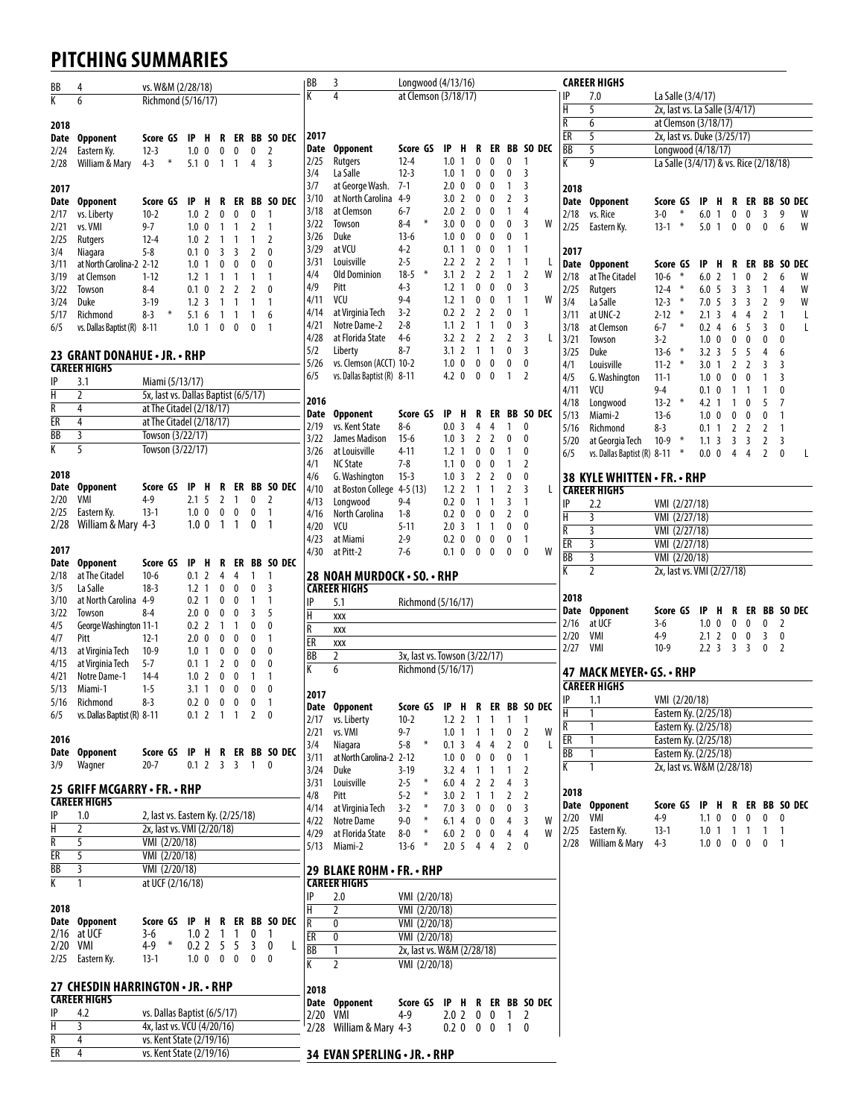## **PITCHING SUMMARIES**

| BB                      | 4                                 | vs. W&M (2/28/18)                    |                   |                |              |                |                         | BB                      | 3                                                      | Longwood (4/13/16)                  |                                |                                  |                   |                          |                |                 | <b>CAREER HIGHS</b>           |                                        |                                          |                                           |              |        |              |   |
|-------------------------|-----------------------------------|--------------------------------------|-------------------|----------------|--------------|----------------|-------------------------|-------------------------|--------------------------------------------------------|-------------------------------------|--------------------------------|----------------------------------|-------------------|--------------------------|----------------|-----------------|-------------------------------|----------------------------------------|------------------------------------------|-------------------------------------------|--------------|--------|--------------|---|
| $\overline{K}$          | 6                                 | Richmond (5/16/17)                   |                   |                |              |                |                         | $\overline{\mathsf{K}}$ | $\overline{4}$                                         | at Clemson (3/18/17)                |                                |                                  |                   |                          |                | IP              | 7.0                           | La Salle (3/4/17)                      |                                          |                                           |              |        |              |   |
|                         |                                   |                                      |                   |                |              |                |                         |                         |                                                        |                                     |                                |                                  |                   |                          |                | Н               | 5                             | 2x, last vs. La Salle (3/4/17)         |                                          |                                           |              |        |              |   |
| 2018                    |                                   |                                      |                   |                |              |                |                         |                         |                                                        |                                     |                                |                                  |                   |                          |                | R               | 6                             | at Clemson (3/18/17)                   |                                          |                                           |              |        |              |   |
| Date                    | <b>Opponent</b>                   | Score GS                             |                   |                |              |                | IP H R ER BB SO DEC     | 2017                    |                                                        |                                     |                                |                                  |                   |                          |                | ER              | 5                             | 2x, last vs. Duke (3/25/17)            |                                          |                                           |              |        |              |   |
| 2/24                    | Eastern Ky.                       | $12 - 3$                             | 1.0<br>0          | 0              | 0            | $\mathbf 0$    | - 2                     | Date                    | <b>Opponent</b>                                        | Score GS                            | IP<br>H                        |                                  |                   |                          | R ER BB SO DEC | BB              | 5                             | Longwood (4/18/17)                     |                                          |                                           |              |        |              |   |
| 2/28                    | William & Mary                    | $4 - 3$                              | 5.1 0 1 1         |                |              | $\overline{4}$ | $\overline{\mathbf{3}}$ | 2/25                    | Rutgers                                                | $12 - 4$                            | 1.0 <sub>1</sub>               | 0                                | 0<br>0            | $\overline{1}$           |                | K               | $\overline{9}$                | La Salle (3/4/17) & vs. Rice (2/18/18) |                                          |                                           |              |        |              |   |
|                         |                                   |                                      |                   |                |              |                |                         | 3/4                     | La Salle                                               | $12 - 3$                            | 1.0 <sub>1</sub>               | 0                                | $\mathbf 0$<br>0  | $\overline{\mathbf{3}}$  |                |                 |                               |                                        |                                          |                                           |              |        |              |   |
| 2017                    |                                   |                                      |                   |                |              |                |                         | 3/7                     | at George Wash. 7-1                                    |                                     | $2.0 \ 0$                      | 0                                | $\mathbf{1}$<br>0 | 3                        |                | 2018            |                               |                                        |                                          |                                           |              |        |              |   |
| Date                    | <b>Opponent</b>                   | Score GS                             | IP<br>H           | R              |              |                | ER BB SO DEC            | 3/10                    | at North Carolina 4-9                                  |                                     | 3.0 <sub>2</sub>               | $0\quad 0$                       | 2                 | 3                        |                | Date            | <b>Opponent</b>               | Score GS                               | IP<br>H                                  | R                                         |              |        | ER BB SO DEC |   |
| 2/17                    | vs. Liberty                       | $10 - 2$                             | 1.0 <sub>2</sub>  | 0              | $^{\circ}$   | 0              | $\overline{1}$          | 3/18                    | at Clemson                                             | $6 - 7$                             | 2.0 <sub>2</sub>               | 0                                | 1<br>0            | 4                        |                | 2/18            | vs. Rice                      | $3 - 0$<br>∗                           | $6.0$ 1                                  | 0                                         | $^{\circ}$   | 3      | 9<br>W       |   |
| 2/21                    | vs. VMI                           | $9 - 7$                              | $1.0 \t0$         | -1             | -1           | 2              | $\overline{1}$          | 3/22                    | Towson                                                 | $8 - 4$                             | $3.0 \ 0$                      | $\bm{0}$                         | 0<br>$\bf{0}$     | $\overline{3}$           | W              | 2/25            | Eastern Ky.                   | $\ast$<br>$13 - 1$                     | $5.0 \t1$                                | $\mathbf 0$                               | $\mathbf{0}$ | 0      | 6<br>W       |   |
| 2/25                    | Rutgers                           | $12 - 4$                             | 1.0 <sub>2</sub>  | $\overline{1}$ |              | 1              | -2                      | 3/26                    | Duke                                                   | $13-6$                              | 1.0 <sub>0</sub>               | 0                                | 0<br>0            | $\overline{1}$           |                |                 |                               |                                        |                                          |                                           |              |        |              |   |
| 3/4                     | Niagara                           | $5 - 8$                              | $0.1 \ 0$         | 3              | 3            | 2              | 0                       | 3/29                    | at VCU                                                 | $4-2$                               | 0.1 1                          | $0\quad 0$                       | $\overline{1}$    | $\overline{1}$           |                | 2017            |                               |                                        |                                          |                                           |              |        |              |   |
| 3/11                    | at North Carolina-2 2-12          |                                      | 1.0 <sub>1</sub>  | 0              |              | 0              | 0                       | 3/31                    | Louisville                                             | $2 - 5$                             | 2.2 <sub>2</sub>               | $\overline{2}$                   | 2<br>-1           | -1                       |                | <b>Date</b>     | <b>Opponent</b>               | Score GS                               | IP<br>н                                  | R                                         |              |        | ER BB SO DEC |   |
| 3/19                    | at Clemson                        | $1 - 12$                             | $1.2 \; 1$        | $\overline{1}$ |              | 1              | $\overline{1}$          | 4/4                     | <b>Old Dominion</b>                                    | $18 - 5$                            | 3.1 <sub>2</sub>               | 2 2                              | $\overline{1}$    | $\overline{2}$           | W              | 2/18            | at The Citadel                | $10-6$<br>$\ast$                       | $6.0\;\;2$                               | $\overline{1}$                            | 0            | 2      | W<br>6       |   |
| 3/22                    | Towson                            | $8 - 4$                              | $0.1 \ 0$         | 2              |              | $\overline{2}$ | 0                       | 4/9                     | Pitt                                                   | $4-3$                               | 1.2 <sub>1</sub>               | 0                                | 0<br>0            | 3                        |                | 2/25            | Rutgers                       | $12 - 4$ *                             | 6.05                                     | $\overline{\mathbf{3}}$                   | 3            | 1      | W<br>4       |   |
| 3/24                    | Duke                              | $3 - 19$                             | 1.2 <sub>3</sub>  | $\overline{1}$ |              | 1              | $\mathbf{1}$            | 4/11                    | VCU                                                    | $9 - 4$                             | 1.2 <sub>1</sub>               | $0\quad 0$                       | $\overline{1}$    | $\overline{1}$           | W              | 3/4             | La Salle                      | $12 - 3$ *                             | 7.0 <sub>5</sub>                         | $\overline{\mathbf{3}}$                   | 3            | 2      | 9<br>W       |   |
| 5/17                    | Richmond                          | $8 - 3$<br>$\ast$                    | $5.1\,6$          | -1             |              | 1              | 6                       | 4/14                    | at Virginia Tech                                       | $3-2$                               | $0.2$ 2 2                      |                                  | 0<br>2            | $\mathbf{1}$             |                | 3/11            | at UNC-2                      | $2 - 12$ *                             | 2.1 <sup>3</sup>                         | 4                                         | 4            | 2      | 1            | L |
| 6/5                     | vs. Dallas Baptist (R) 8-11       |                                      | $1.0$ 1           | 0              | 0            | $\mathbf 0$    | $\mathbf{1}$            | 4/21                    | Notre Dame-2                                           | $2 - 8$                             | 1.1 <sub>2</sub>               | $1\quad1$                        | 0                 | -3                       |                | 3/18            | at Clemson                    | $6-7$<br>$*$                           | $0.2 \; 4$                               | 6                                         | 5            | 3      | 0            | L |
|                         |                                   |                                      |                   |                |              |                |                         | 4/28                    | at Florida State                                       | $4-6$                               | $3.2 \t2 \t2$                  |                                  | 2<br>2            | 3<br>$\overline{3}$      | L              | 3/21            | Towson                        | $3-2$                                  | $1.0 \t0$                                | 0                                         | 0            | 0      | $\mathbf{0}$ |   |
|                         | 23 GRANT DONAHUE · JR. · RHP      |                                      |                   |                |              |                |                         | 5/2<br>5/26             | Liberty                                                | $8 - 7$                             | 3.1 <sub>2</sub>               | $\overline{1}$<br>$\overline{1}$ | 0                 |                          |                | 3/25            | Duke                          | $13-6$<br>$*$                          | 3.2 <sub>3</sub>                         | 5                                         | 5            | 4      | 6            |   |
|                         | <b>CAREER HIGHS</b>               |                                      |                   |                |              |                |                         | 6/5                     | vs. Clemson (ACCT) 10-2<br>vs. Dallas Baptist (R) 8-11 |                                     | $1.0 \t0$<br>4.2 0 0 0         | 0                                | 0<br>0            | 0<br>1 2                 |                | 4/1             | Louisville                    | $11-2$ *                               | 3.0 <sub>1</sub>                         | 2                                         |              | 3      | 3            |   |
| IP                      | 3.1                               | Miami (5/13/17)                      |                   |                |              |                |                         |                         |                                                        |                                     |                                |                                  |                   |                          |                | 4/5<br>4/11     | G. Washington                 | $11 - 1$<br>$9 - 4$                    | $1.0 \t0$                                | 0                                         | 0            |        | 3<br>0       |   |
| Н                       | $\overline{2}$                    | 5x, last vs. Dallas Baptist (6/5/17) |                   |                |              |                |                         | 2016                    |                                                        |                                     |                                |                                  |                   |                          |                |                 | VCU                           |                                        | $0.1\,0$                                 | -1                                        |              |        |              |   |
| R                       | 4                                 | at The Citadel (2/18/17)             |                   |                |              |                |                         | Date                    | <b>Opponent</b>                                        | Score GS                            | IP H                           |                                  |                   |                          | R ER BB SO DEC | 4/18<br>5/13    | Longwood<br>Miami-2           | $13-2$ *<br>$13-6$                     | 4.2 1<br>$1.0 \t0$                       | 1<br>0                                    | 0<br>0       | 5<br>0 | 7            |   |
| ER                      | 4                                 | at The Citadel (2/18/17)             |                   |                |              |                |                         | 2/19                    | vs. Kent State                                         | 8-6                                 | 0.03                           | 4                                | 4<br>$\mathbf{1}$ | 0                        |                | 5/16            | Richmond                      | $8-3$                                  | $0.1 \; 1$                               |                                           |              | 2      | -1           |   |
| $\overline{BB}$         | 3                                 | Towson (3/22/17)                     |                   |                |              |                |                         | 3/22                    | James Madison                                          | $15-6$                              | 1.0 <sub>3</sub>               | $\overline{2}$                   | 2<br>0            | 0                        |                | 5/20            | at Georgia Tech               | $10-9$ *                               | 1.1 <sup>3</sup>                         | 2 <sub>2</sub><br>$\overline{\mathbf{3}}$ | 3            | 2      | 3            |   |
| $\overline{\mathsf{K}}$ | 5                                 | Towson (3/22/17)                     |                   |                |              |                |                         | 3/26                    | at Louisville                                          | $4 - 11$                            | 1.2 <sub>1</sub>               | 0                                | 1<br>0            | 0                        |                | 6/5             | vs. Dallas Baptist (R) 8-11 * |                                        | $0.0 \ 0$                                | $\overline{4}$                            | 4            | 2      | 0            | L |
|                         |                                   |                                      |                   |                |              |                |                         | 4/1                     | <b>NC State</b>                                        | $7 - 8$                             | 1.1 <sub>0</sub>               | 0                                | 1<br>0            | 2                        |                |                 |                               |                                        |                                          |                                           |              |        |              |   |
| 2018                    |                                   |                                      |                   |                |              |                |                         | 4/6                     | G. Washington                                          | $15-3$                              | 1.0 <sup>3</sup>               | 2                                | 0<br>2            | 0                        |                |                 | 38 KYLE WHITTEN · FR. · RHP   |                                        |                                          |                                           |              |        |              |   |
| Date                    | <b>Opponent</b>                   | Score GS IP                          | H                 |                |              |                | R ER BB SO DEC          | 4/10                    | at Boston College 4-5 (13)                             |                                     | 1.2 <sub>2</sub>               | $\overline{1}$                   | 2<br>-1           | 3                        | L              |                 | <b>CAREER HIGHS</b>           |                                        |                                          |                                           |              |        |              |   |
| 2/20                    | VMI                               | $4 - 9$                              | 2.1 <sub>5</sub>  | 2              | -1           | 0              | <sup>2</sup>            | 4/13                    | Longwood                                               | $9 - 4$                             | $0.2 \ 0$                      | $\overline{1}$                   | 3                 | $\mathbf{1}$             |                | IP              | 2.2                           | VMI (2/27/18)                          |                                          |                                           |              |        |              |   |
| 2/25                    | Eastern Ky.                       | $13-1$                               | $1.0 \t0$         | 0              | 0            | $\mathbf 0$    | $\overline{1}$          | 4/16                    | North Carolina                                         | $1 - 8$                             | $0.2 \ 0$                      | 0                                | 2<br>0            | 0                        |                | Н               | 3                             | VMI (2/27/18)                          |                                          |                                           |              |        |              |   |
| 2/28                    | William & Mary 4-3                |                                      | 1.0 <sub>0</sub>  | $\overline{1}$ | -1           | 0              | -1                      | 4/20                    | VCU                                                    | $5 - 11$                            | 2.0 <sub>3</sub>               | $\overline{1}$                   | 0                 | 0                        |                | R               | 3                             | VMI (2/27/18)                          |                                          |                                           |              |        |              |   |
|                         |                                   |                                      |                   |                |              |                |                         | 4/23                    | at Miami                                               | $2 - 9$                             | $0.2 \ 0$                      | 0                                | 0<br>0            | $\overline{1}$           |                | ER              | 3                             | VMI (2/27/18)                          |                                          |                                           |              |        |              |   |
| 2017                    |                                   |                                      |                   |                |              |                |                         | 4/30                    | at Pitt-2                                              | $7 - 6$                             | $0.1 \ 0$                      | $\pmb{0}$                        | 0<br>0            | 0                        | W              | $\overline{BB}$ | $\overline{3}$                | VMI (2/20/18)                          |                                          |                                           |              |        |              |   |
| Date                    | <b>Opponent</b>                   | Score GS                             | IP H              | R              |              |                | ER BB SO DEC            |                         |                                                        |                                     |                                |                                  |                   |                          |                | K               | $\overline{2}$                | 2x, last vs. VMI (2/27/18)             |                                          |                                           |              |        |              |   |
| 2/18                    | at The Citadel                    | $10-6$                               | 0.1 <sub>2</sub>  | 4              | 4            | 1              | $\overline{1}$          |                         | 28 NOAH MURDOCK · SO. · RHP                            |                                     |                                |                                  |                   |                          |                |                 |                               |                                        |                                          |                                           |              |        |              |   |
|                         |                                   |                                      |                   |                |              |                |                         |                         |                                                        |                                     |                                |                                  |                   |                          |                |                 |                               |                                        |                                          |                                           |              |        |              |   |
| 3/5                     | La Salle                          | $18-3$                               | 1.2 <sub>1</sub>  | $\bm{0}$       | $\mathbf{0}$ | 0              | $\overline{\mathbf{3}}$ |                         | <b>CAREER HIGHS</b>                                    |                                     |                                |                                  |                   |                          |                |                 |                               |                                        |                                          |                                           |              |        |              |   |
| 3/10                    | at North Carolina 4-9             |                                      | $0.2 \quad 1$     | 0              | 0            | 1              | $\mathbf{1}$            | IP                      | 5.1                                                    | Richmond (5/16/17)                  |                                |                                  |                   |                          |                | 2018            |                               |                                        |                                          |                                           |              |        |              |   |
| 3/22                    | Towson                            | $8-4$                                | $2.0 \ 0$         | 0              | 0            | 3              | 5                       | Н                       | XXX                                                    |                                     |                                |                                  |                   |                          |                | Date            | <b>Opponent</b>               | Score GS                               | IP<br>H                                  | R                                         |              |        | ER BB SO DEC |   |
| 4/5                     | George Washington 11-1            |                                      | 0.2 <sub>2</sub>  | $\overline{1}$ | -1           | 0              | 0                       | R                       | XXX                                                    |                                     |                                |                                  |                   |                          |                | 2/16            | at UCF                        | $3-6$                                  | $1.0 \t0$                                | 0                                         | 0            | 0      | 2            |   |
| 4/7                     | Pitt                              | $12 - 1$                             | $2.0 \ 0$         | 0              | 0            | 0              | $\mathbf{1}$            | ER                      | XXX                                                    |                                     |                                |                                  |                   |                          |                | 2/20            | VMI                           | $4-9$                                  | $2.1\,2$                                 | 0                                         | 0            | 3      | 0            |   |
| 4/13                    | at Virginia Tech                  | $10-9$                               | $1.0 \t1$         | $\bf{0}$       | 0            | 0              | 0                       | BB                      | $\overline{2}$                                         | 3x, last vs. Towson (3/22/17)       |                                |                                  |                   |                          |                | 2/27            | VMI                           | $10-9$                                 | $2.2$ 3 3 3                              |                                           |              | 0      | -2           |   |
| 4/15                    | at Virginia Tech                  | $5 - 7$                              | $0.1\;1$          | 2              | 0            | 0              | 0                       | K                       | $\overline{6}$                                         | Richmond (5/16/17)                  |                                |                                  |                   |                          |                |                 |                               |                                        |                                          |                                           |              |        |              |   |
| 4/21                    | Notre Dame-1                      | $14 - 4$                             | 1.0 <sub>2</sub>  | 0              | 0            | 1              | -1                      |                         |                                                        |                                     |                                |                                  |                   |                          |                |                 | 47 MACK MEYER · GS. · RHP     |                                        |                                          |                                           |              |        |              |   |
| 5/13                    | Miami-1                           | $1-5$                                | 3.1 1             | 0              | 0            | 0              | 0                       | 2017                    |                                                        |                                     |                                |                                  |                   |                          |                |                 | <b>CAREER HIGHS</b>           |                                        |                                          |                                           |              |        |              |   |
| 5/16                    | Richmond                          | $8-3$                                | $0.2 \ 0$         | 0              | 0            | 0              | $\mathbf{1}$            |                         | Date Opponent                                          | Score GS IP H R ER BB SO DEC        |                                |                                  |                   |                          |                | IP              | 1.1                           | VMI (2/20/18)                          |                                          |                                           |              |        |              |   |
| 6/5                     | vs. Dallas Baptist (R) 8-11       |                                      | $0.1$ 2 1 1 2 0   |                |              |                |                         | 2/17                    | vs. Liberty                                            | $10 - 2$                            | 1.2 2 1 1 1 1                  |                                  |                   |                          |                | H               | 1                             | Eastern Ky. (2/25/18)                  |                                          |                                           |              |        |              |   |
|                         |                                   |                                      |                   |                |              |                |                         | 2/21                    | vs. VMI                                                | $9 - 7$                             | $1.0$ 1 1 1                    |                                  | 0                 | $\overline{\phantom{a}}$ | W              | R               | 1                             | Eastern Ky. (2/25/18)                  |                                          |                                           |              |        |              |   |
| 2016                    |                                   |                                      |                   |                |              |                |                         | 3/4                     | Niagara                                                | $5 - 8$                             | $0.1 \, 3 \, 4$                |                                  | 2<br>4            | 0                        |                | ER              | 1                             | Eastern Ky. (2/25/18)                  |                                          |                                           |              |        |              |   |
|                         | Date Opponent                     | Score GS IP H R ER BB SO DEC         |                   |                |              |                |                         | 3/11                    | at North Carolina-2 2-12                               |                                     | $1.0 \t0 \t0 \t0$              |                                  | 0                 | $\overline{\phantom{0}}$ |                | ВB              | $\mathbf{1}$                  | Eastern Ky. (2/25/18)                  |                                          |                                           |              |        |              |   |
| 3/9                     | Wagner                            | $20 - 7$                             | $0.1$ 2 3 3 1 0   |                |              |                |                         | 3/24                    | Duke                                                   | $3-19$                              | 3.2 4 1 1                      |                                  |                   | $1\quad 2$               |                | K               | 1                             | 2x, last vs. W&M (2/28/18)             |                                          |                                           |              |        |              |   |
|                         | 25 GRIFF MCGARRY · FR. · RHP      |                                      |                   |                |              |                |                         | 3/31                    | Louisville                                             | $2 - 5$<br>$*$                      | 6.0 4 2 2 4 3                  |                                  |                   |                          |                | 2018            |                               |                                        |                                          |                                           |              |        |              |   |
|                         | <b>CAREER HIGHS</b>               |                                      |                   |                |              |                |                         | 4/8                     | Pitt                                                   | $5 - 2$                             | $3.0$ 2 1 1                    |                                  |                   | 2 <sub>2</sub>           |                |                 |                               |                                        |                                          |                                           |              |        |              |   |
| IP                      | 1.0                               | 2, last vs. Eastern Ky. (2/25/18)    |                   |                |              |                |                         | 4/14                    | at Virginia Tech                                       | $3 - 2$<br>$\ast$                   | 7.0300                         |                                  | 0                 | $\overline{\mathbf{3}}$  |                |                 | Date Opponent                 | Score GS IP H R ER BB SO DEC           |                                          |                                           |              |        |              |   |
| $\overline{H}$          | $\overline{2}$                    | 2x, last vs. VMI (2/20/18)           |                   |                |              |                |                         | 4/22                    | Notre Dame                                             | $9 - 0$                             | $6.14 \quad 0$                 | 0                                | 4                 | 3                        | W              | 2/20            | VMI                           | $4 - 9$<br>$13-1$                      | $1.1 \t0 \t0 \t0 \t0 \t0$                |                                           |              | 1 1    |              |   |
| R                       | 5                                 | VMI (2/20/18)                        |                   |                |              |                |                         | 4/29                    | at Florida State                                       | $8-0$                               | $6.0$ 2 0 0                    |                                  | 4                 | $\overline{4}$           | W              | 2/25<br>2/28    | Eastern Ky.<br>William & Mary | 4-3                                    | $1.0$ 1 1 1<br>$1.0 \t0 \t0 \t0 \t0 \t1$ |                                           |              |        |              |   |
| ER                      | $\overline{5}$                    | VMI (2/20/18)                        |                   |                |              |                |                         | 5/13                    | Miami-2                                                | $13-6$<br>$\ast$                    | 2.0544                         |                                  |                   | $2 \quad 0$              |                |                 |                               |                                        |                                          |                                           |              |        |              |   |
| ВB                      | 3                                 | VMI (2/20/18)                        |                   |                |              |                |                         |                         |                                                        |                                     |                                |                                  |                   |                          |                |                 |                               |                                        |                                          |                                           |              |        |              |   |
|                         | 1                                 |                                      |                   |                |              |                |                         |                         | 29 BLAKE ROHM · FR. · RHP                              |                                     |                                |                                  |                   |                          |                |                 |                               |                                        |                                          |                                           |              |        |              |   |
| K                       |                                   | at UCF (2/16/18)                     |                   |                |              |                |                         |                         | <b>CAREER HIGHS</b>                                    |                                     |                                |                                  |                   |                          |                |                 |                               |                                        |                                          |                                           |              |        |              |   |
| 2018                    |                                   |                                      |                   |                |              |                |                         | IP                      | 2.0                                                    | VMI (2/20/18)                       |                                |                                  |                   |                          |                |                 |                               |                                        |                                          |                                           |              |        |              |   |
|                         | Date Opponent                     | Score GS IP H R ER BB SO DEC         |                   |                |              |                |                         | Н                       | $\overline{2}$                                         | VMI (2/20/18)                       |                                |                                  |                   |                          |                |                 |                               |                                        |                                          |                                           |              |        |              |   |
|                         | $2/16$ at UCF                     | $3-6$                                | $1.02$ 1 1        |                |              | 0 <sub>1</sub> |                         | R                       | 0                                                      | VMI (2/20/18)                       |                                |                                  |                   |                          |                |                 |                               |                                        |                                          |                                           |              |        |              |   |
| 2/20 VMI                |                                   | $4 - 9$<br>$*$                       | $0.2$ 2 5 5       |                |              | $3 \quad 0$    | L                       | ER                      | 0                                                      | VMI (2/20/18)                       |                                |                                  |                   |                          |                |                 |                               |                                        |                                          |                                           |              |        |              |   |
|                         | 2/25 Eastern Ky.                  | 13-1                                 | $1.0 \t0 \t0 \t0$ |                |              | $0\quad 0$     |                         | $\overline{BB}$         | 1                                                      | 2x, last vs. W&M (2/28/18)          |                                |                                  |                   |                          |                |                 |                               |                                        |                                          |                                           |              |        |              |   |
|                         |                                   |                                      |                   |                |              |                |                         | K                       | $\overline{2}$                                         | VMI (2/20/18)                       |                                |                                  |                   |                          |                |                 |                               |                                        |                                          |                                           |              |        |              |   |
|                         | 27 CHESDIN HARRINGTON · JR. · RHP |                                      |                   |                |              |                |                         |                         |                                                        |                                     |                                |                                  |                   |                          |                |                 |                               |                                        |                                          |                                           |              |        |              |   |
|                         | <b>CAREER HIGHS</b>               |                                      |                   |                |              |                |                         | 2018                    |                                                        |                                     |                                |                                  |                   |                          |                |                 |                               |                                        |                                          |                                           |              |        |              |   |
| IP                      | 4.2                               | vs. Dallas Baptist (6/5/17)          |                   |                |              |                |                         | 2/20 VMI                | Date Opponent                                          | Score GS IP H R ER BB SO DEC<br>4-9 |                                |                                  |                   |                          |                |                 |                               |                                        |                                          |                                           |              |        |              |   |
| Н                       | 3                                 | 4x, last vs. VCU (4/20/16)           |                   |                |              |                |                         |                         | 2/28 William & Mary 4-3                                |                                     | 2.0 2 0 0 1 2<br>0.2 0 0 0 1 0 |                                  |                   |                          |                |                 |                               |                                        |                                          |                                           |              |        |              |   |
| R                       | 4                                 | vs. Kent State (2/19/16)             |                   |                |              |                |                         |                         |                                                        |                                     |                                |                                  |                   |                          |                |                 |                               |                                        |                                          |                                           |              |        |              |   |
| ER                      | 4                                 | vs. Kent State (2/19/16)             |                   |                |              |                |                         |                         | 34 EVAN SPERLING · JR. · RHP                           |                                     |                                |                                  |                   |                          |                |                 |                               |                                        |                                          |                                           |              |        |              |   |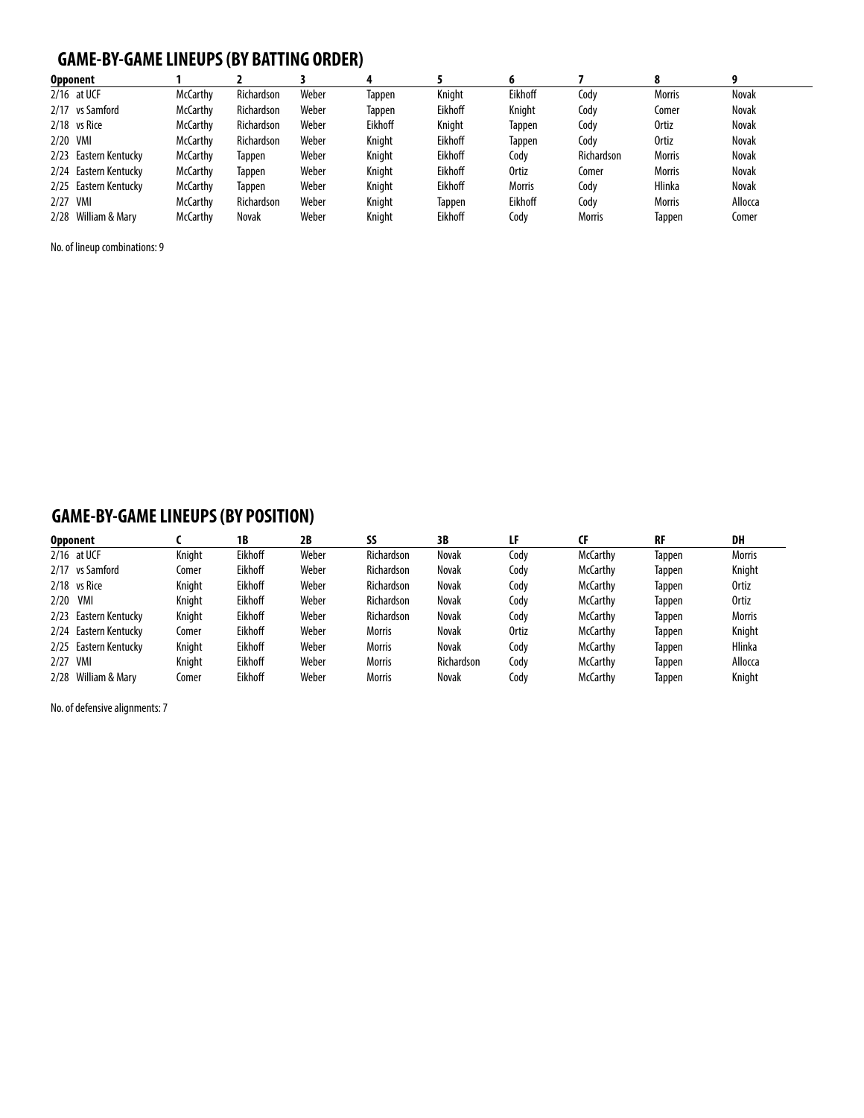## **GAME-BY-GAMELINEUPS (BY BATTING ORDER)**

| <b>Opponent</b>          |                 |                   |       |         |         |               |               |               |              |
|--------------------------|-----------------|-------------------|-------|---------|---------|---------------|---------------|---------------|--------------|
| $2/16$ at UCF            | <b>McCarthy</b> | <b>Richardson</b> | Weber | Tappen  | Knight  | Eikhoff       | Cody          | <b>Morris</b> | <b>Novak</b> |
| 2/17 vs Samford          | <b>McCarthy</b> | Richardson        | Weber | Tappen  | Eikhoff | Knight        | Cody          | Comer         | <b>Novak</b> |
| $2/18$ vs Rice           | <b>McCarthy</b> | <b>Richardson</b> | Weber | Eikhoff | Knight  | Tappen        | Cody          | <b>Ortiz</b>  | <b>Novak</b> |
| 2/20 VMI                 | <b>McCarthy</b> | Richardson        | Weber | Knight  | Eikhoff | Tappen        | Cody          | <b>Ortiz</b>  | Novak        |
| 2/23<br>Eastern Kentucky | <b>McCarthy</b> | Tappen            | Weber | Knight  | Eikhoff | Codv          | Richardson    | <b>Morris</b> | Novak        |
| 2/24 Eastern Kentucky    | <b>McCarthy</b> | Tappen            | Weber | Knight  | Eikhoff | <b>Ortiz</b>  | Comer         | <b>Morris</b> | Novak        |
| Eastern Kentucky<br>2/25 | <b>McCarthy</b> | Tappen            | Weber | Knight  | Eikhoff | <b>Morris</b> | Cody          | <b>Hlinka</b> | <b>Novak</b> |
| VMI<br>2/27              | <b>McCarthy</b> | Richardson        | Weber | Knight  | Tappen  | Eikhoff       | Codv          | <b>Morris</b> | Allocca      |
| 2/28 William & Mary      | <b>McCarthy</b> | Novak             | Weber | Knight  | Eikhoff | Codv          | <b>Morris</b> | Tappen        | Comer        |

No. of lineup combinations: 9

## **GAME-BY-GAMELINEUPS (BY POSITION)**

|      | <b>Opponent</b>       |        | 1B      | 2B    | SS                | 3B                | LF    | CF              | <b>RF</b>     | DH            |
|------|-----------------------|--------|---------|-------|-------------------|-------------------|-------|-----------------|---------------|---------------|
|      | $2/16$ at UCF         | Knight | Eikhoff | Weber | <b>Richardson</b> | Novak             | Cody  | <b>McCarthy</b> | Tappen        | <b>Morris</b> |
|      | 2/17 vs Samford       | Comer  | Eikhoff | Weber | <b>Richardson</b> | Novak             | Cody  | <b>McCarthy</b> | <b>Tappen</b> | Knight        |
|      | 2/18 vs Rice          | Knight | Eikhoff | Weber | <b>Richardson</b> | Novak             | Cody  | <b>McCarthy</b> | Tappen        | Ortiz         |
| 2/20 | VMI                   | Kniaht | Eikhoff | Weber | <b>Richardson</b> | Novak             | Cody  | <b>McCarthy</b> | Tappen        | <b>Ortiz</b>  |
|      | 2/23 Eastern Kentucky | Knight | Eikhoff | Weber | <b>Richardson</b> | Novak             | Cody  | <b>McCarthy</b> | Tappen        | <b>Morris</b> |
|      | 2/24 Eastern Kentucky | Comer  | Eikhoff | Weber | <b>Morris</b>     | Novak             | Ortiz | <b>McCarthy</b> | Tappen        | Knight        |
|      | 2/25 Eastern Kentucky | Kniaht | Eikhoff | Weber | <b>Morris</b>     | Novak             | Codv  | <b>McCarthy</b> | <b>Tappen</b> | Hlinka        |
| 2/27 | VMI                   | Kniaht | Eikhoff | Weber | <b>Morris</b>     | <b>Richardson</b> | Cody  | <b>McCarthy</b> | Tappen        | Allocca       |
|      | 2/28 William & Mary   | Comer  | Eikhoff | Weber | <b>Morris</b>     | Novak             | Cody  | <b>McCarthy</b> | Tappen        | Knight        |

No. of defensive alignments: 7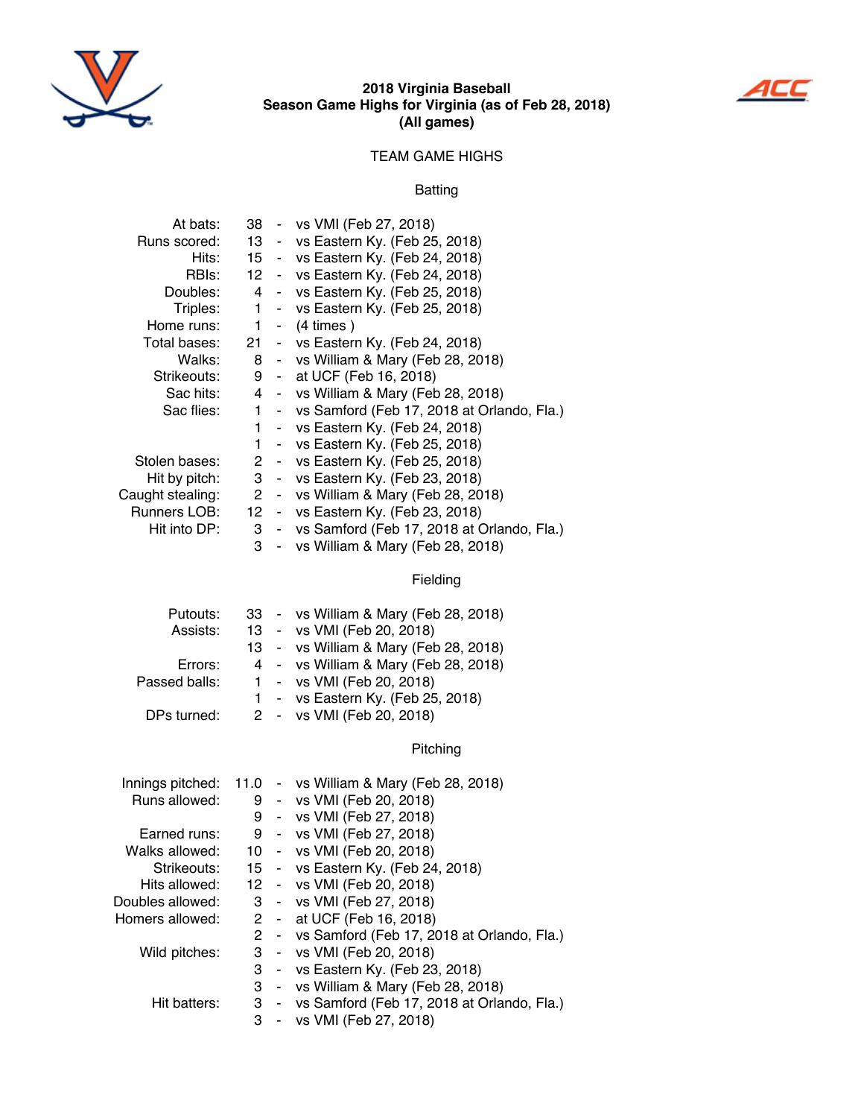

#### **2018 Virginia Baseball season game Highs for Virginia (as of Feb 28, 2018) (all games)**



#### TEAM GAME HIGHS

#### Batting

| At bats:         |              |                | 38 - vs VMI (Feb 27, 2018)                     |
|------------------|--------------|----------------|------------------------------------------------|
| Runs scored:     |              |                | 13 - vs Eastern Ky. (Feb 25, 2018)             |
| Hits:            |              |                | 15 - vs Eastern Ky. (Feb 24, 2018)             |
| RBIs:            |              |                | 12 - vs Eastern Ky. (Feb 24, 2018)             |
| Doubles:         |              |                | 4 - vs Eastern Ky. (Feb 25, 2018)              |
| Triples:         | 1.           |                | - vs Eastern Ky. (Feb 25, 2018)                |
| Home runs:       | $\mathbf{1}$ | $\blacksquare$ | $(4 \times)$                                   |
| Total bases:     |              |                | 21 - vs Eastern Ky. (Feb 24, 2018)             |
| Walks:           |              |                | 8 - vs William & Mary (Feb 28, 2018)           |
| Strikeouts:      |              |                | 9 - at UCF (Feb 16, 2018)                      |
| Sac hits:        |              |                | 4 - vs William & Mary (Feb 28, 2018)           |
| Sac flies:       | 1.           |                | - vs Samford (Feb 17, 2018 at Orlando, Fla.)   |
|                  | 1            |                | - vs Eastern Ky. (Feb 24, 2018)                |
|                  | 1            |                | - vs Eastern Ky. (Feb 25, 2018)                |
| Stolen bases:    |              |                | 2 - vs Eastern Ky. (Feb 25, 2018)              |
| Hit by pitch:    |              |                | 3 - vs Eastern Ky. (Feb 23, 2018)              |
| Caught stealing: |              |                | 2 - vs William & Mary (Feb 28, 2018)           |
| Runners LOB:     |              |                | 12 - vs Eastern Ky. (Feb 23, 2018)             |
| Hit into DP:     |              |                | 3 - vs Samford (Feb 17, 2018 at Orlando, Fla.) |
|                  | 3            | ÷,             | vs William & Mary (Feb 28, 2018)               |
|                  |              |                | Fielding                                       |
| Putouts:         | 33           |                | - vs William & Mary (Feb 28, 2018)             |

| Assists:      |  | 13 - vs VMI (Feb 20, 2018)            |
|---------------|--|---------------------------------------|
|               |  | 13 - vs William & Mary (Feb 28, 2018) |
| Errors:       |  | 4 - vs William & Mary (Feb 28, 2018)  |
| Passed balls: |  | 1 - vs VMI (Feb 20, 2018)             |
|               |  | 1 - vs Eastern Ky. (Feb 25, 2018)     |
| DPs turned:   |  | 2 - vs VMI (Feb 20, 2018)             |
|               |  |                                       |

Pitching

|                  |       | Innings pitched: 11.0 - vs William & Mary (Feb 28, 2018) |
|------------------|-------|----------------------------------------------------------|
| Runs allowed:    |       | 9 - vs VMI (Feb 20, 2018)                                |
|                  |       | 9 - vs VMI (Feb 27, 2018)                                |
| Earned runs:     |       | 9 - vs VMI (Feb 27, 2018)                                |
| Walks allowed:   |       | 10 - vs VMI (Feb 20, 2018)                               |
| Strikeouts:      |       | 15 - vs Eastern Ky. (Feb 24, 2018)                       |
| Hits allowed:    |       | 12 - vs VMI (Feb 20, 2018)                               |
| Doubles allowed: |       | 3 - vs VMI (Feb 27, 2018)                                |
| Homers allowed:  |       | 2 - at UCF (Feb 16, 2018)                                |
|                  |       | 2 - vs Samford (Feb 17, 2018 at Orlando, Fla.)           |
| Wild pitches:    |       | 3 - vs VMI (Feb 20, 2018)                                |
|                  |       | 3 - vs Eastern Ky. (Feb 23, 2018)                        |
|                  |       | 3 - vs William & Mary (Feb 28, 2018)                     |
| Hit batters:     |       | 3 - vs Samford (Feb 17, 2018 at Orlando, Fla.)           |
|                  | $3 -$ | vs VMI (Feb 27, 2018)                                    |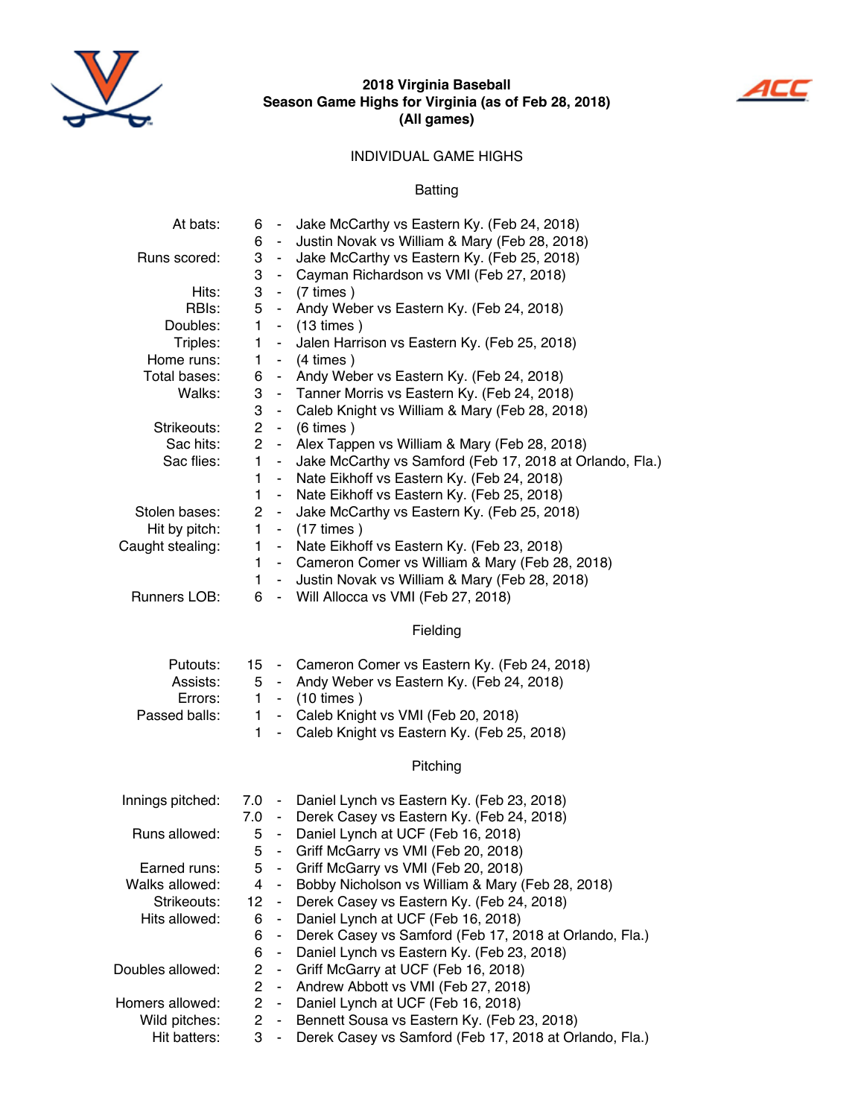

#### **2018 Virginia Baseball season game Highs for Virginia (as of Feb 28, 2018) (all games)**



#### INDIVIDUAL GAME HIGHS

Batting

| At bats:         | 6 -            |                     | Jake McCarthy vs Eastern Ky. (Feb 24, 2018)              |
|------------------|----------------|---------------------|----------------------------------------------------------|
|                  | 6              | $\blacksquare$      | Justin Novak vs William & Mary (Feb 28, 2018)            |
| Runs scored:     | 3              | $\blacksquare$      | Jake McCarthy vs Eastern Ky. (Feb 25, 2018)              |
|                  | 3              | $\blacksquare$      | Cayman Richardson vs VMI (Feb 27, 2018)                  |
| Hits:            | 3              |                     | - $(7 \times )$                                          |
| RBIs:            | 5              | $\blacksquare$      | Andy Weber vs Eastern Ky. (Feb 24, 2018)                 |
| Doubles:         | 1              | $\blacksquare$      | $(13 \times)$                                            |
| Triples:         | $\mathbf{1}$   | $\blacksquare$      | Jalen Harrison vs Eastern Ky. (Feb 25, 2018)             |
| Home runs:       | 1              | $\blacksquare$      | $(4 \times)$                                             |
| Total bases:     | 6              | $\blacksquare$      | Andy Weber vs Eastern Ky. (Feb 24, 2018)                 |
| Walks:           | 3              | $\sim$              | Tanner Morris vs Eastern Ky. (Feb 24, 2018)              |
|                  | 3              | $\blacksquare$      | Caleb Knight vs William & Mary (Feb 28, 2018)            |
| Strikeouts:      | $\overline{2}$ | $\blacksquare$      | $(6 \times)$                                             |
| Sac hits:        | $\overline{2}$ | $\blacksquare$      | Alex Tappen vs William & Mary (Feb 28, 2018)             |
| Sac flies:       | 1              | $\blacksquare$      | Jake McCarthy vs Samford (Feb 17, 2018 at Orlando, Fla.) |
|                  | 1              | $\blacksquare$      | Nate Eikhoff vs Eastern Ky. (Feb 24, 2018)               |
|                  | $\mathbf{1}$   | $\blacksquare$      | Nate Eikhoff vs Eastern Ky. (Feb 25, 2018)               |
| Stolen bases:    | $\overline{2}$ | $\blacksquare$      | Jake McCarthy vs Eastern Ky. (Feb 25, 2018)              |
| Hit by pitch:    | $\mathbf{1}$   |                     | $-$ (17 times)                                           |
| Caught stealing: | $\mathbf{1}$   | $\blacksquare$      | Nate Eikhoff vs Eastern Ky. (Feb 23, 2018)               |
|                  | 1              |                     | - Cameron Comer vs William & Mary (Feb 28, 2018)         |
|                  | $\mathbf{1}$   | ÷,                  | Justin Novak vs William & Mary (Feb 28, 2018)            |
| Runners LOB:     | 6              |                     | - Will Allocca vs VMI (Feb 27, 2018)                     |
|                  |                |                     |                                                          |
|                  |                |                     | Fielding                                                 |
| Putouts:         |                |                     | 15 - Cameron Comer vs Eastern Ky. (Feb 24, 2018)         |
| Assists:         | 5              |                     | - Andy Weber vs Eastern Ky. (Feb 24, 2018)               |
| Errors:          | 1              |                     | $-$ (10 times)                                           |
| Passed balls:    | $\mathbf{1}$   | $\mathbf{r}$        | Caleb Knight vs VMI (Feb 20, 2018)                       |
|                  | $\mathbf{1}$   | $\omega_{\rm{eff}}$ | Caleb Knight vs Eastern Ky. (Feb 25, 2018)               |
|                  |                |                     |                                                          |
|                  |                |                     | Pitching                                                 |
| Innings pitched: |                |                     | 7.0 - Daniel Lynch vs Eastern Ky. (Feb 23, 2018)         |
|                  |                |                     | 7.0 - Derek Casey vs Eastern Ky. (Feb 24, 2018)          |
| Runs allowed:    | 5              |                     | - Daniel Lynch at UCF (Feb 16, 2018)                     |
|                  | 5              |                     | Griff McGarry vs VMI (Feb 20, 2018)                      |
| Earned runs:     | 5              | $\blacksquare$      | Griff McGarry vs VMI (Feb 20, 2018)                      |
| Walks allowed:   | 4              | $\blacksquare$      | Bobby Nicholson vs William & Mary (Feb 28, 2018)         |
| Strikeouts:      | 12             | $\blacksquare$      | Derek Casey vs Eastern Ky. (Feb 24, 2018)                |
| Hits allowed:    | 6              | $\blacksquare$      | Daniel Lynch at UCF (Feb 16, 2018)                       |
|                  | 6              | $\blacksquare$      | Derek Casey vs Samford (Feb 17, 2018 at Orlando, Fla.)   |
|                  | 6              | $\blacksquare$      | Daniel Lynch vs Eastern Ky. (Feb 23, 2018)               |
| Doubles allowed: | $\overline{2}$ | $\blacksquare$      | Griff McGarry at UCF (Feb 16, 2018)                      |
|                  | $\overline{2}$ | $\omega_{\rm{eff}}$ | Andrew Abbott vs VMI (Feb 27, 2018)                      |
|                  |                |                     |                                                          |

- 
- Homers allowed: 2 Daniel Lynch at UCF (Feb 16, 2018)<br>Wild pitches: 2 Bennett Sousa vs Eastern Ky. (Feb 2 Vild pitches: 2 - Bennett Sousa vs Eastern Ky. (Feb 23, 2018)<br>Hit batters: 3 - Derek Casey vs Samford (Feb 17, 2018 at Orl
	- 3 Derek Casey vs Samford (Feb 17, 2018 at Orlando, Fla.)